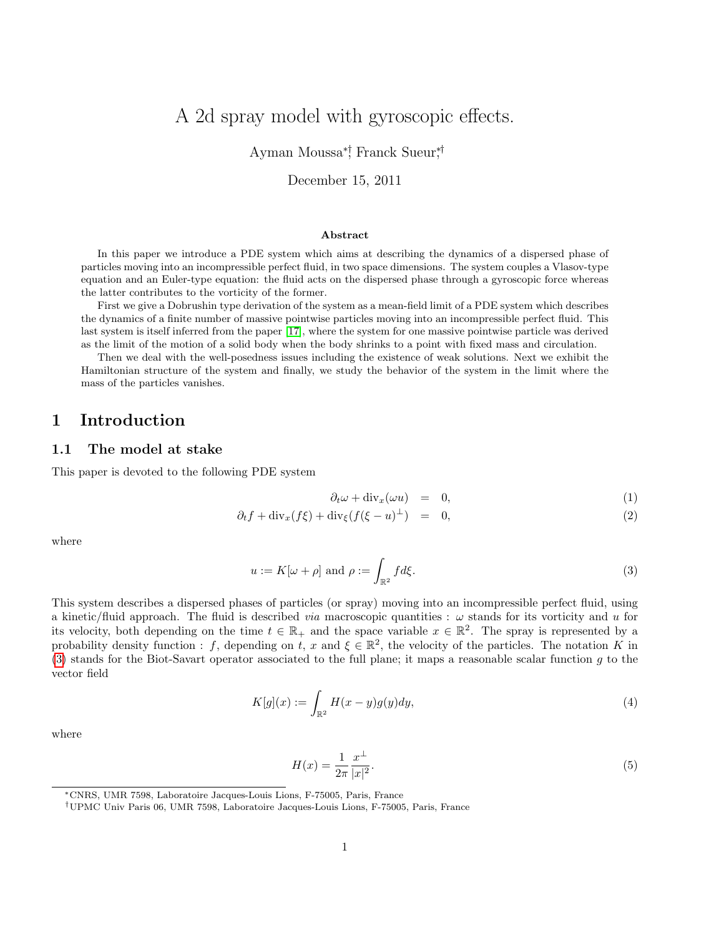# A 2d spray model with gyroscopic effects.

Ayman Moussa<sup>∗†</sup>, Franck Sueur,<sup>†</sup>

December 15, 2011

#### Abstract

In this paper we introduce a PDE system which aims at describing the dynamics of a dispersed phase of particles moving into an incompressible perfect fluid, in two space dimensions. The system couples a Vlasov-type equation and an Euler-type equation: the fluid acts on the dispersed phase through a gyroscopic force whereas the latter contributes to the vorticity of the former.

First we give a Dobrushin type derivation of the system as a mean-field limit of a PDE system which describes the dynamics of a finite number of massive pointwise particles moving into an incompressible perfect fluid. This last system is itself inferred from the paper [\[17\]](#page-29-0), where the system for one massive pointwise particle was derived as the limit of the motion of a solid body when the body shrinks to a point with fixed mass and circulation.

Then we deal with the well-posedness issues including the existence of weak solutions. Next we exhibit the Hamiltonian structure of the system and finally, we study the behavior of the system in the limit where the mass of the particles vanishes.

### 1 Introduction

#### 1.1 The model at stake

This paper is devoted to the following PDE system

<span id="page-0-1"></span>
$$
\partial_t \omega + \text{div}_x(\omega u) = 0, \tag{1}
$$

$$
\partial_t f + \operatorname{div}_x(f\xi) + \operatorname{div}_\xi(f(\xi - u)^\perp) = 0, \tag{2}
$$

where

<span id="page-0-0"></span>
$$
u := K[\omega + \rho] \text{ and } \rho := \int_{\mathbb{R}^2} f d\xi. \tag{3}
$$

This system describes a dispersed phases of particles (or spray) moving into an incompressible perfect fluid, using a kinetic/fluid approach. The fluid is described *via* macroscopic quantities :  $\omega$  stands for its vorticity and u for its velocity, both depending on the time  $t \in \mathbb{R}_+$  and the space variable  $x \in \mathbb{R}^2$ . The spray is represented by a probability density function : f, depending on t, x and  $\xi \in \mathbb{R}^2$ , the velocity of the particles. The notation K in [\(3\)](#page-0-0) stands for the Biot-Savart operator associated to the full plane; it maps a reasonable scalar function g to the vector field

<span id="page-0-2"></span>
$$
K[g](x) := \int_{\mathbb{R}^2} H(x - y)g(y)dy,\tag{4}
$$

where

<span id="page-0-3"></span>
$$
H(x) = \frac{1}{2\pi} \frac{x^{\perp}}{|x|^2}.
$$
\n(5)

<sup>∗</sup>CNRS, UMR 7598, Laboratoire Jacques-Louis Lions, F-75005, Paris, France

<sup>†</sup>UPMC Univ Paris 06, UMR 7598, Laboratoire Jacques-Louis Lions, F-75005, Paris, France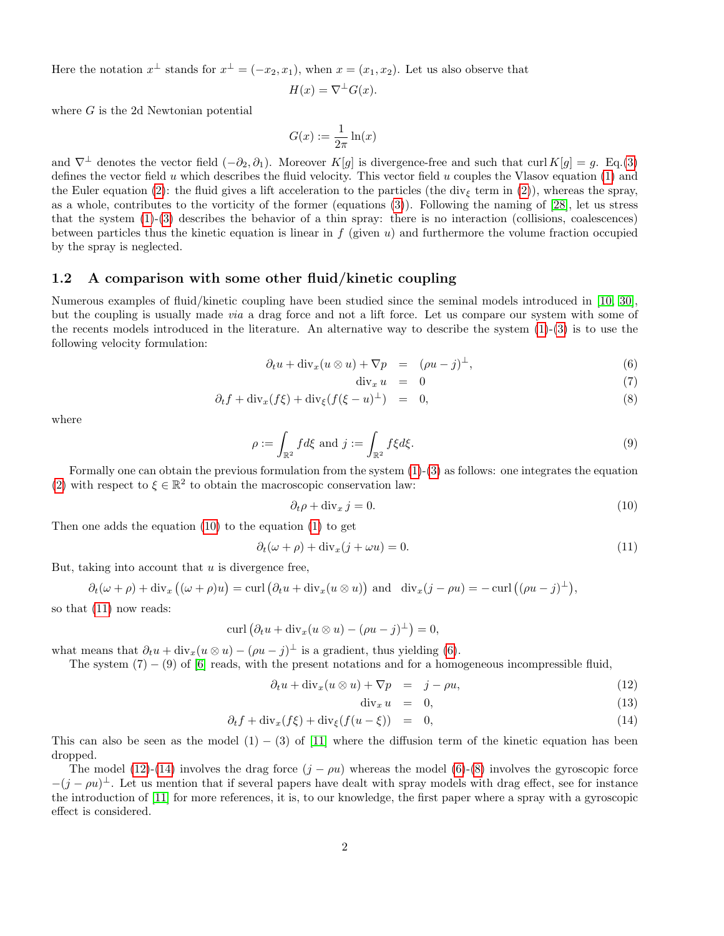Here the notation  $x^{\perp}$  stands for  $x^{\perp} = (-x_2, x_1)$ , when  $x = (x_1, x_2)$ . Let us also observe that

$$
H(x) = \nabla^{\perp} G(x).
$$

where G is the 2d Newtonian potential

 $G(x) := \frac{1}{2\pi} \ln(x)$ 

and  $\nabla^{\perp}$  denotes the vector field  $(-\partial_2, \partial_1)$ . Moreover K[g] is divergence-free and such that curl K[g] = g. Eq.[\(3\)](#page-0-0) defines the vector field u which describes the fluid velocity. This vector field u couples the Vlasov equation  $(1)$  and the Euler equation [\(2\)](#page-0-1): the fluid gives a lift acceleration to the particles (the div<sub> $\epsilon$ </sub> term in (2)), whereas the spray, as a whole, contributes to the vorticity of the former (equations [\(3\)](#page-0-0)). Following the naming of [\[28\]](#page-30-0), let us stress that the system [\(1\)](#page-0-1)-[\(3\)](#page-0-0) describes the behavior of a thin spray: there is no interaction (collisions, coalescences) between particles thus the kinetic equation is linear in  $f$  (given  $u$ ) and furthermore the volume fraction occupied by the spray is neglected.

#### 1.2 A comparison with some other fluid/kinetic coupling

Numerous examples of fluid/kinetic coupling have been studied since the seminal models introduced in [\[10,](#page-29-1) [30\]](#page-30-1), but the coupling is usually made via a drag force and not a lift force. Let us compare our system with some of the recents models introduced in the literature. An alternative way to describe the system  $(1)-(3)$  $(1)-(3)$  $(1)-(3)$  is to use the following velocity formulation:

<span id="page-1-2"></span>
$$
\partial_t u + \text{div}_x (u \otimes u) + \nabla p = (\rho u - j)^{\perp}, \tag{6}
$$

$$
\operatorname{div}_x u = 0 \tag{7}
$$

$$
\partial_t f + \operatorname{div}_x(f\xi) + \operatorname{div}_\xi(f(\xi - u)^\perp) = 0, \tag{8}
$$

where

$$
\rho := \int_{\mathbb{R}^2} f d\xi \text{ and } j := \int_{\mathbb{R}^2} f \xi d\xi. \tag{9}
$$

Formally one can obtain the previous formulation from the system [\(1\)](#page-0-1)-[\(3\)](#page-0-0) as follows: one integrates the equation [\(2\)](#page-0-1) with respect to  $\xi \in \mathbb{R}^2$  to obtain the macroscopic conservation law:

<span id="page-1-0"></span>
$$
\partial_t \rho + \text{div}_x j = 0. \tag{10}
$$

Then one adds the equation [\(10\)](#page-1-0) to the equation [\(1\)](#page-0-1) to get

<span id="page-1-1"></span>
$$
\partial_t(\omega + \rho) + \text{div}_x(j + \omega u) = 0. \tag{11}
$$

But, taking into account that  $u$  is divergence free,

$$
\partial_t(\omega + \rho) + \text{div}_x((\omega + \rho)u) = \text{curl}(\partial_t u + \text{div}_x(u \otimes u)) \text{ and } \text{div}_x(j - \rho u) = -\text{curl}((\rho u - j)^{\perp}),
$$

so that [\(11\)](#page-1-1) now reads:

$$
\operatorname{curl} \left( \partial_t u + \operatorname{div}_x (u \otimes u) - (\rho u - j)^{\perp} \right) = 0,
$$

what means that  $\partial_t u + \text{div}_x(u \otimes u) - (\rho u - j)^{\perp}$  is a gradient, thus yielding [\(6\)](#page-1-2).

The system  $(7) - (9)$  of [\[6\]](#page-29-2) reads, with the present notations and for a homogeneous incompressible fluid,

<span id="page-1-3"></span>
$$
\partial_t u + \text{div}_x (u \otimes u) + \nabla p = j - \rho u, \tag{12}
$$

$$
\operatorname{div}_x u = 0, \tag{13}
$$

$$
\partial_t f + \operatorname{div}_x(f\xi) + \operatorname{div}_\xi(f(u-\xi)) = 0, \tag{14}
$$

This can also be seen as the model  $(1) - (3)$  of [\[11\]](#page-29-3) where the diffusion term of the kinetic equation has been dropped.

The model [\(12\)](#page-1-3)-[\(14\)](#page-1-3) involves the drag force  $(j - \rho u)$  whereas the model [\(6\)](#page-1-2)-[\(8\)](#page-1-2) involves the gyroscopic force  $-(j - \rho u)^{\perp}$ . Let us mention that if several papers have dealt with spray models with drag effect, see for instance the introduction of [\[11\]](#page-29-3) for more references, it is, to our knowledge, the first paper where a spray with a gyroscopic effect is considered.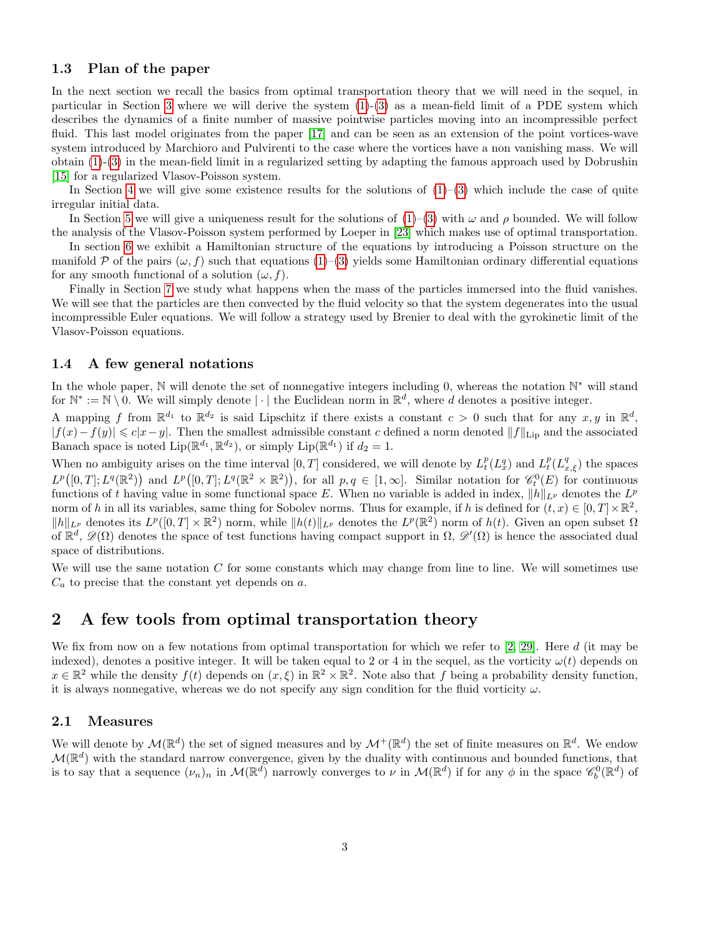### 1.3 Plan of the paper

In the next section we recall the basics from optimal transportation theory that we will need in the sequel, in particular in Section [3](#page-5-0) where we will derive the system [\(1\)](#page-0-1)-[\(3\)](#page-0-0) as a mean-field limit of a PDE system which describes the dynamics of a finite number of massive pointwise particles moving into an incompressible perfect fluid. This last model originates from the paper [\[17\]](#page-29-0) and can be seen as an extension of the point vortices-wave system introduced by Marchioro and Pulvirenti to the case where the vortices have a non vanishing mass. We will obtain [\(1\)](#page-0-1)-[\(3\)](#page-0-0) in the mean-field limit in a regularized setting by adapting the famous approach used by Dobrushin [\[15\]](#page-29-4) for a regularized Vlasov-Poisson system.

In Section [4](#page-13-0) we will give some existence results for the solutions of  $(1)-(3)$  $(1)-(3)$  $(1)-(3)$  which include the case of quite irregular initial data.

In Section [5](#page-17-0) we will give a uniqueness result for the solutions of  $(1)-(3)$  $(1)-(3)$  $(1)-(3)$  with  $\omega$  and  $\rho$  bounded. We will follow the analysis of the Vlasov-Poisson system performed by Loeper in [\[23\]](#page-30-2) which makes use of optimal transportation.

In section [6](#page-20-0) we exhibit a Hamiltonian structure of the equations by introducing a Poisson structure on the manifold P of the pairs  $(\omega, f)$  such that equations  $(1)-(3)$  $(1)-(3)$  $(1)-(3)$  yields some Hamiltonian ordinary differential equations for any smooth functional of a solution  $(\omega, f)$ .

Finally in Section [7](#page-21-0) we study what happens when the mass of the particles immersed into the fluid vanishes. We will see that the particles are then convected by the fluid velocity so that the system degenerates into the usual incompressible Euler equations. We will follow a strategy used by Brenier to deal with the gyrokinetic limit of the Vlasov-Poisson equations.

### 1.4 A few general notations

In the whole paper, N will denote the set of nonnegative integers including 0, whereas the notation N<sup>\*</sup> will stand for  $\mathbb{N}^* := \mathbb{N} \setminus 0$ . We will simply denote  $|\cdot|$  the Euclidean norm in  $\mathbb{R}^d$ , where d denotes a positive integer.

A mapping f from  $\mathbb{R}^{d_1}$  to  $\mathbb{R}^{d_2}$  is said Lipschitz if there exists a constant  $c > 0$  such that for any  $x, y$  in  $\mathbb{R}^d$ ,  $|f(x)-f(y)| \leq c|x-y|$ . Then the smallest admissible constant c defined a norm denoted  $||f||_{\text{Lip}}$  and the associated Banach space is noted  $\text{Lip}(\mathbb{R}^{d_1}, \mathbb{R}^{d_2})$ , or simply  $\text{Lip}(\mathbb{R}^{d_1})$  if  $d_2 = 1$ .

When no ambiguity arises on the time interval  $[0,T]$  considered, we will denote by  $L_t^p(L_x^q)$  and  $L_t^p(L_{x,\xi}^q)$  the spaces  $L^p([0,T];L^q(\mathbb{R}^2))$  and  $L^p([0,T];L^q(\mathbb{R}^2\times\mathbb{R}^2))$ , for all  $p,q\in[1,\infty]$ . Similar notation for  $\mathscr{C}_t^0(E)$  for continuous functions of t having value in some functional space E. When no variable is added in index,  $||h||_{L^p}$  denotes the  $L^p$ norm of h in all its variables, same thing for Sobolev norms. Thus for example, if h is defined for  $(t, x) \in [0, T] \times \mathbb{R}^2$ ,  $||h||_{L^p}$  denotes its  $L^p([0,T] \times \mathbb{R}^2)$  norm, while  $||h(t)||_{L^p}$  denotes the  $L^p(\mathbb{R}^2)$  norm of  $h(t)$ . Given an open subset  $\Omega$ of  $\mathbb{R}^d$ ,  $\mathscr{D}(\Omega)$  denotes the space of test functions having compact support in  $\Omega$ ,  $\mathscr{D}'(\Omega)$  is hence the associated dual space of distributions.

We will use the same notation  $C$  for some constants which may change from line to line. We will sometimes use  $C_a$  to precise that the constant yet depends on a.

# 2 A few tools from optimal transportation theory

We fix from now on a few notations from optimal transportation for which we refer to [\[2,](#page-29-5) [29\]](#page-30-3). Here d (it may be indexed), denotes a positive integer. It will be taken equal to 2 or 4 in the sequel, as the vorticity  $\omega(t)$  depends on  $x \in \mathbb{R}^2$  while the density  $f(t)$  depends on  $(x,\xi)$  in  $\mathbb{R}^2 \times \mathbb{R}^2$ . Note also that f being a probability density function, it is always nonnegative, whereas we do not specify any sign condition for the fluid vorticity  $\omega$ .

#### 2.1 Measures

We will denote by  $\mathcal{M}(\mathbb{R}^d)$  the set of signed measures and by  $\mathcal{M}^+(\mathbb{R}^d)$  the set of finite measures on  $\mathbb{R}^d$ . We endow  $\mathcal{M}(\mathbb{R}^d)$  with the standard narrow convergence, given by the duality with continuous and bounded functions, that is to say that a sequence  $(\nu_n)_n$  in  $\mathcal{M}(\mathbb{R}^d)$  narrowly converges to  $\nu$  in  $\mathcal{M}(\mathbb{R}^d)$  if for any  $\phi$  in the space  $\mathscr{C}_b^0(\mathbb{R}^d)$  of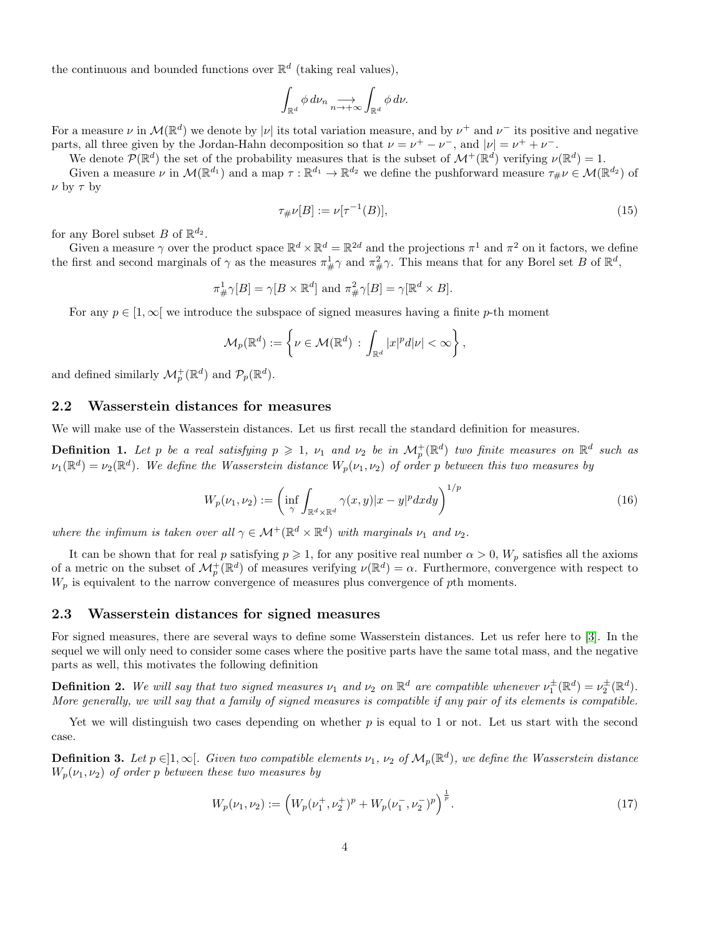the continuous and bounded functions over  $\mathbb{R}^d$  (taking real values),

$$
\int_{\mathbb{R}^d} \phi \, d\nu_n \underset{n \to +\infty}{\longrightarrow} \int_{\mathbb{R}^d} \phi \, d\nu.
$$

For a measure  $\nu$  in  $\mathcal{M}(\mathbb{R}^d)$  we denote by  $|\nu|$  its total variation measure, and by  $\nu^+$  and  $\nu^-$  its positive and negative parts, all three given by the Jordan-Hahn decomposition so that  $\nu = \nu^+ - \nu^-$ , and  $|\nu| = \nu^+ + \nu^-$ .

We denote  $\mathcal{P}(\mathbb{R}^d)$  the set of the probability measures that is the subset of  $\mathcal{M}^+(\mathbb{R}^d)$  verifying  $\nu(\mathbb{R}^d) = 1$ .

Given a measure  $\nu$  in  $\mathcal{M}(\mathbb{R}^{d_1})$  and a map  $\tau : \mathbb{R}^{d_1} \to \mathbb{R}^{d_2}$  we define the pushforward measure  $\tau_{\#}\nu \in \mathcal{M}(\mathbb{R}^{d_2})$  of  $\nu$  by  $\tau$  by

$$
\tau_{\#}\nu[B] := \nu[\tau^{-1}(B)],\tag{15}
$$

for any Borel subset B of  $\mathbb{R}^{d_2}$ .

Given a measure  $\gamma$  over the product space  $\mathbb{R}^d \times \mathbb{R}^d = \mathbb{R}^{2d}$  and the projections  $\pi^1$  and  $\pi^2$  on it factors, we define the first and second marginals of  $\gamma$  as the measures  $\pi_{\#}^1 \gamma$  and  $\pi_{\#}^2 \gamma$ . This means that for any Borel set B of  $\mathbb{R}^d$ ,

$$
\pi_{\#}^1 \gamma[B] = \gamma[B \times \mathbb{R}^d] \text{ and } \pi_{\#}^2 \gamma[B] = \gamma[\mathbb{R}^d \times B].
$$

For any  $p \in [1,\infty]$  we introduce the subspace of signed measures having a finite p-th moment

$$
\mathcal{M}_p(\mathbb{R}^d) := \left\{ \nu \in \mathcal{M}(\mathbb{R}^d) \, : \, \int_{\mathbb{R}^d} |x|^p d|\nu| < \infty \right\},\,
$$

and defined similarly  $\mathcal{M}_p^+(\mathbb{R}^d)$  and  $\mathcal{P}_p(\mathbb{R}^d)$ .

#### 2.2 Wasserstein distances for measures

We will make use of the Wasserstein distances. Let us first recall the standard definition for measures.

<span id="page-3-0"></span>**Definition 1.** Let p be a real satisfying  $p \geq 1$ ,  $\nu_1$  and  $\nu_2$  be in  $\mathcal{M}_p^+(\mathbb{R}^d)$  two finite measures on  $\mathbb{R}^d$  such as  $\nu_1(\mathbb{R}^d) = \nu_2(\mathbb{R}^d)$ . We define the Wasserstein distance  $W_p(\nu_1, \nu_2)$  of order p between this two measures by

$$
W_p(\nu_1, \nu_2) := \left(\inf_{\gamma} \int_{\mathbb{R}^d \times \mathbb{R}^d} \gamma(x, y) |x - y|^p dx dy\right)^{1/p} \tag{16}
$$

where the infimum is taken over all  $\gamma \in \mathcal{M}^+(\mathbb{R}^d \times \mathbb{R}^d)$  with marginals  $\nu_1$  and  $\nu_2$ .

It can be shown that for real p satisfying  $p \ge 1$ , for any positive real number  $\alpha > 0$ ,  $W_p$  satisfies all the axioms of a metric on the subset of  $\mathcal{M}_p^+(\mathbb{R}^d)$  of measures verifying  $\nu(\mathbb{R}^d) = \alpha$ . Furthermore, convergence with respect to  $W_p$  is equivalent to the narrow convergence of measures plus convergence of pth moments.

### 2.3 Wasserstein distances for signed measures

For signed measures, there are several ways to define some Wasserstein distances. Let us refer here to [\[3\]](#page-29-6). In the sequel we will only need to consider some cases where the positive parts have the same total mass, and the negative parts as well, this motivates the following definition

**Definition 2.** We will say that two signed measures  $\nu_1$  and  $\nu_2$  on  $\mathbb{R}^d$  are compatible whenever  $\nu_1^{\pm}(\mathbb{R}^d) = \nu_2^{\pm}(\mathbb{R}^d)$ . More generally, we will say that a family of signed measures is compatible if any pair of its elements is compatible.

Yet we will distinguish two cases depending on whether  $p$  is equal to 1 or not. Let us start with the second case.

<span id="page-3-1"></span>**Definition 3.** Let  $p \in ]1,\infty[$ . Given two compatible elements  $\nu_1$ ,  $\nu_2$  of  $\mathcal{M}_p(\mathbb{R}^d)$ , we define the Wasserstein distance  $W_p(\nu_1, \nu_2)$  of order p between these two measures by

$$
W_p(\nu_1, \nu_2) := \left(W_p(\nu_1^+, \nu_2^+)^p + W_p(\nu_1^-, \nu_2^-)^p\right)^{\frac{1}{p}}.
$$
\n(17)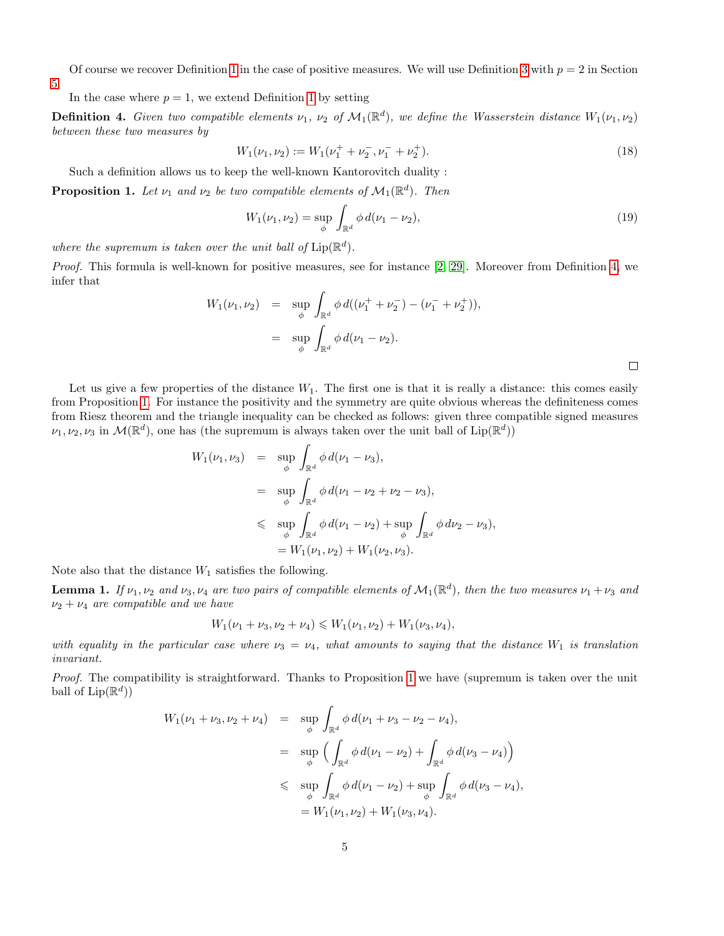Of course we recover Definition [1](#page-3-0) in the case of positive measures. We will use Definition [3](#page-3-1) with  $p = 2$  in Section

[5.](#page-17-0)

In the case where  $p = 1$  $p = 1$ , we extend Definition 1 by setting

<span id="page-4-0"></span>**Definition 4.** Given two compatible elements  $\nu_1$ ,  $\nu_2$  of  $\mathcal{M}_1(\mathbb{R}^d)$ , we define the Wasserstein distance  $W_1(\nu_1, \nu_2)$ between these two measures by

$$
W_1(\nu_1, \nu_2) := W_1(\nu_1^+ + \nu_2^-, \nu_1^- + \nu_2^+). \tag{18}
$$

Such a definition allows us to keep the well-known Kantorovitch duality :

<span id="page-4-1"></span>**Proposition 1.** Let  $\nu_1$  and  $\nu_2$  be two compatible elements of  $\mathcal{M}_1(\mathbb{R}^d)$ . Then

<span id="page-4-3"></span>
$$
W_1(\nu_1, \nu_2) = \sup_{\phi} \int_{\mathbb{R}^d} \phi \, d(\nu_1 - \nu_2), \tag{19}
$$

where the supremum is taken over the unit ball of  $\text{Lip}(\mathbb{R}^d)$ .

Proof. This formula is well-known for positive measures, see for instance [\[2,](#page-29-5) [29\]](#page-30-3). Moreover from Definition [4,](#page-4-0) we infer that

$$
W_1(\nu_1, \nu_2) = \sup_{\phi} \int_{\mathbb{R}^d} \phi \, d((\nu_1^+ + \nu_2^-) - (\nu_1^- + \nu_2^+)),
$$
  

$$
= \sup_{\phi} \int_{\mathbb{R}^d} \phi \, d(\nu_1 - \nu_2).
$$

Let us give a few properties of the distance  $W_1$ . The first one is that it is really a distance: this comes easily from Proposition [1.](#page-4-1) For instance the positivity and the symmetry are quite obvious whereas the definiteness comes from Riesz theorem and the triangle inequality can be checked as follows: given three compatible signed measures  $\nu_1, \nu_2, \nu_3$  in  $\mathcal{M}(\mathbb{R}^d)$ , one has (the supremum is always taken over the unit ball of Lip $(\mathbb{R}^d)$ )

$$
W_1(\nu_1, \nu_3) = \sup_{\phi} \int_{\mathbb{R}^d} \phi \, d(\nu_1 - \nu_3),
$$
  
\n
$$
= \sup_{\phi} \int_{\mathbb{R}^d} \phi \, d(\nu_1 - \nu_2 + \nu_2 - \nu_3),
$$
  
\n
$$
\leq \sup_{\phi} \int_{\mathbb{R}^d} \phi \, d(\nu_1 - \nu_2) + \sup_{\phi} \int_{\mathbb{R}^d} \phi \, d\nu_2 - \nu_3),
$$
  
\n
$$
= W_1(\nu_1, \nu_2) + W_1(\nu_2, \nu_3).
$$

Note also that the distance  $W_1$  satisfies the following.

<span id="page-4-2"></span>**Lemma 1.** If  $\nu_1, \nu_2$  and  $\nu_3, \nu_4$  are two pairs of compatible elements of  $\mathcal{M}_1(\mathbb{R}^d)$ , then the two measures  $\nu_1 + \nu_3$  and  $\nu_2 + \nu_4$  are compatible and we have

$$
W_1(\nu_1 + \nu_3, \nu_2 + \nu_4) \leq W_1(\nu_1, \nu_2) + W_1(\nu_3, \nu_4),
$$

with equality in the particular case where  $\nu_3 = \nu_4$ , what amounts to saying that the distance  $W_1$  is translation invariant.

Proof. The compatibility is straightforward. Thanks to Proposition [1](#page-4-1) we have (supremum is taken over the unit ball of  $\text{Lip}(\mathbb{R}^d)$ 

$$
W_1(\nu_1 + \nu_3, \nu_2 + \nu_4) = \sup_{\phi} \int_{\mathbb{R}^d} \phi \, d(\nu_1 + \nu_3 - \nu_2 - \nu_4),
$$
  

$$
= \sup_{\phi} \left( \int_{\mathbb{R}^d} \phi \, d(\nu_1 - \nu_2) + \int_{\mathbb{R}^d} \phi \, d(\nu_3 - \nu_4) \right)
$$
  

$$
\leq \sup_{\phi} \int_{\mathbb{R}^d} \phi \, d(\nu_1 - \nu_2) + \sup_{\phi} \int_{\mathbb{R}^d} \phi \, d(\nu_3 - \nu_4),
$$
  

$$
= W_1(\nu_1, \nu_2) + W_1(\nu_3, \nu_4).
$$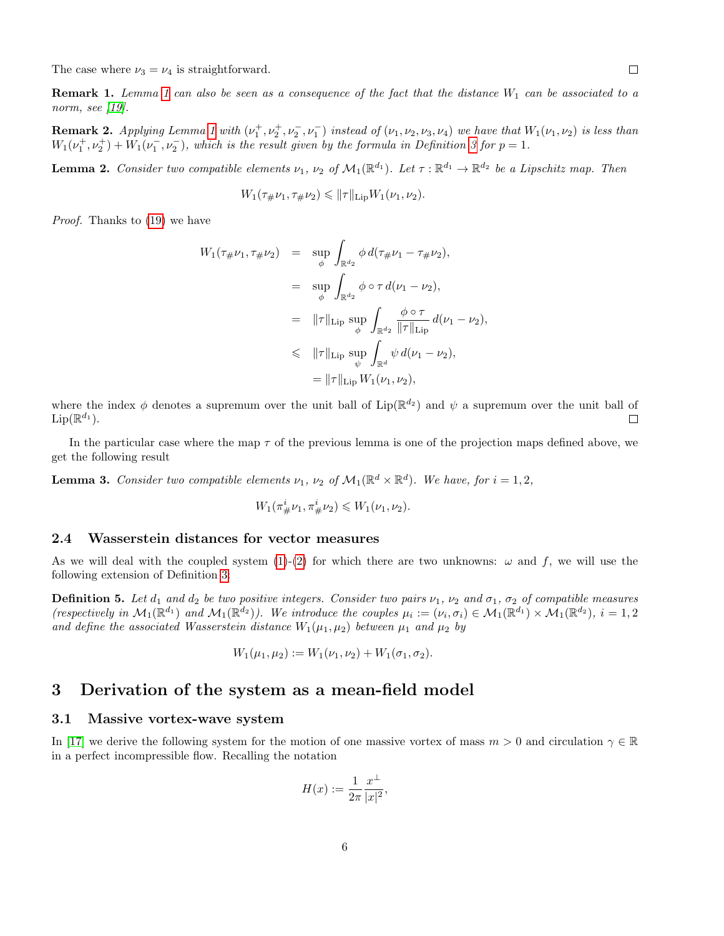The case where  $\nu_3 = \nu_4$  is straightforward.

**Remark [1](#page-4-2).** Lemma 1 can also be seen as a consequence of the fact that the distance  $W_1$  can be associated to a norm, see [\[19\]](#page-29-7).

**Remark 2.** Applying Lemma [1](#page-4-2) with  $(\nu_1^+, \nu_2^+, \nu_2^-, \nu_1^-)$  instead of  $(\nu_1, \nu_2, \nu_3, \nu_4)$  we have that  $W_1(\nu_1, \nu_2)$  is less than  $W_1(\nu_1^+, \nu_2^+) + W_1(\nu_1^-, \nu_2^-)$ , which is the result given by the formula in Definition [3](#page-3-1) for  $p = 1$ .

<span id="page-5-3"></span>**Lemma 2.** Consider two compatible elements  $\nu_1$ ,  $\nu_2$  of  $\mathcal{M}_1(\mathbb{R}^{d_1})$ . Let  $\tau : \mathbb{R}^{d_1} \to \mathbb{R}^{d_2}$  be a Lipschitz map. Then

$$
W_1(\tau_{\#}\nu_1, \tau_{\#}\nu_2) \leq \|\tau\|_{\text{Lip}} W_1(\nu_1, \nu_2).
$$

Proof. Thanks to [\(19\)](#page-4-3) we have

$$
W_1(\tau_{\#}\nu_1, \tau_{\#}\nu_2) = \sup_{\phi} \int_{\mathbb{R}^{d_2}} \phi \, d(\tau_{\#}\nu_1 - \tau_{\#}\nu_2),
$$
  
\n
$$
= \sup_{\phi} \int_{\mathbb{R}^{d_2}} \phi \circ \tau \, d(\nu_1 - \nu_2),
$$
  
\n
$$
= ||\tau||_{\text{Lip}} \sup_{\phi} \int_{\mathbb{R}^{d_2}} \frac{\phi \circ \tau}{||\tau||_{\text{Lip}}} \, d(\nu_1 - \nu_2),
$$
  
\n
$$
\leq ||\tau||_{\text{Lip}} \sup_{\psi} \int_{\mathbb{R}^d} \psi \, d(\nu_1 - \nu_2),
$$
  
\n
$$
= ||\tau||_{\text{Lip}} W_1(\nu_1, \nu_2),
$$

where the index  $\phi$  denotes a supremum over the unit ball of Lip( $\mathbb{R}^{d_2}$ ) and  $\psi$  a supremum over the unit ball of  $\text{Lip}(\mathbb{R}^{d_1}).$  $\Box$ 

In the particular case where the map  $\tau$  of the previous lemma is one of the projection maps defined above, we get the following result

<span id="page-5-2"></span>**Lemma 3.** Consider two compatible elements  $\nu_1$ ,  $\nu_2$  of  $\mathcal{M}_1(\mathbb{R}^d \times \mathbb{R}^d)$ . We have, for  $i = 1, 2$ ,

$$
W_1(\pi^i_{\#}\nu_1, \pi^i_{\#}\nu_2) \leq W_1(\nu_1, \nu_2).
$$

#### 2.4 Wasserstein distances for vector measures

As we will deal with the coupled system [\(1\)](#page-0-1)-[\(2\)](#page-0-1) for which there are two unknowns:  $\omega$  and f, we will use the following extension of Definition [3:](#page-3-1)

<span id="page-5-1"></span>**Definition 5.** Let  $d_1$  and  $d_2$  be two positive integers. Consider two pairs  $\nu_1$ ,  $\nu_2$  and  $\sigma_1$ ,  $\sigma_2$  of compatible measures (respectively in  $\mathcal{M}_1(\mathbb{R}^{d_1})$  and  $\mathcal{M}_1(\mathbb{R}^{d_2})$ ). We introduce the couples  $\mu_i := (\nu_i, \sigma_i) \in \mathcal{M}_1(\mathbb{R}^{d_1}) \times \mathcal{M}_1(\mathbb{R}^{d_2}), i = 1, 2$ and define the associated Wasserstein distance  $W_1(\mu_1, \mu_2)$  between  $\mu_1$  and  $\mu_2$  by

$$
W_1(\mu_1, \mu_2) := W_1(\nu_1, \nu_2) + W_1(\sigma_1, \sigma_2).
$$

### <span id="page-5-0"></span>3 Derivation of the system as a mean-field model

#### 3.1 Massive vortex-wave system

In [\[17\]](#page-29-0) we derive the following system for the motion of one massive vortex of mass  $m > 0$  and circulation  $\gamma \in \mathbb{R}$ in a perfect incompressible flow. Recalling the notation

$$
H(x) := \frac{1}{2\pi} \frac{x^{\perp}}{|x|^2},
$$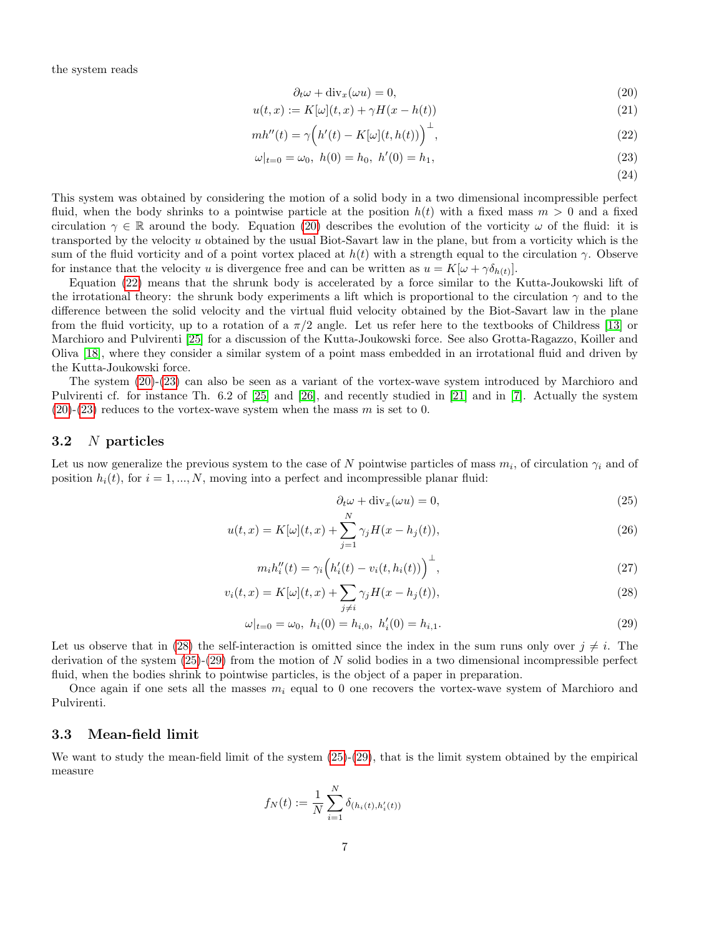the system reads

$$
\partial_t \omega + \text{div}_x(\omega u) = 0,\tag{20}
$$

$$
u(t,x) := K[\omega](t,x) + \gamma H(x - h(t))
$$
\n<sup>(21)</sup>

$$
mh''(t) = \gamma \Big( h'(t) - K[\omega](t, h(t)) \Big)^{\perp},\tag{22}
$$

$$
\omega|_{t=0} = \omega_0, \ h(0) = h_0, \ h'(0) = h_1,\tag{23}
$$

<span id="page-6-2"></span><span id="page-6-1"></span><span id="page-6-0"></span>(24)

This system was obtained by considering the motion of a solid body in a two dimensional incompressible perfect fluid, when the body shrinks to a pointwise particle at the position  $h(t)$  with a fixed mass  $m > 0$  and a fixed circulation  $\gamma \in \mathbb{R}$  around the body. Equation [\(20\)](#page-6-0) describes the evolution of the vorticity  $\omega$  of the fluid: it is transported by the velocity u obtained by the usual Biot-Savart law in the plane, but from a vorticity which is the sum of the fluid vorticity and of a point vortex placed at  $h(t)$  with a strength equal to the circulation  $\gamma$ . Observe for instance that the velocity u is divergence free and can be written as  $u = K[\omega + \gamma \delta_{h(t)}].$ 

Equation [\(22\)](#page-6-1) means that the shrunk body is accelerated by a force similar to the Kutta-Joukowski lift of the irrotational theory: the shrunk body experiments a lift which is proportional to the circulation  $\gamma$  and to the difference between the solid velocity and the virtual fluid velocity obtained by the Biot-Savart law in the plane from the fluid vorticity, up to a rotation of a  $\pi/2$  angle. Let us refer here to the textbooks of Childress [\[13\]](#page-29-8) or Marchioro and Pulvirenti [\[25\]](#page-30-4) for a discussion of the Kutta-Joukowski force. See also Grotta-Ragazzo, Koiller and Oliva [\[18\]](#page-29-9), where they consider a similar system of a point mass embedded in an irrotational fluid and driven by the Kutta-Joukowski force.

The system [\(20\)](#page-6-0)-[\(23\)](#page-6-2) can also be seen as a variant of the vortex-wave system introduced by Marchioro and Pulvirenti cf. for instance Th. 6.2 of [\[25\]](#page-30-4) and [\[26\]](#page-30-5), and recently studied in [\[21\]](#page-30-6) and in [\[7\]](#page-29-10). Actually the system  $(20)-(23)$  $(20)-(23)$  $(20)-(23)$  reduces to the vortex-wave system when the mass m is set to 0.

### 3.2 N particles

Let us now generalize the previous system to the case of N pointwise particles of mass  $m_i$ , of circulation  $\gamma_i$  and of position  $h_i(t)$ , for  $i = 1, ..., N$ , moving into a perfect and incompressible planar fluid:

 $\mathbf{v}$ 

<span id="page-6-3"></span>
$$
\partial_t \omega + \text{div}_x(\omega u) = 0,\tag{25}
$$

$$
u(t,x) = K[\omega](t,x) + \sum_{j=1}^{N} \gamma_j H(x - h_j(t)),
$$
\n(26)

$$
m_i h_i''(t) = \gamma_i \left( h_i'(t) - v_i(t, h_i(t)) \right)^{\perp},\tag{27}
$$

$$
v_i(t,x) = K[\omega](t,x) + \sum_{j \neq i} \gamma_j H(x - h_j(t)),\tag{28}
$$

$$
\omega|_{t=0} = \omega_0, \ h_i(0) = h_{i,0}, \ h'_i(0) = h_{i,1}.
$$
\n(29)

Let us observe that in [\(28\)](#page-6-3) the self-interaction is omitted since the index in the sum runs only over  $j \neq i$ . The derivation of the system  $(25)-(29)$  $(25)-(29)$  $(25)-(29)$  from the motion of N solid bodies in a two dimensional incompressible perfect fluid, when the bodies shrink to pointwise particles, is the object of a paper in preparation.

Once again if one sets all the masses  $m_i$  equal to 0 one recovers the vortex-wave system of Marchioro and Pulvirenti.

### <span id="page-6-4"></span>3.3 Mean-field limit

We want to study the mean-field limit of the system  $(25)-(29)$  $(25)-(29)$  $(25)-(29)$ , that is the limit system obtained by the empirical measure

$$
f_N(t) := \frac{1}{N} \sum_{i=1}^{N} \delta_{(h_i(t), h'_i(t))}
$$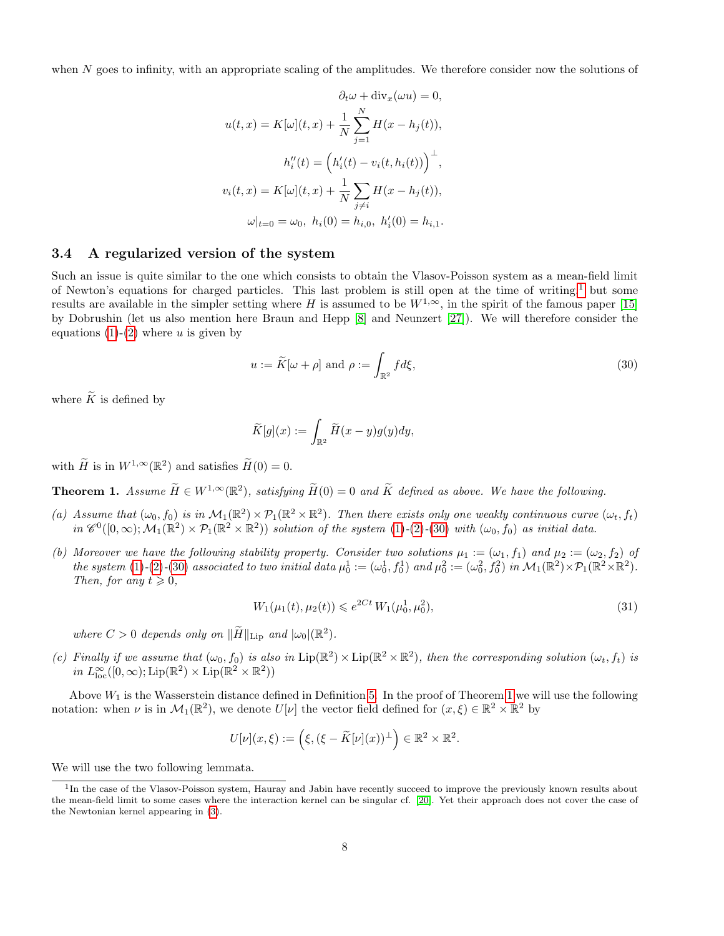when N goes to infinity, with an appropriate scaling of the amplitudes. We therefore consider now the solutions of

$$
\partial_t \omega + \text{div}_x(\omega u) = 0,
$$
  

$$
u(t, x) = K[\omega](t, x) + \frac{1}{N} \sum_{j=1}^N H(x - h_j(t)),
$$
  

$$
h_i''(t) = (h_i'(t) - v_i(t, h_i(t)))^{\perp},
$$
  

$$
v_i(t, x) = K[\omega](t, x) + \frac{1}{N} \sum_{j \neq i} H(x - h_j(t)),
$$
  

$$
\omega|_{t=0} = \omega_0, h_i(0) = h_{i,0}, h_i'(0) = h_{i,1}.
$$

### 3.4 A regularized version of the system

Such an issue is quite similar to the one which consists to obtain the Vlasov-Poisson system as a mean-field limit of Newton's equations for charged particles. This last problem is still open at the time of writing,<sup>[1](#page-7-0)</sup> but some results are available in the simpler setting where H is assumed to be  $W^{1,\infty}$ , in the spirit of the famous paper [\[15\]](#page-29-4) by Dobrushin (let us also mention here Braun and Hepp [\[8\]](#page-29-11) and Neunzert [\[27\]](#page-30-7)). We will therefore consider the equations  $(1)-(2)$  $(1)-(2)$  $(1)-(2)$  where u is given by

<span id="page-7-1"></span>
$$
u := \widetilde{K}[\omega + \rho] \text{ and } \rho := \int_{\mathbb{R}^2} f d\xi,
$$
\n(30)

where  $\widetilde{K}$  is defined by

$$
\widetilde{K}[g](x) := \int_{\mathbb{R}^2} \widetilde{H}(x - y) g(y) dy,
$$

with  $\widetilde{H}$  is in  $W^{1,\infty}(\mathbb{R}^2)$  and satisfies  $\widetilde{H}(0) = 0$ .

<span id="page-7-2"></span>**Theorem 1.** Assume  $\widetilde{H} \in W^{1,\infty}(\mathbb{R}^2)$ , satisfying  $\widetilde{H}(0) = 0$  and  $\widetilde{K}$  defined as above. We have the following.

- (a) Assume that  $(\omega_0, f_0)$  is in  $\mathcal{M}_1(\mathbb{R}^2) \times \mathcal{P}_1(\mathbb{R}^2 \times \mathbb{R}^2)$ . Then there exists only one weakly continuous curve  $(\omega_t, f_t)$ in  $\mathscr{C}^0([0,\infty); \mathcal{M}_1(\mathbb{R}^2) \times \mathcal{P}_1(\mathbb{R}^2 \times \mathbb{R}^2))$  solution of the system [\(1\)](#page-0-1)-[\(2\)](#page-0-1)-[\(30\)](#page-7-1) with  $(\omega_0, f_0)$  as initial data.
- (b) Moreover we have the following stability property. Consider two solutions  $\mu_1 := (\omega_1, f_1)$  and  $\mu_2 := (\omega_2, f_2)$  of the system [\(1\)](#page-0-1)-[\(2\)](#page-0-1)-[\(30\)](#page-7-1) associated to two initial data  $\mu_0^1 := (\omega_0^1, f_0^1)$  and  $\mu_0^2 := (\omega_0^2, f_0^2)$  in  $\mathcal{M}_1(\mathbb{R}^2) \times \mathcal{P}_1(\mathbb{R}^2 \times \mathbb{R}^2)$ . Then, for any  $t \geq 0$ ,

<span id="page-7-3"></span>
$$
W_1(\mu_1(t), \mu_2(t)) \leq e^{2Ct} W_1(\mu_0^1, \mu_0^2),\tag{31}
$$

where  $C > 0$  depends only on  $\|\widetilde{H}\|_{\text{Lip}}$  and  $|\omega_0|(\mathbb{R}^2)$ .

(c) Finally if we assume that  $(\omega_0, f_0)$  is also in  $\text{Lip}(\mathbb{R}^2) \times \text{Lip}(\mathbb{R}^2 \times \mathbb{R}^2)$ , then the corresponding solution  $(\omega_t, f_t)$  is in  $L^{\infty}_{loc}([0,\infty); \text{Lip}(\mathbb{R}^2) \times \text{Lip}(\mathbb{R}^2 \times \mathbb{R}^2))$ 

Above  $W_1$  is the Wasserstein distance defined in Definition [5.](#page-5-1) In the proof of Theorem [1](#page-7-2) we will use the following notation: when  $\nu$  is in  $\mathcal{M}_1(\mathbb{R}^2)$ , we denote  $U[\nu]$  the vector field defined for  $(x,\xi) \in \mathbb{R}^2 \times \mathbb{R}^2$  by

$$
U[\nu](x,\xi) := \left(\xi, (\xi - \widetilde{K}[\nu](x))^{\perp}\right) \in \mathbb{R}^2 \times \mathbb{R}^2.
$$

We will use the two following lemmata.

<span id="page-7-0"></span><sup>&</sup>lt;sup>1</sup>In the case of the Vlasov-Poisson system, Hauray and Jabin have recently succeed to improve the previously known results about the mean-field limit to some cases where the interaction kernel can be singular cf. [\[20\]](#page-29-12). Yet their approach does not cover the case of the Newtonian kernel appearing in [\(3\)](#page-0-0).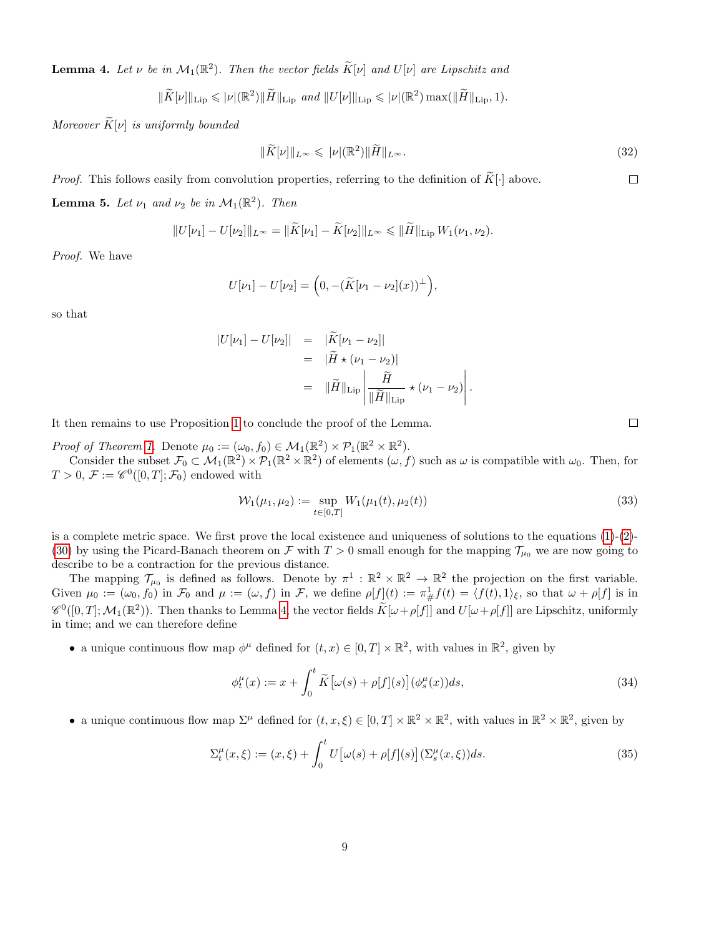<span id="page-8-0"></span>**Lemma 4.** Let  $\nu$  be in  $\mathcal{M}_1(\mathbb{R}^2)$ . Then the vector fields  $\widetilde{K}[\nu]$  and  $U[\nu]$  are Lipschitz and

 $\|\widetilde{K}[\nu]\|_{\text{Lip}} \leqslant |\nu|(\mathbb{R}^2) \|\widetilde{H}\|_{\text{Lip}} \text{ and } \|U[\nu]\|_{\text{Lip}} \leqslant |\nu|(\mathbb{R}^2) \max(||\widetilde{H}\|_{\text{Lip}}, 1).$ 

Moreover  $\widetilde{K}[\nu]$  is uniformly bounded

<span id="page-8-1"></span>
$$
\|\widetilde{K}[\nu]\|_{L^{\infty}} \leqslant |\nu|(\mathbb{R}^2) \|\widetilde{H}\|_{L^{\infty}}.
$$
\n(32)

*Proof.* This follows easily from convolution properties, referring to the definition of  $\widetilde{K}[\cdot]$  above.

<span id="page-8-4"></span>**Lemma 5.** Let  $\nu_1$  and  $\nu_2$  be in  $\mathcal{M}_1(\mathbb{R}^2)$ . Then

$$
||U[\nu_1] - U[\nu_2]||_{L^{\infty}} = ||\widetilde{K}[\nu_1] - \widetilde{K}[\nu_2]||_{L^{\infty}} \leq ||\widetilde{H}||_{\text{Lip}} W_1(\nu_1, \nu_2).
$$

Proof. We have

$$
U[\nu_1] - U[\nu_2] = (0, -(\widetilde{K}[\nu_1 - \nu_2](x))^{\perp}),
$$

so that

$$
|U[\nu_1] - U[\nu_2]| = |\widetilde{K}[\nu_1 - \nu_2]|
$$
  
=  $|\widetilde{H} \star (\nu_1 - \nu_2)|$   
=  $||\widetilde{H}||_{\text{Lip}} \left| \frac{\widetilde{H}}{||\widetilde{H}||_{\text{Lip}}} \star (\nu_1 - \nu_2) \right|.$ 

It then remains to use Proposition [1](#page-4-1) to conclude the proof of the Lemma.

Proof of Theorem [1.](#page-7-2) Denote  $\mu_0 := (\omega_0, f_0) \in \mathcal{M}_1(\mathbb{R}^2) \times \mathcal{P}_1(\mathbb{R}^2 \times \mathbb{R}^2)$ .

Consider the subset  $\mathcal{F}_0 \subset \mathcal{M}_1(\mathbb{R}^2) \times \mathcal{P}_1(\mathbb{R}^2 \times \mathbb{R}^2)$  of elements  $(\omega, f)$  such as  $\omega$  is compatible with  $\omega_0$ . Then, for  $T > 0, \, \mathcal{F} := \mathscr{C}^0([0,T];\mathcal{F}_0)$  endowed with

<span id="page-8-5"></span>
$$
\mathcal{W}_1(\mu_1, \mu_2) := \sup_{t \in [0, T]} W_1(\mu_1(t), \mu_2(t)) \tag{33}
$$

is a complete metric space. We first prove the local existence and uniqueness of solutions to the equations [\(1\)](#page-0-1)-[\(2\)](#page-0-1)- [\(30\)](#page-7-1) by using the Picard-Banach theorem on  $\mathcal F$  with  $T > 0$  small enough for the mapping  $\mathcal T_{\mu_0}$  we are now going to describe to be a contraction for the previous distance.

The mapping  $\mathcal{T}_{\mu_0}$  is defined as follows. Denote by  $\pi^1 : \mathbb{R}^2 \times \mathbb{R}^2 \to \mathbb{R}^2$  the projection on the first variable. Given  $\mu_0 := (\omega_0, f_0)$  in  $\mathcal{F}_0$  and  $\mu := (\omega, f)$  in  $\mathcal{F}$ , we define  $\rho[f](t) := \pi^1_\# f(t) = \langle f(t), 1 \rangle_\xi$ , so that  $\omega + \rho[f]$  is in  $\mathscr{C}^0([0,T];\mathcal{M}_1(\mathbb{R}^2))$ . Then thanks to Lemma [4,](#page-8-0) the vector fields  $\widetilde{K}[\omega+\rho[f]]$  and  $U[\omega+\rho[f]]$  are Lipschitz, uniformly in time; and we can therefore define

• a unique continuous flow map  $\phi^{\mu}$  defined for  $(t, x) \in [0, T] \times \mathbb{R}^{2}$ , with values in  $\mathbb{R}^{2}$ , given by

<span id="page-8-2"></span>
$$
\phi_t^{\mu}(x) := x + \int_0^t \widetilde{K} \left[ \omega(s) + \rho[f](s) \right] (\phi_s^{\mu}(x)) ds,
$$
\n(34)

• a unique continuous flow map  $\Sigma^{\mu}$  defined for  $(t, x, \xi) \in [0, T] \times \mathbb{R}^2 \times \mathbb{R}^2$ , with values in  $\mathbb{R}^2 \times \mathbb{R}^2$ , given by

<span id="page-8-3"></span>
$$
\Sigma_t^{\mu}(x,\xi) := (x,\xi) + \int_0^t U\big[\omega(s) + \rho[f](s)\big] (\Sigma_s^{\mu}(x,\xi))ds.
$$
\n(35)

 $\Box$ 

 $\Box$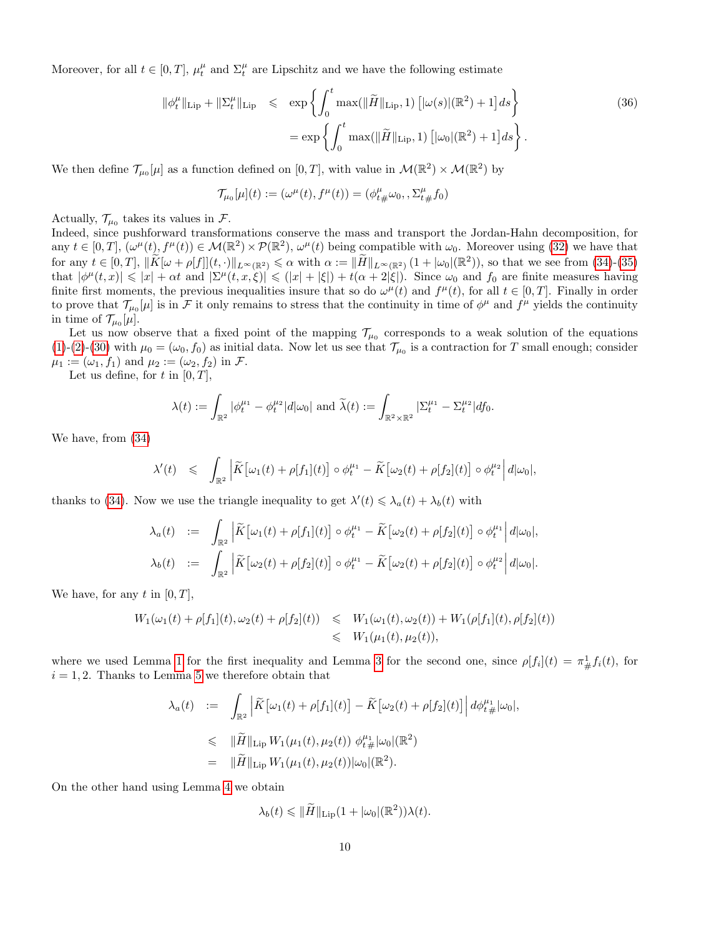Moreover, for all  $t \in [0, T]$ ,  $\mu_t^{\mu}$  and  $\Sigma_t^{\mu}$  are Lipschitz and we have the following estimate

<span id="page-9-0"></span>
$$
\|\phi_t^{\mu}\|_{\text{Lip}} + \|\Sigma_t^{\mu}\|_{\text{Lip}} \leq \exp\left\{\int_0^t \max(\|\widetilde{H}\|_{\text{Lip}}, 1) \left[|\omega(s)|(\mathbb{R}^2) + 1\right] ds\right\}
$$
\n
$$
= \exp\left\{\int_0^t \max(\|\widetilde{H}\|_{\text{Lip}}, 1) \left[|\omega_0|(\mathbb{R}^2) + 1\right] ds\right\}.
$$
\n(36)

We then define  $\mathcal{T}_{\mu_0}[\mu]$  as a function defined on  $[0,T]$ , with value in  $\mathcal{M}(\mathbb{R}^2) \times \mathcal{M}(\mathbb{R}^2)$  by

$$
\mathcal{T}_{\mu_0}[\mu](t) := (\omega^{\mu}(t), f^{\mu}(t)) = (\phi^{\mu}_{t}{}_{\#}\omega_0, \Sigma^{\mu}_{t}{}_{\#}f_0)
$$

Actually,  $\mathcal{T}_{\mu_0}$  takes its values in  $\mathcal{F}$ .

Indeed, since pushforward transformations conserve the mass and transport the Jordan-Hahn decomposition, for any  $t \in [0, T]$ ,  $(\omega^{\mu}(t), f^{\mu}(t)) \in \mathcal{M}(\mathbb{R}^2) \times \mathcal{P}(\mathbb{R}^2)$ ,  $\omega^{\mu}(t)$  being compatible with  $\omega_0$ . Moreover using [\(32\)](#page-8-1) we have that for any  $t \in [0, T]$ ,  $\|\widetilde{K}[\omega + \rho[f]](t, \cdot)\|_{L^{\infty}(\mathbb{R}^2)} \leq \alpha$  with  $\alpha := \|\widetilde{H}\|_{L^{\infty}(\mathbb{R}^2)} (1 + |\omega_0|(\mathbb{R}^2))$ , so that we see from [\(34\)](#page-8-2)-[\(35\)](#page-8-3) that  $|\phi^{\mu}(t,x)| \leq |x| + \alpha t$  and  $|\Sigma^{\mu}(t,x,\xi)| \leq (|x| + |\xi|) + t(\alpha + 2|\xi|)$ . Since  $\omega_0$  and  $f_0$  are finite measures having finite first moments, the previous inequalities insure that so do  $\omega^{\mu}(t)$  and  $f^{\mu}(t)$ , for all  $t \in [0, T]$ . Finally in order to prove that  $\mathcal{T}_{\mu_0}[\mu]$  is in F it only remains to stress that the continuity in time of  $\phi^{\mu}$  and  $f^{\mu}$  yields the continuity in time of  $\mathcal{T}_{\mu_0}[\mu]$ .

Let us now observe that a fixed point of the mapping  $\mathcal{T}_{\mu_0}$  corresponds to a weak solution of the equations [\(1\)](#page-0-1)-[\(2\)](#page-0-1)-[\(30\)](#page-7-1) with  $\mu_0 = (\omega_0, f_0)$  as initial data. Now let us see that  $\mathcal{T}_{\mu_0}$  is a contraction for T small enough; consider  $\mu_1 := (\omega_1, f_1)$  and  $\mu_2 := (\omega_2, f_2)$  in  $\mathcal{F}$ .

Let us define, for t in  $[0, T]$ ,

$$
\lambda(t) := \int_{\mathbb{R}^2} |\phi_t^{\mu_1} - \phi_t^{\mu_2}|d|\omega_0| \text{ and } \widetilde{\lambda}(t) := \int_{\mathbb{R}^2 \times \mathbb{R}^2} |\Sigma_t^{\mu_1} - \Sigma_t^{\mu_2}|df_0.
$$

We have, from [\(34\)](#page-8-2)

$$
\lambda'(t) \leq \int_{\mathbb{R}^2} \left| \widetilde{K} \left[ \omega_1(t) + \rho[f_1](t) \right] \circ \phi_t^{\mu_1} - \widetilde{K} \left[ \omega_2(t) + \rho[f_2](t) \right] \circ \phi_t^{\mu_2} \right| d|\omega_0|,
$$

thanks to [\(34\)](#page-8-2). Now we use the triangle inequality to get  $\lambda'(t) \leq \lambda_a(t) + \lambda_b(t)$  with

$$
\lambda_a(t) := \int_{\mathbb{R}^2} \left| \widetilde{K} \left[ \omega_1(t) + \rho[f_1](t) \right] \circ \phi_t^{\mu_1} - \widetilde{K} \left[ \omega_2(t) + \rho[f_2](t) \right] \circ \phi_t^{\mu_1} \right| d|\omega_0|,
$$
  

$$
\lambda_b(t) := \int_{\mathbb{R}^2} \left| \widetilde{K} \left[ \omega_2(t) + \rho[f_2](t) \right] \circ \phi_t^{\mu_1} - \widetilde{K} \left[ \omega_2(t) + \rho[f_2](t) \right] \circ \phi_t^{\mu_2} \right| d|\omega_0|.
$$

We have, for any t in  $[0, T]$ ,

$$
W_1(\omega_1(t) + \rho[f_1](t), \omega_2(t) + \rho[f_2](t)) \leq W_1(\omega_1(t), \omega_2(t)) + W_1(\rho[f_1](t), \rho[f_2](t))
$$
  

$$
\leq W_1(\mu_1(t), \mu_2(t)),
$$

where we used Lemma [1](#page-4-2) for the first inequality and Lemma [3](#page-5-2) for the second one, since  $\rho[f_i](t) = \pi^1_{\#} f_i(t)$ , for  $i = 1, 2$ . Thanks to Lemma [5](#page-8-4) we therefore obtain that

$$
\lambda_a(t) := \int_{\mathbb{R}^2} \left| \widetilde{K} \left[ \omega_1(t) + \rho[f_1](t) \right] - \widetilde{K} \left[ \omega_2(t) + \rho[f_2](t) \right] \right| d\phi_{t}^{\mu_1} |\omega_0|,
$$
  
\n
$$
\leq \|\widetilde{H}\|_{\text{Lip}} W_1(\mu_1(t), \mu_2(t)) \phi_{t}^{\mu_1} |\omega_0|(\mathbb{R}^2)
$$
  
\n
$$
= \|\widetilde{H}\|_{\text{Lip}} W_1(\mu_1(t), \mu_2(t)) |\omega_0|(\mathbb{R}^2).
$$

On the other hand using Lemma [4](#page-8-0) we obtain

$$
\lambda_b(t) \leq \|\widetilde{H}\|_{\mathrm{Lip}}(1+|\omega_0|(\mathbb{R}^2))\lambda(t).
$$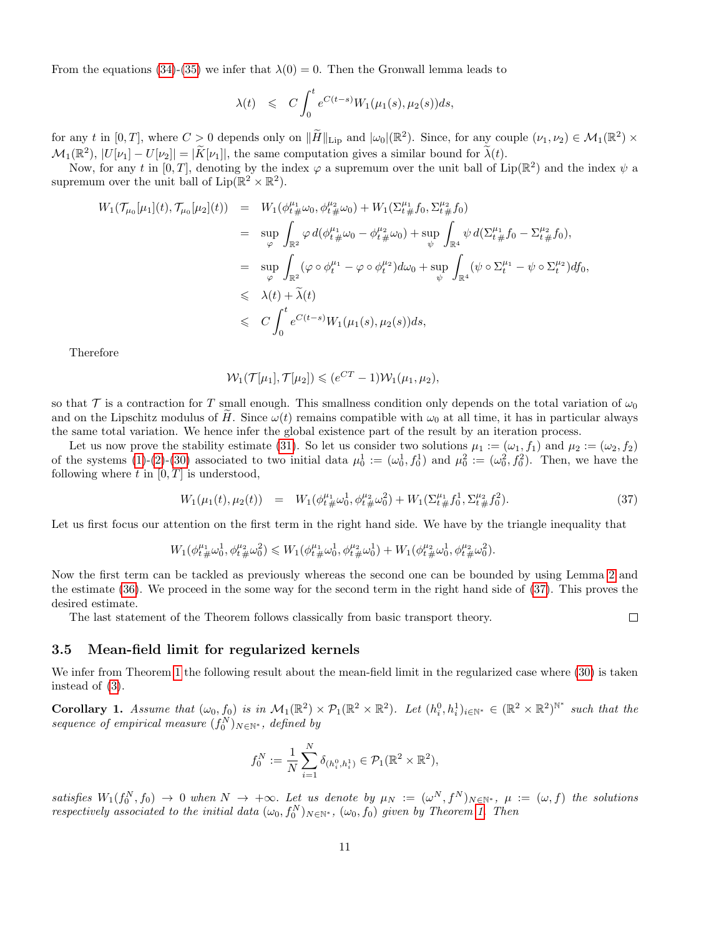From the equations [\(34\)](#page-8-2)-[\(35\)](#page-8-3) we infer that  $\lambda(0) = 0$ . Then the Gronwall lemma leads to

$$
\lambda(t) \leqslant C \int_0^t e^{C(t-s)} W_1(\mu_1(s), \mu_2(s)) ds,
$$

for any t in  $[0, T]$ , where  $C > 0$  depends only on  $\|\tilde{H}\|_{\text{Lip}}$  and  $|\omega_0|(\mathbb{R}^2)$ . Since, for any couple  $(\nu_1, \nu_2) \in \mathcal{M}_1(\mathbb{R}^2) \times$  $\mathcal{M}_1(\mathbb{R}^2), |U[\nu_1] - U[\nu_2]| = |\widetilde{K}[\nu_1]|$ , the same computation gives a similar bound for  $\widetilde{\lambda}(t)$ .

Now, for any t in [0, T], denoting by the index  $\varphi$  a supremum over the unit ball of Lip( $\mathbb{R}^2$ ) and the index  $\psi$  a supremum over the unit ball of  $\text{Lip}(\mathbb{R}^2 \times \mathbb{R}^2)$ .

$$
W_{1}(\mathcal{T}_{\mu_{0}}[\mu_{1}](t),\mathcal{T}_{\mu_{0}}[\mu_{2}](t)) = W_{1}(\phi_{t}^{\mu_{1}}\omega_{0},\phi_{t}^{\mu_{2}}\omega_{0}) + W_{1}(\Sigma_{t}^{\mu_{1}}f_{0},\Sigma_{t}^{\mu_{2}}f_{0})
$$
  
\n
$$
= \sup_{\varphi} \int_{\mathbb{R}^{2}} \varphi d(\phi_{t}^{\mu_{1}}\omega_{0} - \phi_{t}^{\mu_{2}}\omega_{0}) + \sup_{\psi} \int_{\mathbb{R}^{4}} \psi d(\Sigma_{t}^{\mu_{1}}f_{0} - \Sigma_{t}^{\mu_{2}}f_{0}),
$$
  
\n
$$
= \sup_{\varphi} \int_{\mathbb{R}^{2}} (\varphi \circ \phi_{t}^{\mu_{1}} - \varphi \circ \phi_{t}^{\mu_{2}}) d\omega_{0} + \sup_{\psi} \int_{\mathbb{R}^{4}} (\psi \circ \Sigma_{t}^{\mu_{1}} - \psi \circ \Sigma_{t}^{\mu_{2}}) df_{0},
$$
  
\n
$$
\leq \lambda(t) + \tilde{\lambda}(t)
$$
  
\n
$$
\leq C \int_{0}^{t} e^{C(t-s)} W_{1}(\mu_{1}(s), \mu_{2}(s)) ds,
$$

Therefore

$$
\mathcal{W}_1(\mathcal{T}[\mu_1], \mathcal{T}[\mu_2]) \leqslant (e^{CT} - 1)\mathcal{W}_1(\mu_1, \mu_2),
$$

so that T is a contraction for T small enough. This smallness condition only depends on the total variation of  $\omega_0$ and on the Lipschitz modulus of H. Since  $\omega(t)$  remains compatible with  $\omega_0$  at all time, it has in particular always the same total variation. We hence infer the global existence part of the result by an iteration process.

Let us now prove the stability estimate [\(31\)](#page-7-3). So let us consider two solutions  $\mu_1 := (\omega_1, f_1)$  and  $\mu_2 := (\omega_2, f_2)$ of the systems [\(1\)](#page-0-1)-[\(2\)](#page-0-1)-[\(30\)](#page-7-1) associated to two initial data  $\mu_0^1 := (\omega_0^1, f_0^1)$  and  $\mu_0^2 := (\omega_0^2, f_0^2)$ . Then, we have the following where  $t$  in  $[0, T]$  is understood,

<span id="page-10-0"></span>
$$
W_1(\mu_1(t), \mu_2(t)) = W_1(\phi_{t}^{\mu_1} \omega_0^1, \phi_{t}^{\mu_2} \omega_0^2) + W_1(\Sigma_{t}^{\mu_1} f_0^1, \Sigma_{t}^{\mu_2} f_0^2).
$$
\n(37)

 $\Box$ 

Let us first focus our attention on the first term in the right hand side. We have by the triangle inequality that

$$
W_1(\phi_{t\,\#}^{\mu_1}\omega_0^1,\phi_{t\,\#}^{\mu_2}\omega_0^2)\leqslant W_1(\phi_{t\,\#}^{\mu_1}\omega_0^1,\phi_{t\,\#}^{\mu_2}\omega_0^1)+W_1(\phi_{t\,\#}^{\mu_2}\omega_0^1,\phi_{t\,\#}^{\mu_2}\omega_0^2).
$$

Now the first term can be tackled as previously whereas the second one can be bounded by using Lemma [2](#page-5-3) and the estimate [\(36\)](#page-9-0). We proceed in the some way for the second term in the right hand side of [\(37\)](#page-10-0). This proves the desired estimate.

The last statement of the Theorem follows classically from basic transport theory.

# 3.5 Mean-field limit for regularized kernels

We infer from Theorem [1](#page-7-2) the following result about the mean-field limit in the regularized case where  $(30)$  is taken instead of [\(3\)](#page-0-0).

**Corollary 1.** Assume that  $(\omega_0, f_0)$  is in  $\mathcal{M}_1(\mathbb{R}^2) \times \mathcal{P}_1(\mathbb{R}^2 \times \mathbb{R}^2)$ . Let  $(h_i^0, h_i^1)_{i \in \mathbb{N}^*} \in (\mathbb{R}^2 \times \mathbb{R}^2)^{\mathbb{N}^*}$  such that the sequence of empirical measure  $(f_0^N)_{N \in \mathbb{N}^*}$ , defined by

$$
f_0^N := \frac{1}{N} \sum_{i=1}^N \delta_{(h_i^0, h_i^1)} \in \mathcal{P}_1(\mathbb{R}^2 \times \mathbb{R}^2),
$$

satisfies  $W_1(f_0^N, f_0) \to 0$  when  $N \to +\infty$ . Let us denote by  $\mu_N := (\omega^N, f^N)_{N \in \mathbb{N}^*}$ ,  $\mu := (\omega, f)$  the solutions respectively associated to the initial data  $(\omega_0, f_0^N)_{N \in \mathbb{N}^*}$ ,  $(\omega_0, f_0)$  given by Theorem [1.](#page-7-2) Then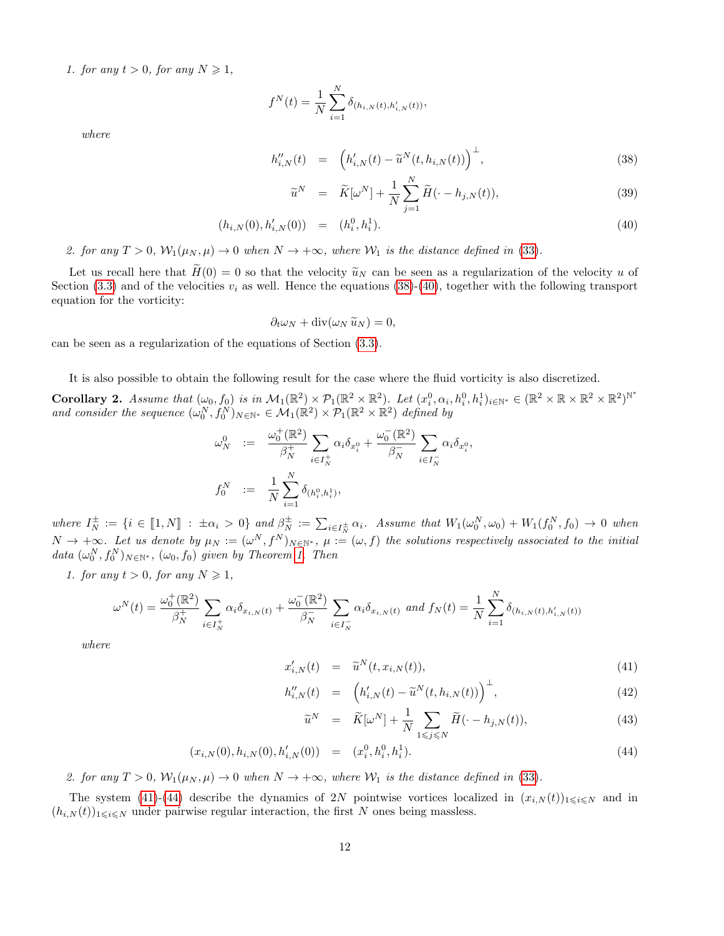1. for any  $t > 0$ , for any  $N \geq 1$ ,

$$
f^{N}(t) = \frac{1}{N} \sum_{i=1}^{N} \delta_{(h_{i,N}(t),h'_{i,N}(t))},
$$

where

<span id="page-11-0"></span>
$$
h''_{i,N}(t) = \left( h'_{i,N}(t) - \tilde{u}^N(t, h_{i,N}(t)) \right)^{\perp}, \tag{38}
$$

$$
\widetilde{u}^N = \widetilde{K}[\omega^N] + \frac{1}{N} \sum_{j=1}^N \widetilde{H}(\cdot - h_{j,N}(t)),\tag{39}
$$

$$
(h_{i,N}(0), h'_{i,N}(0)) = (h_i^0, h_i^1). \tag{40}
$$

2. for any  $T > 0$ ,  $\mathcal{W}_1(\mu_N, \mu) \to 0$  when  $N \to +\infty$ , where  $\mathcal{W}_1$  is the distance defined in [\(33\)](#page-8-5).

Let us recall here that  $H(0) = 0$  so that the velocity  $\tilde{u}_N$  can be seen as a regularization of the velocity u of Section [\(3.3\)](#page-6-4) and of the velocities  $v_i$  as well. Hence the equations [\(38\)](#page-11-0)-[\(40\)](#page-11-0), together with the following transport equation for the vorticity:

$$
\partial_t \omega_N + \mathrm{div}(\omega_N \, \widetilde{u}_N) = 0,
$$

can be seen as a regularization of the equations of Section [\(3.3\)](#page-6-4).

It is also possible to obtain the following result for the case where the fluid vorticity is also discretized.

**Corollary 2.** Assume that  $(\omega_0, f_0)$  is in  $\mathcal{M}_1(\mathbb{R}^2) \times \mathcal{P}_1(\mathbb{R}^2 \times \mathbb{R}^2)$ . Let  $(x_i^0, \alpha_i, h_i^0, h_i^1)_{i \in \mathbb{N}^*} \in (\mathbb{R}^2 \times \mathbb{R} \times \mathbb{R}^2 \times \mathbb{R}^2)^{\mathbb{N}^*}$ and consider the sequence  $(\omega_0^N, f_0^N)_{N \in \mathbb{N}^*} \in \mathcal{M}_1(\mathbb{R}^2) \times \mathcal{P}_1(\mathbb{R}^2 \times \mathbb{R}^2)$  defined by

$$
\omega_N^0 := \frac{\omega_0^+(\mathbb{R}^2)}{\beta_N^+} \sum_{i \in I_N^+} \alpha_i \delta_{x_i^0} + \frac{\omega_0^-(\mathbb{R}^2)}{\beta_N^-} \sum_{i \in I_N^-} \alpha_i \delta_{x_i^0},
$$
  

$$
f_0^N := \frac{1}{N} \sum_{i=1}^N \delta_{(h_i^0, h_i^1)},
$$

where  $I_N^{\pm} := \{i \in [\![1,N]\!] : \pm \alpha_i > 0\}$  and  $\beta_N^{\pm} := \sum_{i \in I_N^{\pm}} \alpha_i$ . Assume that  $W_1(\omega_0^N, \omega_0) + W_1(f_0^N, f_0) \to 0$  when  $N \to +\infty$ . Let us denote by  $\mu_N := (\omega^N, f^N)_{N \in \mathbb{N}^*}, \mu := (\omega, f)$  the solutions respectively associated to the initial data  $(\omega_0^N, f_0^N)_{N \in \mathbb{N}^*}$ ,  $(\omega_0, f_0)$  given by Theorem [1.](#page-7-2) Then

1. for any  $t > 0$ , for any  $N \geq 1$ ,

$$
\omega^{N}(t) = \frac{\omega_{0}^{+}(\mathbb{R}^{2})}{\beta_{N}^{+}} \sum_{i \in I_{N}^{+}} \alpha_{i} \delta_{x_{i,N}(t)} + \frac{\omega_{0}^{-}(\mathbb{R}^{2})}{\beta_{N}^{-}} \sum_{i \in I_{N}^{-}} \alpha_{i} \delta_{x_{i,N}(t)} \text{ and } f_{N}(t) = \frac{1}{N} \sum_{i=1}^{N} \delta_{(h_{i,N}(t),h'_{i,N}(t))}
$$

where

$$
x'_{i,N}(t) = \tilde{u}^{N}(t, x_{i,N}(t)), \qquad (41)
$$

<span id="page-11-1"></span>
$$
h''_{i,N}(t) = \left( h'_{i,N}(t) - \tilde{u}^N(t, h_{i,N}(t)) \right)^{\perp}, \tag{42}
$$

$$
\widetilde{u}^N = \widetilde{K}[\omega^N] + \frac{1}{N} \sum_{1 \le j \le N} \widetilde{H}(\cdot - h_{j,N}(t)),\tag{43}
$$

$$
(x_{i,N}(0), h_{i,N}(0), h'_{i,N}(0)) = (x_i^0, h_i^0, h_i^1). \tag{44}
$$

2. for any  $T > 0$ ,  $W_1(\mu_N, \mu) \to 0$  when  $N \to +\infty$ , where  $W_1$  is the distance defined in [\(33\)](#page-8-5).

The system [\(41\)](#page-11-1)-[\(44\)](#page-11-1) describe the dynamics of 2N pointwise vortices localized in  $(x_{i,N}(t))_{1\leq i\leq N}$  and in  $(h_{i,N}(t))_{1\leq i\leq N}$  under pairwise regular interaction, the first N ones being massless.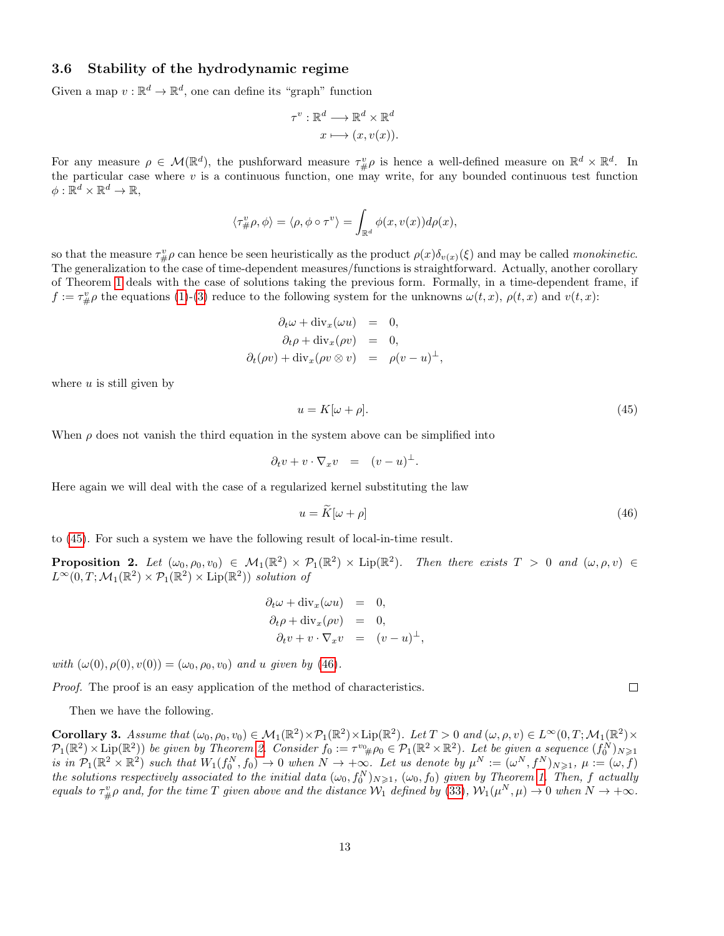### <span id="page-12-3"></span>3.6 Stability of the hydrodynamic regime

Given a map  $v : \mathbb{R}^d \to \mathbb{R}^d$ , one can define its "graph" function

$$
\tau^v : \mathbb{R}^d \longrightarrow \mathbb{R}^d \times \mathbb{R}^d
$$

$$
x \longmapsto (x, v(x)).
$$

For any measure  $\rho \in \mathcal{M}(\mathbb{R}^d)$ , the pushforward measure  $\tau^v_{\#}\rho$  is hence a well-defined measure on  $\mathbb{R}^d \times \mathbb{R}^d$ . In the particular case where  $v$  is a continuous function, one may write, for any bounded continuous test function  $\phi: \mathbb{R}^d \times \mathbb{R}^d \to \mathbb{R},$ 

$$
\langle \tau^v_{\#}\rho, \phi \rangle = \langle \rho, \phi \circ \tau^v \rangle = \int_{\mathbb{R}^d} \phi(x, v(x)) d\rho(x),
$$

so that the measure  $\tau^v_{\#}\rho$  can hence be seen heuristically as the product  $\rho(x)\delta_{v(x)}(\xi)$  and may be called *monokinetic*. The generalization to the case of time-dependent measures/functions is straightforward. Actually, another corollary of Theorem [1](#page-7-2) deals with the case of solutions taking the previous form. Formally, in a time-dependent frame, if  $f := \tau^v_{\#} \rho$  the equations [\(1\)](#page-0-1)-[\(3\)](#page-0-0) reduce to the following system for the unknowns  $\omega(t, x)$ ,  $\rho(t, x)$  and  $v(t, x)$ :

$$
\partial_t \omega + \text{div}_x(\omega u) = 0,
$$
  
\n
$$
\partial_t \rho + \text{div}_x(\rho v) = 0,
$$
  
\n
$$
\partial_t(\rho v) + \text{div}_x(\rho v \otimes v) = \rho(v - u)^{\perp},
$$

where  $u$  is still given by

<span id="page-12-0"></span>
$$
u = K[\omega + \rho].\tag{45}
$$

When  $\rho$  does not vanish the third equation in the system above can be simplified into

$$
\partial_t v + v \cdot \nabla_x v = (v - u)^{\perp}.
$$

Here again we will deal with the case of a regularized kernel substituting the law

<span id="page-12-1"></span>
$$
u = \tilde{K}[\omega + \rho] \tag{46}
$$

to [\(45\)](#page-12-0). For such a system we have the following result of local-in-time result.

<span id="page-12-2"></span>**Proposition 2.** Let  $(\omega_0, \rho_0, v_0) \in M_1(\mathbb{R}^2) \times \mathcal{P}_1(\mathbb{R}^2) \times \text{Lip}(\mathbb{R}^2)$ . Then there exists  $T > 0$  and  $(\omega, \rho, v) \in$  $L^{\infty}(0,T; \mathcal{M}_1(\mathbb{R}^2) \times \mathcal{P}_1(\mathbb{R}^2) \times \text{Lip}(\mathbb{R}^2))$  solution of

$$
\partial_t \omega + \text{div}_x(\omega u) = 0, \n\partial_t \rho + \text{div}_x(\rho v) = 0, \n\partial_t v + v \cdot \nabla_x v = (v - u)^{\perp},
$$

with  $(\omega(0), \rho(0), v(0)) = (\omega_0, \rho_0, v_0)$  and u given by [\(46\)](#page-12-1).

Proof. The proof is an easy application of the method of characteristics.

Then we have the following.

Corollary 3. Assume that  $(\omega_0, \rho_0, v_0) \in \mathcal{M}_1(\mathbb{R}^2) \times \mathcal{P}_1(\mathbb{R}^2) \times \text{Lip}(\mathbb{R}^2)$ . Let  $T > 0$  and  $(\omega, \rho, v) \in L^{\infty}(0, T; \mathcal{M}_1(\mathbb{R}^2) \times$  $\mathcal{P}_1(\mathbb{R}^2) \times \text{Lip}(\mathbb{R}^2)$ ) be given by Theorem [2.](#page-12-2) Consider  $f_0 := \tau^{v_0} \# \rho_0 \in \mathcal{P}_1(\mathbb{R}^2 \times \mathbb{R}^2)$ . Let be given a sequence  $(f_0^N)_{N \geq 1}$ is in  $\mathcal{P}_1(\mathbb{R}^2 \times \mathbb{R}^2)$  such that  $W_1(f_0^N, f_0) \to 0$  when  $N \to +\infty$ . Let us denote by  $\mu^N := (\omega^N, f^N)_{N \geqslant 1}$ ,  $\mu := (\omega, f)$ the solutions respectively associated to the initial data  $(\omega_0, f_0^N)_{N\geqslant1}$ ,  $(\omega_0, f_0)$  given by Theorem [1.](#page-7-2) Then, f actually equals to  $\tau^v_{\#}\rho$  and, for the time T given above and the distance  $\mathcal{W}_1$  defined by [\(33\)](#page-8-5),  $\mathcal{W}_1(\mu^N,\mu) \to 0$  when  $N \to +\infty$ .

 $\Box$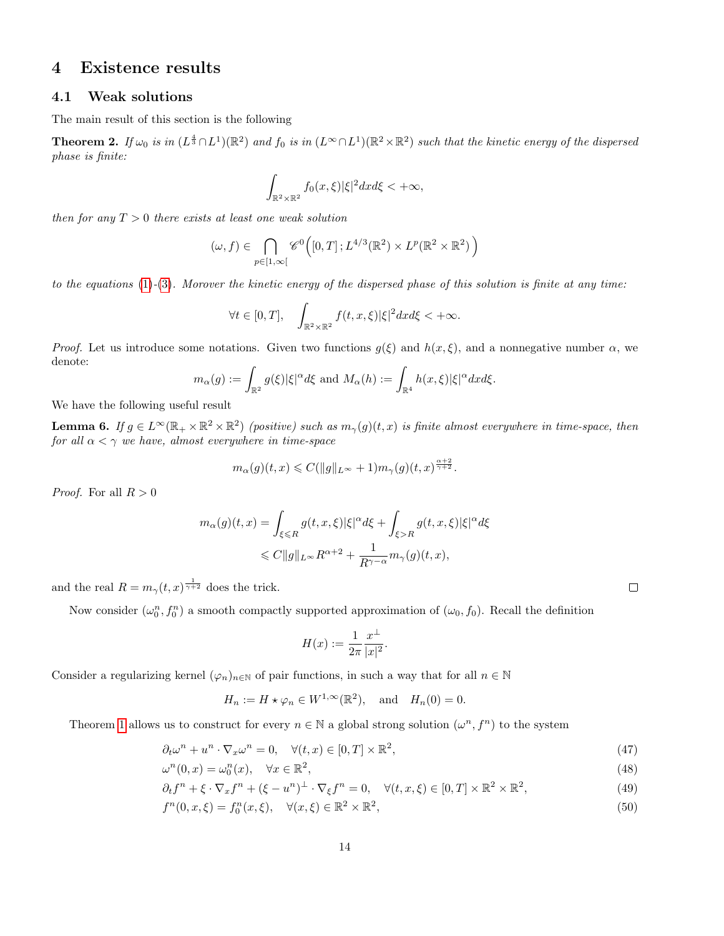# <span id="page-13-0"></span>4 Existence results

### 4.1 Weak solutions

The main result of this section is the following

**Theorem 2.** If  $\omega_0$  is in  $(L^{\frac{4}{3}} \cap L^1)(\mathbb{R}^2)$  and  $f_0$  is in  $(L^{\infty} \cap L^1)(\mathbb{R}^2 \times \mathbb{R}^2)$  such that the kinetic energy of the dispersed phase is finite:

$$
\int_{\mathbb{R}^2 \times \mathbb{R}^2} f_0(x,\xi) |\xi|^2 dx d\xi < +\infty,
$$

then for any  $T > 0$  there exists at least one weak solution

$$
(\omega, f) \in \bigcap_{p \in [1,\infty[} \mathscr{C}^0([0,T]; L^{4/3}(\mathbb{R}^2) \times L^p(\mathbb{R}^2 \times \mathbb{R}^2))
$$

to the equations [\(1\)](#page-0-1)-[\(3\)](#page-0-0). Morover the kinetic energy of the dispersed phase of this solution is finite at any time:

$$
\forall t \in [0, T], \quad \int_{\mathbb{R}^2 \times \mathbb{R}^2} f(t, x, \xi) |\xi|^2 dx d\xi < +\infty.
$$

*Proof.* Let us introduce some notations. Given two functions  $g(\xi)$  and  $h(x, \xi)$ , and a nonnegative number  $\alpha$ , we denote:

$$
m_{\alpha}(g) := \int_{\mathbb{R}^2} g(\xi) |\xi|^{\alpha} d\xi \text{ and } M_{\alpha}(h) := \int_{\mathbb{R}^4} h(x,\xi) |\xi|^{\alpha} dx d\xi.
$$

We have the following useful result

<span id="page-13-1"></span>**Lemma 6.** If  $g \in L^{\infty}(\mathbb{R}_+ \times \mathbb{R}^2 \times \mathbb{R}^2)$  (positive) such as  $m_{\gamma}(g)(t, x)$  is finite almost everywhere in time-space, then for all  $\alpha < \gamma$  we have, almost everywhere in time-space

$$
m_{\alpha}(g)(t,x) \leqslant C(\|g\|_{L^{\infty}} + 1)m_{\gamma}(g)(t,x)^{\frac{\alpha+2}{\gamma+2}}.
$$

 $\alpha + 2$ 

*Proof.* For all  $R > 0$ 

$$
\begin{aligned} m_{\alpha}(g)(t,x) &= \int_{\xi \leqslant R} g(t,x,\xi) |\xi|^{\alpha} d\xi + \int_{\xi > R} g(t,x,\xi) |\xi|^{\alpha} d\xi \\ &\leqslant C \|g\|_{L^{\infty}} R^{\alpha+2} + \frac{1}{R^{\gamma-\alpha}} m_{\gamma}(g)(t,x), \end{aligned}
$$

and the real  $R = m_{\gamma}(t,x)^{\frac{1}{\gamma+2}}$  does the trick.

Now consider  $(\omega_0^n, f_0^n)$  a smooth compactly supported approximation of  $(\omega_0, f_0)$ . Recall the definition

$$
H(x) := \frac{1}{2\pi} \frac{x^{\perp}}{|x|^2}.
$$

Consider a regularizing kernel  $(\varphi_n)_{n\in\mathbb{N}}$  of pair functions, in such a way that for all  $n \in \mathbb{N}$ 

$$
H_n := H \star \varphi_n \in W^{1,\infty}(\mathbb{R}^2), \text{ and } H_n(0) = 0.
$$

Theorem [1](#page-7-2) allows us to construct for every  $n \in \mathbb{N}$  a global strong solution  $(\omega^n, f^n)$  to the system

$$
\partial_t \omega^n + u^n \cdot \nabla_x \omega^n = 0, \quad \forall (t, x) \in [0, T] \times \mathbb{R}^2,
$$
\n
$$
(47)
$$

$$
\omega^n(0, x) = \omega_0^n(x), \quad \forall x \in \mathbb{R}^2,
$$
\n
$$
(48)
$$

$$
\partial_t f^n + \xi \cdot \nabla_x f^n + (\xi - u^n)^\perp \cdot \nabla_\xi f^n = 0, \quad \forall (t, x, \xi) \in [0, T] \times \mathbb{R}^2 \times \mathbb{R}^2,
$$
\n
$$
(49)
$$

$$
f^{n}(0, x, \xi) = f_0^{n}(x, \xi), \quad \forall (x, \xi) \in \mathbb{R}^2 \times \mathbb{R}^2,
$$
\n
$$
(50)
$$

<span id="page-13-5"></span><span id="page-13-4"></span><span id="page-13-3"></span><span id="page-13-2"></span> $\Box$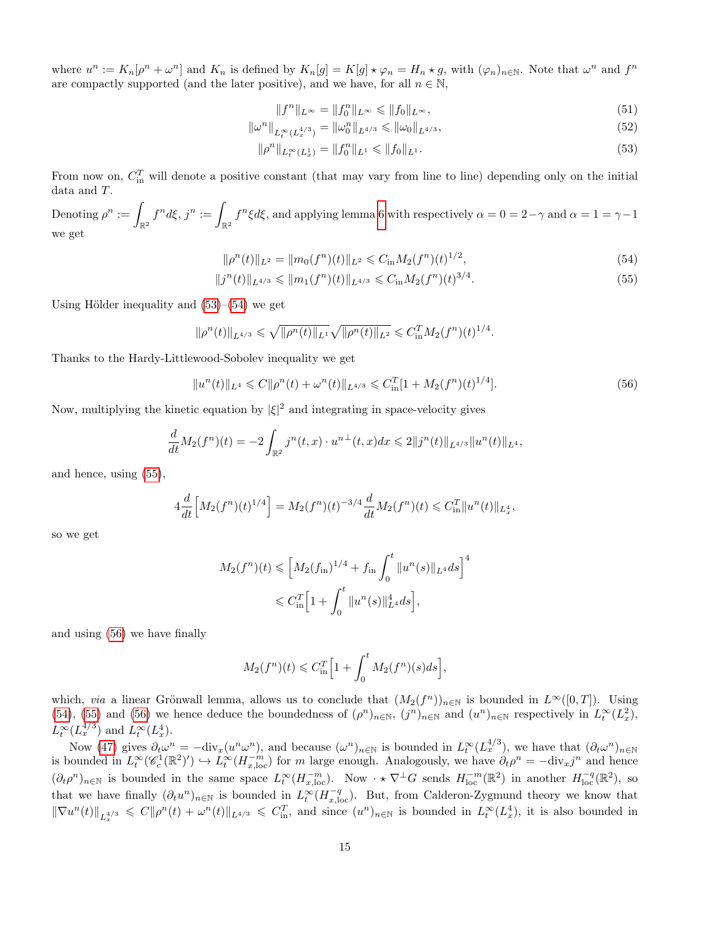where  $u^n := K_n[\rho^n + \omega^n]$  and  $K_n$  is defined by  $K_n[g] = K[g] \star \varphi_n = H_n \star g$ , with  $(\varphi_n)_{n \in \mathbb{N}}$ . Note that  $\omega^n$  and  $f^n$ are compactly supported (and the later positive), and we have, for all  $n \in \mathbb{N}$ ,

<span id="page-14-5"></span><span id="page-14-4"></span><span id="page-14-2"></span><span id="page-14-1"></span><span id="page-14-0"></span>
$$
||f^n||_{L^{\infty}} = ||f_0^n||_{L^{\infty}} \le ||f_0||_{L^{\infty}},
$$
\n(51)

$$
\|\omega^n\|_{L_t^{\infty}(L_x^{4/3})} = \|\omega_0^n\|_{L^{4/3}} \le \|\omega_0\|_{L^{4/3}},\tag{52}
$$

$$
\|\rho^n\|_{L_t^{\infty}(L_x^1)} = \|f_0^n\|_{L^1} \le \|f_0\|_{L^1}.
$$
\n(53)

From now on,  $C_{\text{in}}^T$  will denote a positive constant (that may vary from line to line) depending only on the initial data and T.

 $\text{Denoting }\rho^n:=\int_{\mathbb{R}^2}f^n d\xi,\,j^n:=\int_{\mathbb{R}^2}f^n \xi d\xi, \,\text{and applying lemma 6 with respectively }\alpha=0=2-\gamma\text{ and }\alpha=1=\gamma-1.$  $\text{Denoting }\rho^n:=\int_{\mathbb{R}^2}f^n d\xi,\,j^n:=\int_{\mathbb{R}^2}f^n \xi d\xi, \,\text{and applying lemma 6 with respectively }\alpha=0=2-\gamma\text{ and }\alpha=1=\gamma-1.$  $\text{Denoting }\rho^n:=\int_{\mathbb{R}^2}f^n d\xi,\,j^n:=\int_{\mathbb{R}^2}f^n \xi d\xi, \,\text{and applying lemma 6 with respectively }\alpha=0=2-\gamma\text{ and }\alpha=1=\gamma-1.$ we get

<span id="page-14-3"></span>
$$
\|\rho^n(t)\|_{L^2} = \|m_0(f^n)(t)\|_{L^2} \leq C_{\text{in}} M_2(f^n)(t)^{1/2},\tag{54}
$$

$$
||j^{n}(t)||_{L^{4/3}} \leq ||m_{1}(f^{n})(t)||_{L^{4/3}} \leq C_{\text{in}}M_{2}(f^{n})(t)^{3/4}.
$$
\n(55)

Using Hölder inequality and  $(53)–(54)$  $(53)–(54)$  $(53)–(54)$  we get

$$
\|\rho^n(t)\|_{L^{4/3}} \leqslant \sqrt{\|\rho^n(t)\|_{L^1}} \sqrt{\|\rho^n(t)\|_{L^2}} \leqslant C_{\text{in}}^T M_2(f^n)(t)^{1/4}.
$$

Thanks to the Hardy-Littlewood-Sobolev inequality we get

$$
||u^{n}(t)||_{L^{4}} \leq C||\rho^{n}(t) + \omega^{n}(t)||_{L^{4/3}} \leq C_{\text{in}}^{T}[1 + M_{2}(f^{n})(t)^{1/4}].
$$
\n(56)

Now, multiplying the kinetic equation by  $|\xi|^2$  and integrating in space-velocity gives

$$
\frac{d}{dt}M_2(f^n)(t) = -2\int_{\mathbb{R}^2} j^n(t,x) \cdot u^{n\perp}(t,x) dx \leq 2||j^n(t)||_{L^{4/3}}||u^n(t)||_{L^4},
$$

and hence, using [\(55\)](#page-14-2),

$$
4\frac{d}{dt}\Big[M_2(f^n)(t)^{1/4}\Big] = M_2(f^n)(t)^{-3/4}\frac{d}{dt}M_2(f^n)(t) \leq C_{\text{in}}^T \|u^n(t)\|_{L_x^4},
$$

so we get

$$
M_2(f^n)(t) \le \left[ M_2(f_{\text{in}})^{1/4} + f_{\text{in}} \int_0^t \|u^n(s)\|_{L^4} ds \right]^4
$$
  

$$
\le C_{\text{in}}^T \left[ 1 + \int_0^t \|u^n(s)\|_{L^4}^4 ds \right],
$$

and using [\(56\)](#page-14-3) we have finally

$$
M_2(f^n)(t) \leq C_{\text{in}}^T \Big[ 1 + \int_0^t M_2(f^n)(s)ds \Big],
$$

which, via a linear Grönwall lemma, allows us to conclude that  $(M_2(f^n))_{n\in\mathbb{N}}$  is bounded in  $L^{\infty}([0,T])$ . Using [\(54\)](#page-14-1), [\(55\)](#page-14-2) and [\(56\)](#page-14-3) we hence deduce the boundedness of  $(\rho^n)_{n\in\mathbb{N}}$ ,  $(j^n)_{n\in\mathbb{N}}$  and  $(u^n)_{n\in\mathbb{N}}$  respectively in  $L_t^{\infty}(L_x^2)$ ,  $L_t^{\infty}(L_x^{4/3})$  and  $L_t^{\infty}(L_x^4)$ .  $t \ \{L_x$ 

Now [\(47\)](#page-13-2) gives  $\partial_t \omega^n = -\text{div}_x(u^n \omega^n)$ , and because  $(\omega^n)_{n \in \mathbb{N}}$  is bounded in  $L_t^{\infty}(L_x^{4/3})$ , we have that  $(\partial_t \omega^n)_{n \in \mathbb{N}}$ is bounded in  $L_t^{\infty}(\mathscr{C}_c^1(\mathbb{R}^2)') \hookrightarrow L_t^{\infty}(H_{x,\text{loc}}^{-m})$  for m large enough. Analogously, we have  $\partial_t \rho^n = -\text{div}_x j^n$  and hence  $(\partial_t \rho^n)_{n \in \mathbb{N}}$  is bounded in the same space  $L_t^{\infty}(H_{x,\text{loc}}^{-m})$ . Now  $\cdot \star \nabla^{\perp}G$  sends  $H_{\text{loc}}^{-m}(\mathbb{R}^2)$  in another  $H_{\text{loc}}^{-q}(\mathbb{R}^2)$ , so that we have finally  $(\partial_t u^n)_{n\in\mathbb{N}}$  is bounded in  $L_t^{\infty}(H_{x,\text{loc}}^{-q})$ . But, from Calderon-Zygmund theory we know that  $\|\nabla u^n(t)\|_{L^{4/3}_x} \leq C \|\rho^n(t) + \omega^n(t)\|_{L^{4/3}} \leq C_{\text{in}}^T$ , and since  $(u^n)_{n\in\mathbb{N}}$  is bounded in  $L^{\infty}_t(L^4_x)$ , it is also bounded in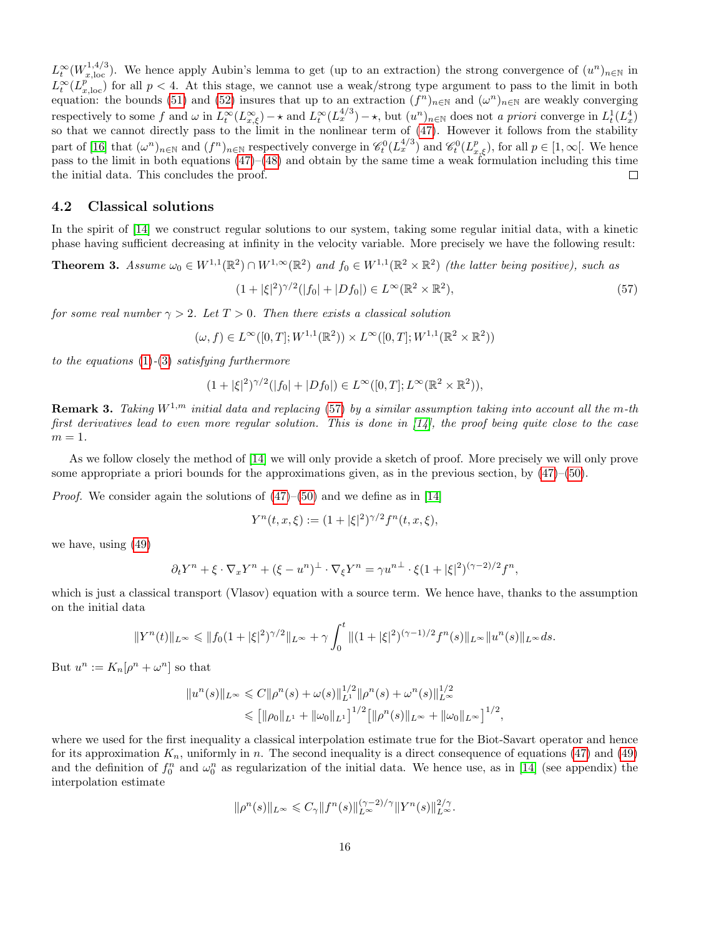$L_t^{\infty}(W_{x,\text{loc}}^{1,4/3})$ . We hence apply Aubin's lemma to get (up to an extraction) the strong convergence of  $(u^n)_{n\in\mathbb{N}}$  in  $L_t^{\infty}(L_{x,\text{loc}}^{p})$  for all  $p < 4$ . At this stage, we cannot use a weak/strong type argument to pass to the limit in both equation: the bounds [\(51\)](#page-14-4) and [\(52\)](#page-14-5) insures that up to an extraction  $(f^n)_{n\in\mathbb{N}}$  and  $(\omega^n)_{n\in\mathbb{N}}$  are weakly converging respectively to some f and  $\omega$  in  $L_t^{\infty}(L_{x,\xi}^{\infty}) \to \infty$  and  $L_t^{\infty}(L_x^{\{4/3\}}) \to \infty$ , but  $(u^n)_{n \in \mathbb{N}}$  does not a priori converge in  $L_t^1(L_x^4)$ so that we cannot directly pass to the limit in the nonlinear term of [\(47\)](#page-13-2). However it follows from the stability part of [\[16\]](#page-29-13) that  $(\omega^n)_{n\in\mathbb{N}}$  and  $(f^n)_{n\in\mathbb{N}}$  respectively converge in  $\mathscr{C}_t^0(L^{4/3}_x)$  and  $\mathscr{C}_t^0(L^p_{x,\xi})$ , for all  $p\in[1,\infty[$ . We hence pass to the limit in both equations  $(47)$ – $(48)$  and obtain by the same time a weak formulation including this time the initial data. This concludes the proof.  $\Box$ 

### 4.2 Classical solutions

In the spirit of [\[14\]](#page-29-14) we construct regular solutions to our system, taking some regular initial data, with a kinetic phase having sufficient decreasing at infinity in the velocity variable. More precisely we have the following result:

<span id="page-15-1"></span>**Theorem 3.** Assume  $\omega_0 \in W^{1,1}(\mathbb{R}^2) \cap W^{1,\infty}(\mathbb{R}^2)$  and  $f_0 \in W^{1,1}(\mathbb{R}^2 \times \mathbb{R}^2)$  (the latter being positive), such as

<span id="page-15-0"></span>
$$
(1+|\xi|^2)^{\gamma/2}(|f_0|+|Df_0|) \in L^{\infty}(\mathbb{R}^2 \times \mathbb{R}^2),\tag{57}
$$

for some real number  $\gamma > 2$ . Let  $T > 0$ . Then there exists a classical solution

$$
(\omega, f) \in L^{\infty}([0, T]; W^{1,1}(\mathbb{R}^2)) \times L^{\infty}([0, T]; W^{1,1}(\mathbb{R}^2 \times \mathbb{R}^2))
$$

to the equations [\(1\)](#page-0-1)-[\(3\)](#page-0-0) satisfying furthermore

$$
(1+|\xi|^2)^{\gamma/2}(|f_0|+|Df_0|) \in L^{\infty}([0,T];L^{\infty}(\mathbb{R}^2 \times \mathbb{R}^2)),
$$

**Remark 3.** Taking  $W^{1,m}$  initial data and replacing [\(57\)](#page-15-0) by a similar assumption taking into account all the m-th first derivatives lead to even more regular solution. This is done in  $[14]$ , the proof being quite close to the case  $m=1$ .

As we follow closely the method of [\[14\]](#page-29-14) we will only provide a sketch of proof. More precisely we will only prove some appropriate a priori bounds for the approximations given, as in the previous section, by [\(47\)](#page-13-2)–[\(50\)](#page-13-4).

*Proof.* We consider again the solutions of  $(47)$ – $(50)$  and we define as in [\[14\]](#page-29-14)

$$
Y^{n}(t, x, \xi) := (1 + |\xi|^{2})^{\gamma/2} f^{n}(t, x, \xi),
$$

we have, using [\(49\)](#page-13-5)

$$
\partial_t Y^n + \xi \cdot \nabla_x Y^n + (\xi - u^n)^{\perp} \cdot \nabla_{\xi} Y^n = \gamma u^{n\perp} \cdot \xi (1 + |\xi|^2)^{(\gamma - 2)/2} f^n,
$$

which is just a classical transport (Vlasov) equation with a source term. We hence have, thanks to the assumption on the initial data

$$
||Y^n(t)||_{L^{\infty}} \leq ||f_0(1+|\xi|^2)^{\gamma/2}||_{L^{\infty}} + \gamma \int_0^t ||(1+|\xi|^2)^{(\gamma-1)/2} f^n(s)||_{L^{\infty}} ||u^n(s)||_{L^{\infty}} ds.
$$

But  $u^n := K_n[\rho^n + \omega^n]$  so that

$$
||u^n(s)||_{L^{\infty}} \leq C||\rho^n(s) + \omega(s)||_{L^1}^{1/2}||\rho^n(s) + \omega^n(s)||_{L^{\infty}}^{1/2}
$$
  

$$
\leq [||\rho_0||_{L^1} + ||\omega_0||_{L^1}]^{1/2} [||\rho^n(s)||_{L^{\infty}} + ||\omega_0||_{L^{\infty}}]^{1/2},
$$

where we used for the first inequality a classical interpolation estimate true for the Biot-Savart operator and hence for its approximation  $K_n$ , uniformly in n. The second inequality is a direct consequence of equations [\(47\)](#page-13-2) and [\(49\)](#page-13-5) and the definition of  $f_0^n$  and  $\omega_0^n$  as regularization of the initial data. We hence use, as in [\[14\]](#page-29-14) (see appendix) the interpolation estimate

$$
\|\rho^n(s)\|_{L^\infty} \leqslant C_\gamma \|f^n(s)\|_{L^\infty}^{(\gamma-2)/\gamma} \|Y^n(s)\|_{L^\infty}^{2/\gamma}.
$$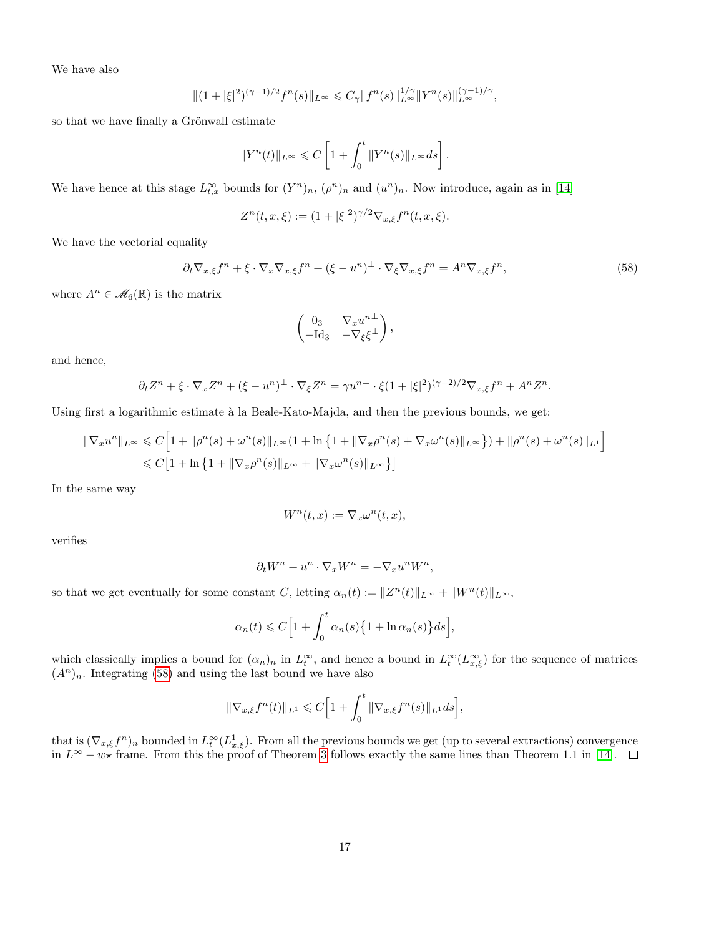We have also

$$
\|(1+|\xi|^2)^{(\gamma-1)/2}f^n(s)\|_{L^\infty}\leq C_\gamma\|f^n(s)\|_{L^\infty}^{1/\gamma}\|Y^n(s)\|_{L^\infty}^{(\gamma-1)/\gamma},
$$

so that we have finally a Grönwall estimate

$$
||Y^n(t)||_{L^{\infty}} \leqslant C\left[1 + \int_0^t ||Y^n(s)||_{L^{\infty}} ds\right].
$$

We have hence at this stage  $L_{t,x}^{\infty}$  bounds for  $(Y^n)_n$ ,  $(\rho^n)_n$  and  $(u^n)_n$ . Now introduce, again as in [\[14\]](#page-29-14)

$$
Z^{n}(t, x, \xi) := (1 + |\xi|^{2})^{\gamma/2} \nabla_{x, \xi} f^{n}(t, x, \xi).
$$

We have the vectorial equality

$$
\partial_t \nabla_{x,\xi} f^n + \xi \cdot \nabla_x \nabla_{x,\xi} f^n + (\xi - u^n)^{\perp} \cdot \nabla_{\xi} \nabla_{x,\xi} f^n = A^n \nabla_{x,\xi} f^n, \tag{58}
$$

where  $A^n \in \mathcal{M}_6(\mathbb{R})$  is the matrix

<span id="page-16-0"></span>
$$
\begin{pmatrix} 0_3 & \nabla_x u^{n\perp} \\ -\mathrm{Id}_3 & -\nabla_{\xi} \xi^{\perp} \end{pmatrix},
$$

and hence,

$$
\partial_t Z^n + \xi \cdot \nabla_x Z^n + (\xi - u^n)^\perp \cdot \nabla_\xi Z^n = \gamma u^{n\perp} \cdot \xi (1 + |\xi|^2)^{(\gamma - 2)/2} \nabla_{x, \xi} f^n + A^n Z^n.
$$

Using first a logarithmic estimate à la Beale-Kato-Majda, and then the previous bounds, we get:

$$
\|\nabla_x u^n\|_{L^\infty} \leq C \Big[ 1 + \|\rho^n(s) + \omega^n(s)\|_{L^\infty} (1 + \ln\left\{1 + \|\nabla_x \rho^n(s) + \nabla_x \omega^n(s)\|_{L^\infty}\right\}) + \|\rho^n(s) + \omega^n(s)\|_{L^1} \Big]
$$
  
\$\leq C \Big[ 1 + \ln\left\{1 + \|\nabla\_x \rho^n(s)\|\_{L^\infty} + \|\nabla\_x \omega^n(s)\|\_{L^\infty}\right\} \Big]

In the same way

$$
W^n(t,x) := \nabla_x \omega^n(t,x),
$$

verifies

$$
\partial_t W^n + u^n \cdot \nabla_x W^n = -\nabla_x u^n W^n,
$$

so that we get eventually for some constant C, letting  $\alpha_n(t) := ||Z^n(t)||_{L^{\infty}} + ||W^n(t)||_{L^{\infty}},$ 

$$
\alpha_n(t) \leqslant C \Big[ 1 + \int_0^t \alpha_n(s) \big\{ 1 + \ln \alpha_n(s) \big\} ds \Big],
$$

which classically implies a bound for  $(\alpha_n)_n$  in  $L_t^{\infty}$ , and hence a bound in  $L_t^{\infty}(L_{x,\xi}^{\infty})$  for the sequence of matrices  $(A^n)_n$ . Integrating [\(58\)](#page-16-0) and using the last bound we have also

$$
\|\nabla_{x,\xi} f^n(t)\|_{L^1} \leqslant C \Big[1 + \int_0^t \|\nabla_{x,\xi} f^n(s)\|_{L^1} ds\Big],
$$

that is  $(\nabla_{x,\xi} f^n)_n$  bounded in  $L_t^{\infty}(L_{x,\xi}^1)$ . From all the previous bounds we get (up to several extractions) convergence in  $L^{\infty} - w \star$  frame. From this the proof of Theorem [3](#page-15-1) follows exactly the same lines than Theorem 1.1 in [\[14\]](#page-29-14).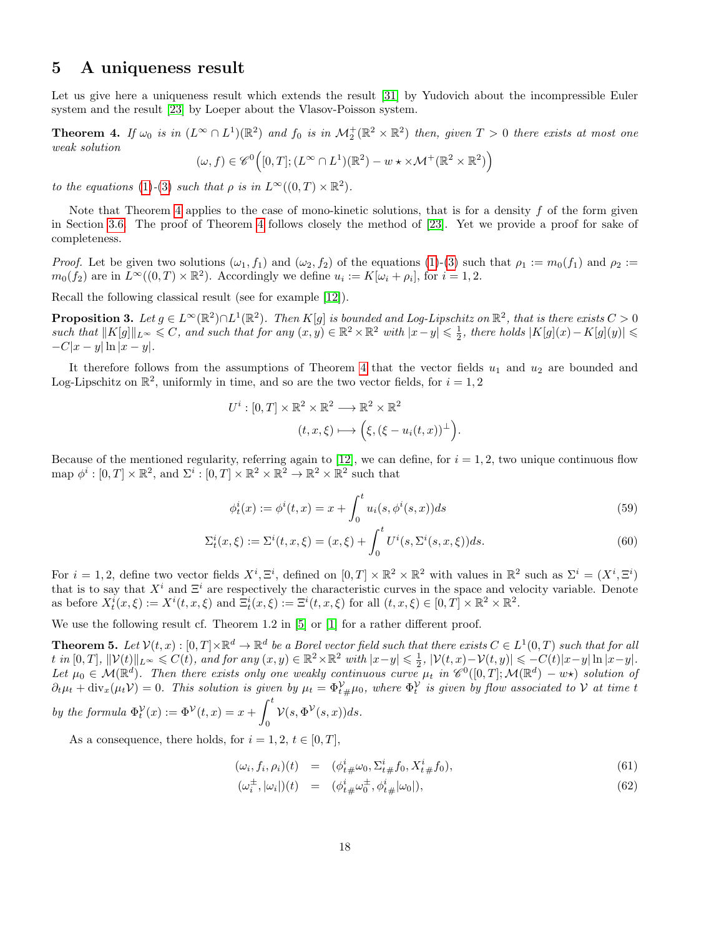### <span id="page-17-0"></span>5 A uniqueness result

Let us give here a uniqueness result which extends the result [\[31\]](#page-30-8) by Yudovich about the incompressible Euler system and the result [\[23\]](#page-30-2) by Loeper about the Vlasov-Poisson system.

<span id="page-17-1"></span>**Theorem 4.** If  $\omega_0$  is in  $(L^{\infty} \cap L^1)(\mathbb{R}^2)$  and  $f_0$  is in  $\mathcal{M}_2^+(\mathbb{R}^2 \times \mathbb{R}^2)$  then, given  $T > 0$  there exists at most one weak solution

$$
(\omega, f) \in \mathscr{C}^0\Big([0,T];(L^\infty\cap L^1)(\mathbb{R}^2)-w\star\times \mathcal{M}^+(\mathbb{R}^2\times\mathbb{R}^2)\Big)
$$

to the equations [\(1\)](#page-0-1)-[\(3\)](#page-0-0) such that  $\rho$  is in  $L^{\infty}((0,T) \times \mathbb{R}^2)$ .

Note that Theorem [4](#page-17-1) applies to the case of mono-kinetic solutions, that is for a density  $f$  of the form given in Section [3.6.](#page-12-3) The proof of Theorem [4](#page-17-1) follows closely the method of [\[23\]](#page-30-2). Yet we provide a proof for sake of completeness.

*Proof.* Let be given two solutions  $(\omega_1, f_1)$  and  $(\omega_2, f_2)$  of the equations [\(1\)](#page-0-1)-[\(3\)](#page-0-0) such that  $\rho_1 := m_0(f_1)$  and  $\rho_2 :=$  $m_0(f_2)$  are in  $L^{\infty}((0,T)\times\mathbb{R}^2)$ . Accordingly we define  $u_i := K[\omega_i + \rho_i]$ , for  $i = 1, 2$ .

Recall the following classical result (see for example [\[12\]](#page-29-15)).

**Proposition 3.** Let  $g \in L^{\infty}(\mathbb{R}^2) \cap L^1(\mathbb{R}^2)$ . Then  $K[g]$  is bounded and Log-Lipschitz on  $\mathbb{R}^2$ , that is there exists  $C > 0$ such that  $||K[g]||_{L^{\infty}} \leq C$ , and such that for any  $(x, y) \in \mathbb{R}^2 \times \mathbb{R}^2$  with  $|x-y| \leq \frac{1}{2}$ , there holds  $|K[g](x) - K[g](y)| \leq$  $-C|x-y| \ln |x-y|$ .

It therefore follows from the assumptions of Theorem [4](#page-17-1) that the vector fields  $u_1$  and  $u_2$  are bounded and Log-Lipschitz on  $\mathbb{R}^2$ , uniformly in time, and so are the two vector fields, for  $i = 1, 2$ 

$$
U^i : [0, T] \times \mathbb{R}^2 \times \mathbb{R}^2 \longrightarrow \mathbb{R}^2 \times \mathbb{R}^2
$$

$$
(t, x, \xi) \longmapsto (\xi, (\xi - u_i(t, x))^\perp).
$$

Because of the mentioned regularity, referring again to [\[12\]](#page-29-15), we can define, for  $i = 1, 2$ , two unique continuous flow map  $\phi^i : [0, T] \times \mathbb{R}^2$ , and  $\Sigma^i : [0, T] \times \mathbb{R}^2 \times \mathbb{R}^2 \to \mathbb{R}^2 \times \mathbb{R}^2$  such that

<span id="page-17-3"></span><span id="page-17-2"></span>
$$
\phi_t^i(x) := \phi^i(t, x) = x + \int_0^t u_i(s, \phi^i(s, x)) ds
$$
\n(59)

$$
\Sigma_t^i(x,\xi) := \Sigma^i(t,x,\xi) = (x,\xi) + \int_0^t U^i(s,\Sigma^i(s,x,\xi))ds.
$$
\n(60)

For  $i = 1, 2$ , define two vector fields  $X^i, \Xi^i$ , defined on  $[0, T] \times \mathbb{R}^2 \times \mathbb{R}^2$  with values in  $\mathbb{R}^2$  such as  $\Sigma^i = (X^i, \Xi^i)$ that is to say that  $X^i$  and  $\Xi^i$  are respectively the characteristic curves in the space and velocity variable. Denote as before  $X_i^i(x,\xi) := X^i(t,x,\xi)$  and  $\Xi_t^i(x,\xi) := \Xi^i(t,x,\xi)$  for all  $(t,x,\xi) \in [0,T] \times \mathbb{R}^2 \times \mathbb{R}^2$ .

We use the following result cf. Theorem 1.2 in [\[5\]](#page-29-16) or [\[1\]](#page-29-17) for a rather different proof.

**Theorem 5.** Let  $\mathcal{V}(t,x):[0,T]\times\mathbb{R}^d\to\mathbb{R}^d$  be a Borel vector field such that there exists  $C\in L^1(0,T)$  such that for all t in  $[0,T]$ ,  $\|\mathcal{V}(t)\|_{L^{\infty}} \leqslant C(t)$ , and for any  $(x,y) \in \mathbb{R}^2 \times \mathbb{R}^2$  with  $|x-y| \leqslant \frac{1}{2}$ ,  $|\mathcal{V}(t,x)-\mathcal{V}(t,y)| \leqslant -C(t)|x-y| \ln |x-y|$ . Let  $\mu_0 \in \mathcal{M}(\mathbb{R}^d)$ . Then there exists only one weakly continuous curve  $\mu_t$  in  $\mathscr{C}^0([0,T];\mathcal{M}(\mathbb{R}^d) - w\star)$  solution of  $\partial_t \mu_t + \text{div}_x(\mu_t \mathcal{V}) = 0$ . This solution is given by  $\mu_t = \Phi_{t}^{\mathcal{V}} \# \mu_0$ , where  $\Phi_t^{\mathcal{V}}$  is given by flow associated to  $\mathcal{V}$  at time t  $\int_0^t$ 

by the formula 
$$
\Phi_t^{\mathcal{V}}(x) := \Phi^{\mathcal{V}}(t, x) = x + \int_0^{\infty} \mathcal{V}(s, \Phi^{\mathcal{V}}(s, x)) ds.
$$

As a consequence, there holds, for  $i = 1, 2, t \in [0, T]$ ,

<span id="page-17-4"></span>
$$
(\omega_i, f_i, \rho_i)(t) = (\phi^i_{t\#}\omega_0, \Sigma^i_{t\#}f_0, X^i_{t\#}f_0), \tag{61}
$$

$$
(\omega_i^{\pm}, |\omega_i|)(t) = (\phi_{t}^i_{\#} \omega_0^{\pm}, \phi_{t}^i_{\#} |\omega_0|), \tag{62}
$$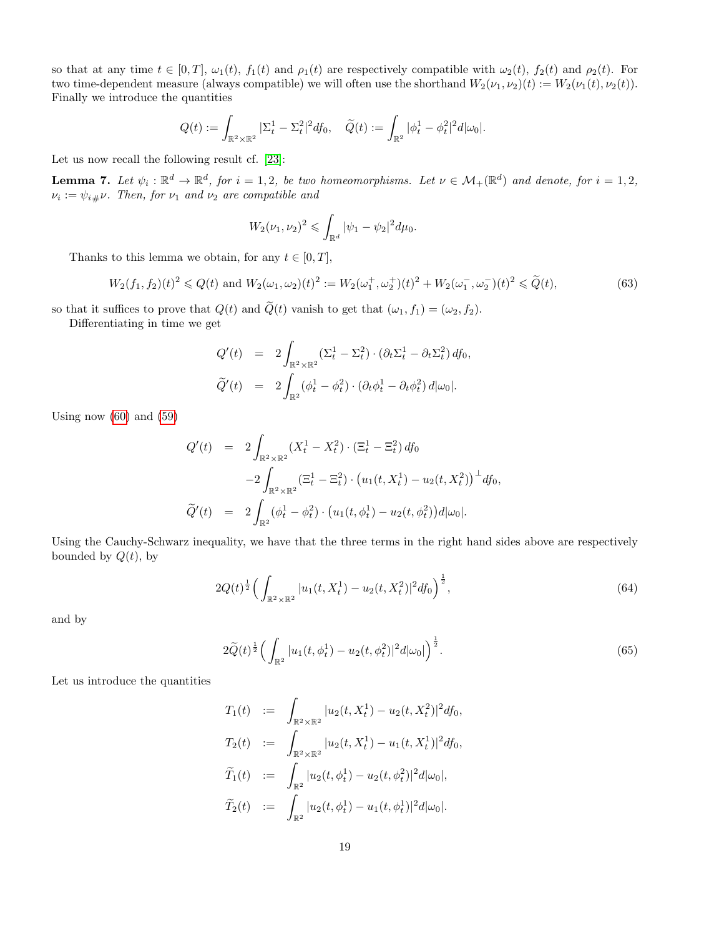so that at any time  $t \in [0, T]$ ,  $\omega_1(t)$ ,  $f_1(t)$  and  $\rho_1(t)$  are respectively compatible with  $\omega_2(t)$ ,  $f_2(t)$  and  $\rho_2(t)$ . For two time-dependent measure (always compatible) we will often use the shorthand  $W_2(\nu_1, \nu_2)(t) := W_2(\nu_1(t), \nu_2(t))$ . Finally we introduce the quantities

$$
Q(t) := \int_{\mathbb{R}^2 \times \mathbb{R}^2} |\Sigma_t^1 - \Sigma_t^2|^2 df_0, \quad \widetilde{Q}(t) := \int_{\mathbb{R}^2} |\phi_t^1 - \phi_t^2|^2 d|\omega_0|.
$$

Let us now recall the following result cf. [\[23\]](#page-30-2):

**Lemma 7.** Let  $\psi_i : \mathbb{R}^d \to \mathbb{R}^d$ , for  $i = 1, 2$ , be two homeomorphisms. Let  $\nu \in \mathcal{M}_+(\mathbb{R}^d)$  and denote, for  $i = 1, 2$ ,  $\nu_i := \psi_{i\#}\nu$ . Then, for  $\nu_1$  and  $\nu_2$  are compatible and

$$
W_2(\nu_1,\nu_2)^2 \leq \int_{\mathbb{R}^d} |\psi_1 - \psi_2|^2 d\mu_0.
$$

Thanks to this lemma we obtain, for any  $t \in [0, T]$ ,

<span id="page-18-2"></span>
$$
W_2(f_1, f_2)(t)^2 \le Q(t) \text{ and } W_2(\omega_1, \omega_2)(t)^2 := W_2(\omega_1^+, \omega_2^+)(t)^2 + W_2(\omega_1^-, \omega_2^-)(t)^2 \le \tilde{Q}(t),\tag{63}
$$

so that it suffices to prove that  $Q(t)$  and  $\tilde{Q}(t)$  vanish to get that  $(\omega_1, f_1) = (\omega_2, f_2)$ . Differentiating in time we get

$$
Q'(t) = 2 \int_{\mathbb{R}^2 \times \mathbb{R}^2} (\Sigma_t^1 - \Sigma_t^2) \cdot (\partial_t \Sigma_t^1 - \partial_t \Sigma_t^2) d f_0,
$$
  

$$
\widetilde{Q}'(t) = 2 \int_{\mathbb{R}^2} (\phi_t^1 - \phi_t^2) \cdot (\partial_t \phi_t^1 - \partial_t \phi_t^2) d |\omega_0|.
$$

Using now  $(60)$  and  $(59)$ 

$$
Q'(t) = 2 \int_{\mathbb{R}^2 \times \mathbb{R}^2} (X_t^1 - X_t^2) \cdot (\Xi_t^1 - \Xi_t^2) df_0
$$
  

$$
-2 \int_{\mathbb{R}^2 \times \mathbb{R}^2} (\Xi_t^1 - \Xi_t^2) \cdot (u_1(t, X_t^1) - u_2(t, X_t^2))^\perp df_0,
$$
  

$$
\tilde{Q}'(t) = 2 \int_{\mathbb{R}^2} (\phi_t^1 - \phi_t^2) \cdot (u_1(t, \phi_t^1) - u_2(t, \phi_t^2)) d|\omega_0|.
$$

Using the Cauchy-Schwarz inequality, we have that the three terms in the right hand sides above are respectively bounded by  $Q(t)$ , by

<span id="page-18-0"></span>
$$
2Q(t)^{\frac{1}{2}} \left( \int_{\mathbb{R}^2 \times \mathbb{R}^2} |u_1(t, X_t^1) - u_2(t, X_t^2)|^2 df_0 \right)^{\frac{1}{2}},\tag{64}
$$

and by

<span id="page-18-1"></span>
$$
2\widetilde{Q}(t)^{\frac{1}{2}}\Big(\int_{\mathbb{R}^2}|u_1(t,\phi_t^1)-u_2(t,\phi_t^2)|^2d|\omega_0|\Big)^{\frac{1}{2}}.
$$
\n(65)

Let us introduce the quantities

$$
T_1(t) := \int_{\mathbb{R}^2 \times \mathbb{R}^2} |u_2(t, X_t^1) - u_2(t, X_t^2)|^2 df_0,
$$
  
\n
$$
T_2(t) := \int_{\mathbb{R}^2 \times \mathbb{R}^2} |u_2(t, X_t^1) - u_1(t, X_t^1)|^2 df_0,
$$
  
\n
$$
\tilde{T}_1(t) := \int_{\mathbb{R}^2} |u_2(t, \phi_t^1) - u_2(t, \phi_t^2)|^2 d|\omega_0|,
$$
  
\n
$$
\tilde{T}_2(t) := \int_{\mathbb{R}^2} |u_2(t, \phi_t^1) - u_1(t, \phi_t^1)|^2 d|\omega_0|.
$$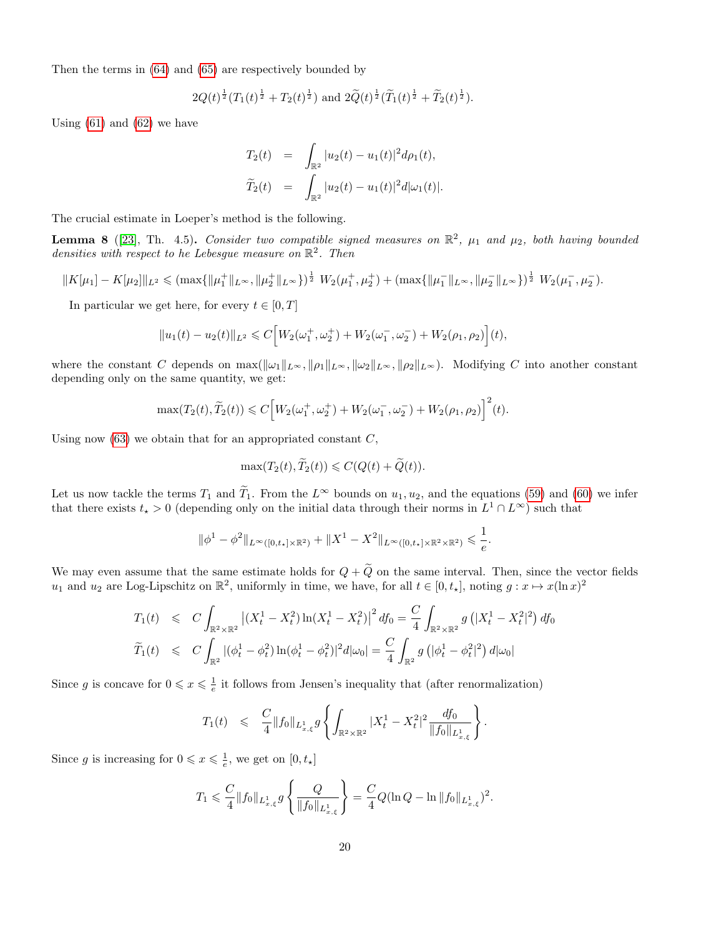Then the terms in [\(64\)](#page-18-0) and [\(65\)](#page-18-1) are respectively bounded by

$$
2Q(t)^{\frac{1}{2}}(T_1(t)^{\frac{1}{2}} + T_2(t)^{\frac{1}{2}})
$$
 and  $2\widetilde{Q}(t)^{\frac{1}{2}}(\widetilde{T}_1(t)^{\frac{1}{2}} + \widetilde{T}_2(t)^{\frac{1}{2}}).$ 

Using  $(61)$  and  $(62)$  we have

$$
T_2(t) = \int_{\mathbb{R}^2} |u_2(t) - u_1(t)|^2 d\rho_1(t),
$$
  

$$
\tilde{T}_2(t) = \int_{\mathbb{R}^2} |u_2(t) - u_1(t)|^2 d|\omega_1(t)|.
$$

The crucial estimate in Loeper's method is the following.

**Lemma 8** ([\[23\]](#page-30-2), Th. 4.5). Consider two compatible signed measures on  $\mathbb{R}^2$ ,  $\mu_1$  and  $\mu_2$ , both having bounded densities with respect to he Lebesgue measure on  $\mathbb{R}^2$ . Then

$$
||K[\mu_1] - K[\mu_2]||_{L^2} \leq ( \max\{||\mu_1^+||_{L^{\infty}}, ||\mu_2^+||_{L^{\infty}} \})^{\frac{1}{2}} W_2(\mu_1^+, \mu_2^+) + ( \max\{||\mu_1^-||_{L^{\infty}}, ||\mu_2^-||_{L^{\infty}} \})^{\frac{1}{2}} W_2(\mu_1^-, \mu_2^-).
$$

In particular we get here, for every  $t \in [0, T]$ 

$$
||u_1(t) - u_2(t)||_{L^2} \leq C \Big[W_2(\omega_1^+, \omega_2^+) + W_2(\omega_1^-, \omega_2^-) + W_2(\rho_1, \rho_2)\Big](t),
$$

where the constant C depends on  $\max(\|\omega_1\|_{L^{\infty}}, \|\rho_1\|_{L^{\infty}}, \|\omega_2\|_{L^{\infty}}, \|\rho_2\|_{L^{\infty}})$ . Modifying C into another constant depending only on the same quantity, we get:

$$
\max(T_2(t), \widetilde{T}_2(t)) \leq C \Big[ W_2(\omega_1^+, \omega_2^+) + W_2(\omega_1^-, \omega_2^-) + W_2(\rho_1, \rho_2) \Big]^2(t).
$$

Using now  $(63)$  we obtain that for an appropriated constant  $C$ ,

$$
\max(T_2(t), \widetilde{T}_2(t)) \leqslant C(Q(t) + \widetilde{Q}(t)).
$$

Let us now tackle the terms  $T_1$  and  $\tilde{T}_1$ . From the  $L^{\infty}$  bounds on  $u_1, u_2$ , and the equations [\(59\)](#page-17-3) and [\(60\)](#page-17-2) we infer that there exists  $t_{\star} > 0$  (depending only on the initial data through their norms in  $L^1 \cap L^{\infty}$ ) such that

$$
\|\phi^1 - \phi^2\|_{L^{\infty}([0,t_{\star}]\times\mathbb{R}^2)} + \|X^1 - X^2\|_{L^{\infty}([0,t_{\star}]\times\mathbb{R}^2\times\mathbb{R}^2)} \leq \frac{1}{e}.
$$

We may even assume that the same estimate holds for  $Q + \widetilde{Q}$  on the same interval. Then, since the vector fields  $u_1$  and  $u_2$  are Log-Lipschitz on  $\mathbb{R}^2$ , uniformly in time, we have, for all  $t \in [0, t_*]$ , noting  $g: x \mapsto x(\ln x)^2$ 

$$
T_1(t) \leq C \int_{\mathbb{R}^2 \times \mathbb{R}^2} \left| (X_t^1 - X_t^2) \ln(X_t^1 - X_t^2) \right|^2 df_0 = \frac{C}{4} \int_{\mathbb{R}^2 \times \mathbb{R}^2} g\left( |X_t^1 - X_t^2|^2 \right) df_0
$$
  

$$
\widetilde{T}_1(t) \leq C \int_{\mathbb{R}^2} |(\phi_t^1 - \phi_t^2) \ln(\phi_t^1 - \phi_t^2)|^2 d|\omega_0| = \frac{C}{4} \int_{\mathbb{R}^2} g\left( |\phi_t^1 - \phi_t^2|^2 \right) d|\omega_0|
$$

Since g is concave for  $0 \leq x \leq \frac{1}{e}$  it follows from Jensen's inequality that (after renormalization)

$$
T_1(t) \leqslant \frac{C}{4} \|f_0\|_{L^1_{x,\xi}} g \left\{ \int_{\mathbb{R}^2 \times \mathbb{R}^2} |X_t^1 - X_t^2|^2 \frac{df_0}{\|f_0\|_{L^1_{x,\xi}}} \right\}.
$$

Since g is increasing for  $0 \leq x \leq \frac{1}{e}$ , we get on  $[0, t_{\star}]$ 

$$
T_1 \leqslant \frac{C}{4} \|f_0\|_{L^1_{x,\xi}} g\left\{\frac{Q}{\|f_0\|_{L^1_{x,\xi}}}\right\} = \frac{C}{4} Q(\ln Q - \ln \|f_0\|_{L^1_{x,\xi}})^2.
$$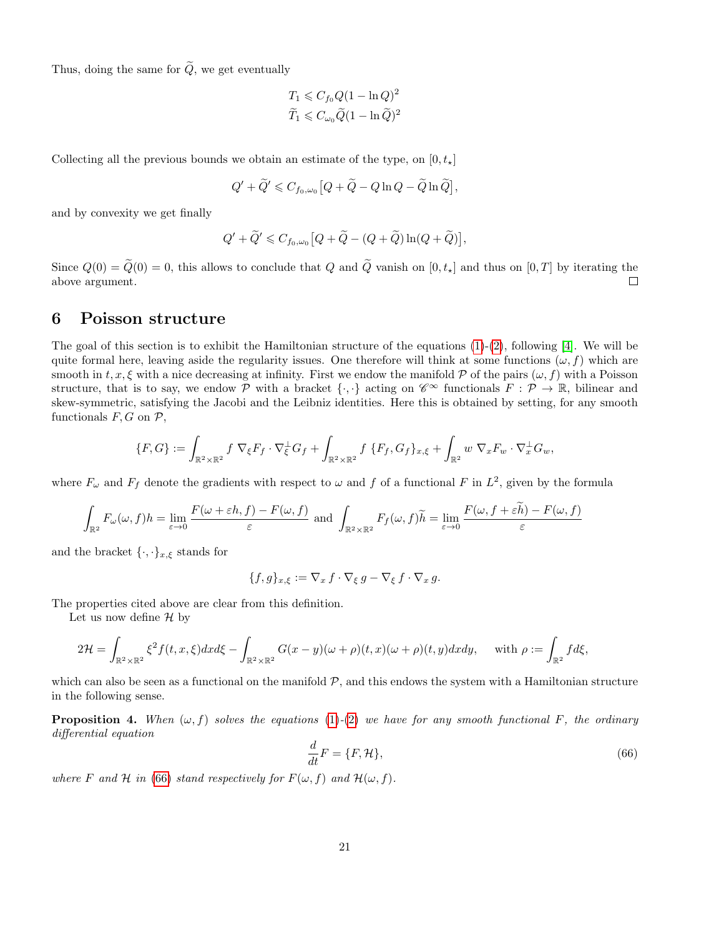Thus, doing the same for  $\widetilde{Q},$  we get eventually

$$
T_1 \leqslant C_{f_0} Q (1 - \ln Q)^2
$$
  

$$
\widetilde{T}_1 \leqslant C_{\omega_0} \widetilde{Q} (1 - \ln \widetilde{Q})^2
$$

Collecting all the previous bounds we obtain an estimate of the type, on  $[0, t_{\star}]$ 

$$
Q' + \widetilde{Q}' \leqslant C_{f_0,\omega_0} \big[ Q + \widetilde{Q} - Q \ln Q - \widetilde{Q} \ln \widetilde{Q} \big],
$$

and by convexity we get finally

$$
Q' + \widetilde{Q}' \leqslant C_{f_0,\omega_0} \big[Q + \widetilde{Q} - (Q + \widetilde{Q})\ln(Q + \widetilde{Q})\big],
$$

Since  $Q(0) = \tilde{Q}(0) = 0$ , this allows to conclude that Q and  $\tilde{Q}$  vanish on  $[0, t_{\star}]$  and thus on  $[0, T]$  by iterating the above argument. above argument.

# <span id="page-20-0"></span>6 Poisson structure

The goal of this section is to exhibit the Hamiltonian structure of the equations  $(1)-(2)$  $(1)-(2)$  $(1)-(2)$ , following [\[4\]](#page-29-18). We will be quite formal here, leaving aside the regularity issues. One therefore will think at some functions  $(\omega, f)$  which are smooth in  $t, x, \xi$  with a nice decreasing at infinity. First we endow the manifold P of the pairs  $(\omega, f)$  with a Poisson structure, that is to say, we endow P with a bracket  $\{\cdot,\cdot\}$  acting on  $\mathscr{C}^{\infty}$  functionals  $F: \mathcal{P} \to \mathbb{R}$ , bilinear and skew-symmetric, satisfying the Jacobi and the Leibniz identities. Here this is obtained by setting, for any smooth functionals  $F, G$  on  $\mathcal{P},$ 

$$
\{F,G\} := \int_{\mathbb{R}^2 \times \mathbb{R}^2} f \nabla_{\xi} F_f \cdot \nabla_{\xi}^{\perp} G_f + \int_{\mathbb{R}^2 \times \mathbb{R}^2} f \{F_f, G_f\}_{x,\xi} + \int_{\mathbb{R}^2} w \nabla_x F_w \cdot \nabla_x^{\perp} G_w,
$$

where  $F_{\omega}$  and  $F_f$  denote the gradients with respect to  $\omega$  and f of a functional F in  $L^2$ , given by the formula

$$
\int_{\mathbb{R}^2} F_{\omega}(\omega, f) h = \lim_{\varepsilon \to 0} \frac{F(\omega + \varepsilon h, f) - F(\omega, f)}{\varepsilon} \text{ and } \int_{\mathbb{R}^2 \times \mathbb{R}^2} F_f(\omega, f) \widetilde{h} = \lim_{\varepsilon \to 0} \frac{F(\omega, f + \varepsilon \widetilde{h}) - F(\omega, f)}{\varepsilon}
$$

and the bracket  $\{\cdot,\cdot\}_{x,\xi}$  stands for

$$
\{f,g\}_{x,\xi}:=\nabla_x\,f\cdot\nabla_{\xi}\,g-\nabla_{\xi}\,f\cdot\nabla_x\,g.
$$

The properties cited above are clear from this definition.

Let us now define  $\mathcal H$  by

$$
2\mathcal{H} = \int_{\mathbb{R}^2 \times \mathbb{R}^2} \xi^2 f(t, x, \xi) dx d\xi - \int_{\mathbb{R}^2 \times \mathbb{R}^2} G(x - y)(\omega + \rho)(t, x)(\omega + \rho)(t, y) dx dy, \quad \text{with } \rho := \int_{\mathbb{R}^2} f d\xi,
$$

which can also be seen as a functional on the manifold  $P$ , and this endows the system with a Hamiltonian structure in the following sense.

**Proposition 4.** When  $(\omega, f)$  solves the equations [\(1\)](#page-0-1)-[\(2\)](#page-0-1) we have for any smooth functional F, the ordinary differential equation

<span id="page-20-1"></span>
$$
\frac{d}{dt}F = \{F, \mathcal{H}\},\tag{66}
$$

where F and H in [\(66\)](#page-20-1) stand respectively for  $F(\omega, f)$  and  $\mathcal{H}(\omega, f)$ .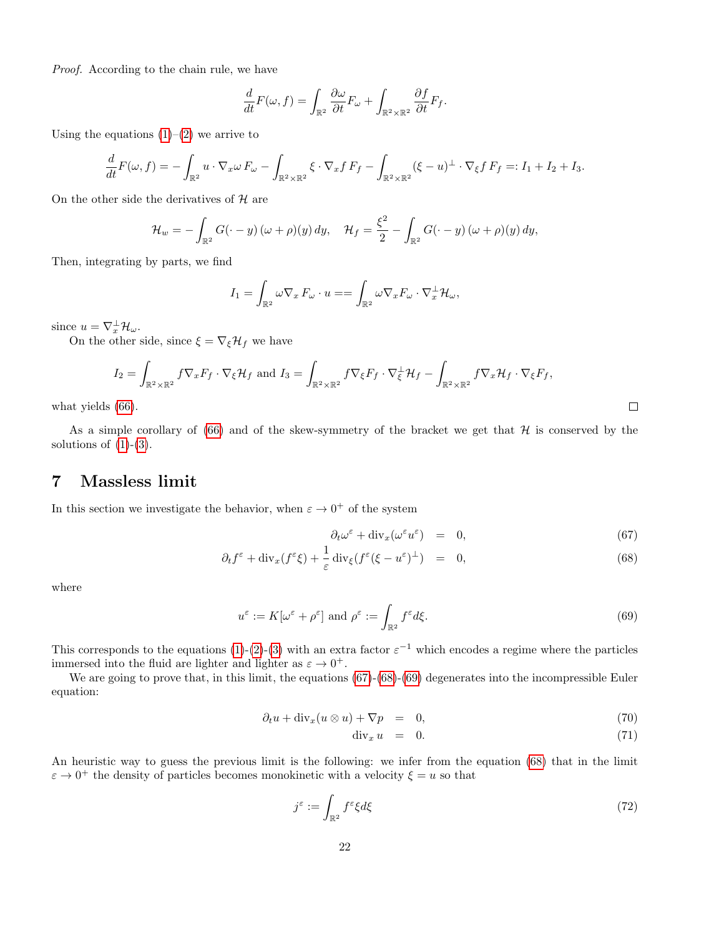Proof. According to the chain rule, we have

$$
\frac{d}{dt}F(\omega, f) = \int_{\mathbb{R}^2} \frac{\partial \omega}{\partial t} F_{\omega} + \int_{\mathbb{R}^2 \times \mathbb{R}^2} \frac{\partial f}{\partial t} F_f.
$$

Using the equations  $(1)$ – $(2)$  we arrive to

$$
\frac{d}{dt}F(\omega,f) = -\int_{\mathbb{R}^2} u \cdot \nabla_x \omega F_\omega - \int_{\mathbb{R}^2 \times \mathbb{R}^2} \xi \cdot \nabla_x f F_f - \int_{\mathbb{R}^2 \times \mathbb{R}^2} (\xi - u)^{\perp} \cdot \nabla_{\xi} f F_f =: I_1 + I_2 + I_3.
$$

On the other side the derivatives of  $H$  are

$$
\mathcal{H}_w = -\int_{\mathbb{R}^2} G(\cdot - y) \left(\omega + \rho\right)(y) \, dy, \quad \mathcal{H}_f = \frac{\xi^2}{2} - \int_{\mathbb{R}^2} G(\cdot - y) \left(\omega + \rho\right)(y) \, dy,
$$

Then, integrating by parts, we find

$$
I_1 = \int_{\mathbb{R}^2} \omega \nabla_x F_{\omega} \cdot u = = \int_{\mathbb{R}^2} \omega \nabla_x F_{\omega} \cdot \nabla_x^{\perp} \mathcal{H}_{\omega},
$$

since  $u = \nabla_x^{\perp} \mathcal{H}_{\omega}$ .

On the other side, since  $\xi = \nabla_{\xi} \mathcal{H}_f$  we have

$$
I_2 = \int_{\mathbb{R}^2 \times \mathbb{R}^2} f \nabla_x F_f \cdot \nabla_{\xi} \mathcal{H}_f \text{ and } I_3 = \int_{\mathbb{R}^2 \times \mathbb{R}^2} f \nabla_{\xi} F_f \cdot \nabla_{\xi}^{\perp} \mathcal{H}_f - \int_{\mathbb{R}^2 \times \mathbb{R}^2} f \nabla_x \mathcal{H}_f \cdot \nabla_{\xi} F_f,
$$
\n(66).

what yields [\(66\)](#page-20-1).

As a simple corollary of  $(66)$  and of the skew-symmetry of the bracket we get that  $H$  is conserved by the solutions of  $(1)-(3)$  $(1)-(3)$  $(1)-(3)$ .

# <span id="page-21-0"></span>7 Massless limit

In this section we investigate the behavior, when  $\varepsilon \to 0^+$  of the system

<span id="page-21-1"></span>
$$
\partial_t \omega^\varepsilon + \text{div}_x (\omega^\varepsilon u^\varepsilon) = 0, \tag{67}
$$

$$
\partial_t f^{\varepsilon} + \text{div}_x(f^{\varepsilon}\xi) + \frac{1}{\varepsilon} \text{div}_{\xi}(f^{\varepsilon}(\xi - u^{\varepsilon})^{\perp}) = 0, \tag{68}
$$

where

<span id="page-21-2"></span>
$$
u^{\varepsilon} := K[\omega^{\varepsilon} + \rho^{\varepsilon}] \text{ and } \rho^{\varepsilon} := \int_{\mathbb{R}^2} f^{\varepsilon} d\xi. \tag{69}
$$

This corresponds to the equations [\(1\)](#page-0-1)-[\(2\)](#page-0-1)-[\(3\)](#page-0-0) with an extra factor  $\varepsilon^{-1}$  which encodes a regime where the particles immersed into the fluid are lighter and lighter as  $\varepsilon \to 0^+$ .

We are going to prove that, in this limit, the equations  $(67)-(68)-(69)$  $(67)-(68)-(69)$  $(67)-(68)-(69)$  $(67)-(68)-(69)$  $(67)-(68)-(69)$  degenerates into the incompressible Euler equation:

<span id="page-21-3"></span>
$$
\partial_t u + \operatorname{div}_x (u \otimes u) + \nabla p = 0, \tag{70}
$$

$$
\operatorname{div}_x u = 0. \tag{71}
$$

An heuristic way to guess the previous limit is the following: we infer from the equation [\(68\)](#page-21-1) that in the limit  $\varepsilon \to 0^+$  the density of particles becomes monokinetic with a velocity  $\xi = u$  so that

$$
j^{\varepsilon} := \int_{\mathbb{R}^2} f^{\varepsilon} \xi d\xi \tag{72}
$$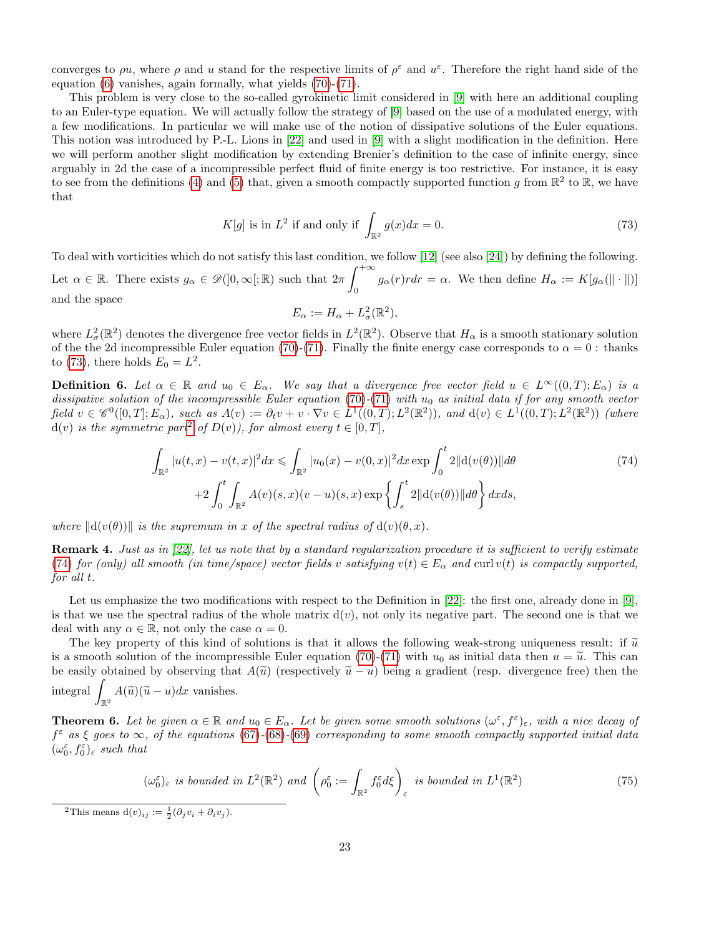converges to  $\rho u$ , where  $\rho$  and u stand for the respective limits of  $\rho^{\varepsilon}$  and  $u^{\varepsilon}$ . Therefore the right hand side of the equation [\(6\)](#page-1-2) vanishes, again formally, what yields [\(70\)](#page-21-3)-[\(71\)](#page-21-3).

This problem is very close to the so-called gyrokinetic limit considered in [\[9\]](#page-29-19) with here an additional coupling to an Euler-type equation. We will actually follow the strategy of [\[9\]](#page-29-19) based on the use of a modulated energy, with a few modifications. In particular we will make use of the notion of dissipative solutions of the Euler equations. This notion was introduced by P.-L. Lions in [\[22\]](#page-30-9) and used in [\[9\]](#page-29-19) with a slight modification in the definition. Here we will perform another slight modification by extending Brenier's definition to the case of infinite energy, since arguably in 2d the case of a incompressible perfect fluid of finite energy is too restrictive. For instance, it is easy to see from the definitions [\(4\)](#page-0-2) and [\(5\)](#page-0-3) that, given a smooth compactly supported function g from  $\mathbb{R}^2$  to  $\mathbb{R}$ , we have that

<span id="page-22-0"></span>
$$
K[g] \text{ is in } L^2 \text{ if and only if } \int_{\mathbb{R}^2} g(x)dx = 0. \tag{73}
$$

To deal with vorticities which do not satisfy this last condition, we follow [\[12\]](#page-29-15) (see also [\[24\]](#page-30-10)) by defining the following. Let  $\alpha \in \mathbb{R}$ . There exists  $g_{\alpha} \in \mathscr{D}(]0, \infty[;\mathbb{R})$  such that  $2\pi \int^{+\infty}$  $g_{\alpha}(r) r dr = \alpha.$  We then define  $H_{\alpha} := K[g_{\alpha}(\|\cdot\|)]$ and the space

$$
E_{\alpha} := H_{\alpha} + L^2_{\sigma}(\mathbb{R}^2),
$$

where  $L^2_{\sigma}(\mathbb{R}^2)$  denotes the divergence free vector fields in  $L^2(\mathbb{R}^2)$ . Observe that  $H_{\alpha}$  is a smooth stationary solution of the the 2d incompressible Euler equation [\(70\)](#page-21-3)-[\(71\)](#page-21-3). Finally the finite energy case corresponds to  $\alpha = 0$ : thanks to [\(73\)](#page-22-0), there holds  $E_0 = L^2$ .

<span id="page-22-5"></span>**Definition 6.** Let  $\alpha \in \mathbb{R}$  and  $u_0 \in E_\alpha$ . We say that a divergence free vector field  $u \in L^\infty((0,T); E_\alpha)$  is a dissipative solution of the incompressible Euler equation [\(70\)](#page-21-3)-[\(71\)](#page-21-3) with  $u_0$  as initial data if for any smooth vector  $\text{field } v \in \mathscr{C}^0([0,T]; E_\alpha), \text{ such as } A(v) := \partial_t v + v \cdot \nabla v \in L^1((0,T); L^2(\mathbb{R}^2)), \text{ and } d(v) \in L^1((0,T); L^2(\mathbb{R}^2)) \text{ (where } v \in \mathbb{R}^2.$  $d(v)$  is the symmetric part<sup>[2](#page-22-1)</sup> of  $D(v)$ ), for almost every  $t \in [0, T]$ ,

<span id="page-22-2"></span>
$$
\int_{\mathbb{R}^2} |u(t,x) - v(t,x)|^2 dx \le \int_{\mathbb{R}^2} |u_0(x) - v(0,x)|^2 dx \exp \int_0^t 2||\mathrm{d}(v(\theta))||d\theta \n+2 \int_0^t \int_{\mathbb{R}^2} A(v)(s,x)(v-u)(s,x) \exp \left\{ \int_s^t 2||\mathrm{d}(v(\theta))||d\theta \right\} dx ds,
$$
\n(74)

where  $\|\mathrm{d}(v(\theta))\|$  is the supremum in x of the spectral radius of  $\mathrm{d}(v)(\theta, x)$ .

<span id="page-22-6"></span>Remark 4. Just as in [\[22\]](#page-30-9), let us note that by a standard regularization procedure it is sufficient to verify estimate [\(74\)](#page-22-2) for (only) all smooth (in time/space) vector fields v satisfying  $v(t) \in E_\alpha$  and curl  $v(t)$  is compactly supported, for all t.

Let us emphasize the two modifications with respect to the Definition in [\[22\]](#page-30-9): the first one, already done in [\[9\]](#page-29-19), is that we use the spectral radius of the whole matrix  $d(v)$ , not only its negative part. The second one is that we deal with any  $\alpha \in \mathbb{R}$ , not only the case  $\alpha = 0$ .

The key property of this kind of solutions is that it allows the following weak-strong uniqueness result: if  $\tilde{u}$ is a smooth solution of the incompressible Euler equation [\(70\)](#page-21-3)-[\(71\)](#page-21-3) with  $u_0$  as initial data then  $u = \tilde{u}$ . This can be easily obtained by observing that  $A(\tilde{u})$  (respectively  $\tilde{u} - u$ ) being a gradient (resp. divergence free) then the integral  $\int_{\mathbb{R}^2} A(\widetilde{u})(\widetilde{u}-u)dx$  vanishes.

<span id="page-22-3"></span>**Theorem 6.** Let be given  $\alpha \in \mathbb{R}$  and  $u_0 \in E_\alpha$ . Let be given some smooth solutions  $(\omega^{\varepsilon}, f^{\varepsilon})_{\varepsilon}$ , with a nice decay of  $f^{\varepsilon}$  as  $\xi$  goes to  $\infty$ , of the equations [\(67\)](#page-21-1)-[\(68\)](#page-21-1)-[\(69\)](#page-21-2) corresponding to some smooth compactly supported initial data  $(\omega_0^{\varepsilon}, f_0^{\varepsilon})_{\varepsilon}$  such that

<span id="page-22-4"></span>
$$
(\omega_0^{\varepsilon})_{\varepsilon} \text{ is bounded in } L^2(\mathbb{R}^2) \text{ and } \left(\rho_0^{\varepsilon} := \int_{\mathbb{R}^2} f_0^{\varepsilon} d\xi\right)_{\varepsilon} \text{ is bounded in } L^1(\mathbb{R}^2)
$$
\n
$$
(75)
$$

<span id="page-22-1"></span><sup>2</sup>This means  $d(v)_{ij} := \frac{1}{2}(\partial_j v_i + \partial_i v_j)$ .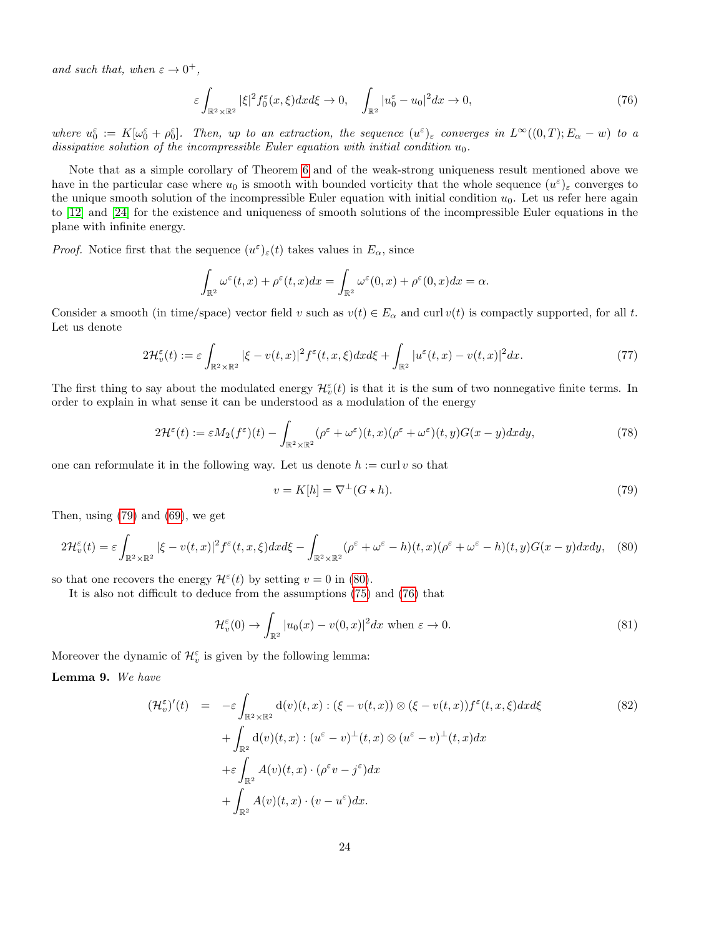and such that, when  $\varepsilon \to 0^+,$ 

<span id="page-23-2"></span>
$$
\varepsilon \int_{\mathbb{R}^2 \times \mathbb{R}^2} |\xi|^2 f_0^{\varepsilon}(x,\xi) dx d\xi \to 0, \quad \int_{\mathbb{R}^2} |u_0^{\varepsilon} - u_0|^2 dx \to 0,
$$
\n(76)

where  $u_0^{\varepsilon} := K[\omega_0^{\varepsilon} + \rho_0^{\varepsilon}]$ . Then, up to an extraction, the sequence  $(u^{\varepsilon})_{\varepsilon}$  converges in  $L^{\infty}((0,T); E_{\alpha} - w)$  to a dissipative solution of the incompressible Euler equation with initial condition  $u_0$ .

Note that as a simple corollary of Theorem [6](#page-22-3) and of the weak-strong uniqueness result mentioned above we have in the particular case where  $u_0$  is smooth with bounded vorticity that the whole sequence  $(u^{\varepsilon})_{\varepsilon}$  converges to the unique smooth solution of the incompressible Euler equation with initial condition  $u_0$ . Let us refer here again to [\[12\]](#page-29-15) and [\[24\]](#page-30-10) for the existence and uniqueness of smooth solutions of the incompressible Euler equations in the plane with infinite energy.

*Proof.* Notice first that the sequence  $(u^{\varepsilon})_{\varepsilon}(t)$  takes values in  $E_{\alpha}$ , since

$$
\int_{\mathbb{R}^2} \omega^{\varepsilon}(t,x) + \rho^{\varepsilon}(t,x) dx = \int_{\mathbb{R}^2} \omega^{\varepsilon}(0,x) + \rho^{\varepsilon}(0,x) dx = \alpha.
$$

Consider a smooth (in time/space) vector field v such as  $v(t) \in E_\alpha$  and curl  $v(t)$  is compactly supported, for all t. Let us denote

<span id="page-23-6"></span>
$$
2\mathcal{H}_v^{\varepsilon}(t) := \varepsilon \int_{\mathbb{R}^2 \times \mathbb{R}^2} |\xi - v(t, x)|^2 f^{\varepsilon}(t, x, \xi) dx d\xi + \int_{\mathbb{R}^2} |u^{\varepsilon}(t, x) - v(t, x)|^2 dx. \tag{77}
$$

The first thing to say about the modulated energy  $\mathcal{H}_{v}^{\varepsilon}(t)$  is that it is the sum of two nonnegative finite terms. In order to explain in what sense it can be understood as a modulation of the energy

$$
2\mathcal{H}^{\varepsilon}(t) := \varepsilon M_2(f^{\varepsilon})(t) - \int_{\mathbb{R}^2 \times \mathbb{R}^2} (\rho^{\varepsilon} + \omega^{\varepsilon})(t, x) (\rho^{\varepsilon} + \omega^{\varepsilon})(t, y) G(x - y) dx dy,
$$
\n(78)

one can reformulate it in the following way. Let us denote  $h := \text{curl } v$  so that

<span id="page-23-5"></span><span id="page-23-0"></span>
$$
v = K[h] = \nabla^{\perp}(G \star h). \tag{79}
$$

Then, using [\(79\)](#page-23-0) and [\(69\)](#page-21-2), we get

<span id="page-23-1"></span>
$$
2\mathcal{H}_v^{\varepsilon}(t) = \varepsilon \int_{\mathbb{R}^2 \times \mathbb{R}^2} |\xi - v(t, x)|^2 f^{\varepsilon}(t, x, \xi) dx d\xi - \int_{\mathbb{R}^2 \times \mathbb{R}^2} (\rho^{\varepsilon} + \omega^{\varepsilon} - h)(t, x) (\rho^{\varepsilon} + \omega^{\varepsilon} - h)(t, y) G(x - y) dx dy, \tag{80}
$$

so that one recovers the energy  $\mathcal{H}^{\varepsilon}(t)$  by setting  $v = 0$  in [\(80\)](#page-23-1).

It is also not difficult to deduce from the assumptions [\(75\)](#page-22-4) and [\(76\)](#page-23-2) that

<span id="page-23-7"></span>
$$
\mathcal{H}_v^{\varepsilon}(0) \to \int_{\mathbb{R}^2} |u_0(x) - v(0, x)|^2 dx \text{ when } \varepsilon \to 0.
$$
 (81)

Moreover the dynamic of  $\mathcal{H}_{v}^{\varepsilon}$  is given by the following lemma:

<span id="page-23-4"></span>Lemma 9. We have

<span id="page-23-3"></span>
$$
(\mathcal{H}_v^{\varepsilon})'(t) = -\varepsilon \int_{\mathbb{R}^2 \times \mathbb{R}^2} d(v)(t, x) : (\xi - v(t, x)) \otimes (\xi - v(t, x)) f^{\varepsilon}(t, x, \xi) dx d\xi
$$
  
+ 
$$
\int_{\mathbb{R}^2} d(v)(t, x) : (u^{\varepsilon} - v)^{\perp}(t, x) \otimes (u^{\varepsilon} - v)^{\perp}(t, x) dx
$$
  
+ 
$$
\varepsilon \int_{\mathbb{R}^2} A(v)(t, x) \cdot (\rho^{\varepsilon} v - j^{\varepsilon}) dx
$$
  
+ 
$$
\int_{\mathbb{R}^2} A(v)(t, x) \cdot (v - u^{\varepsilon}) dx.
$$
 (82)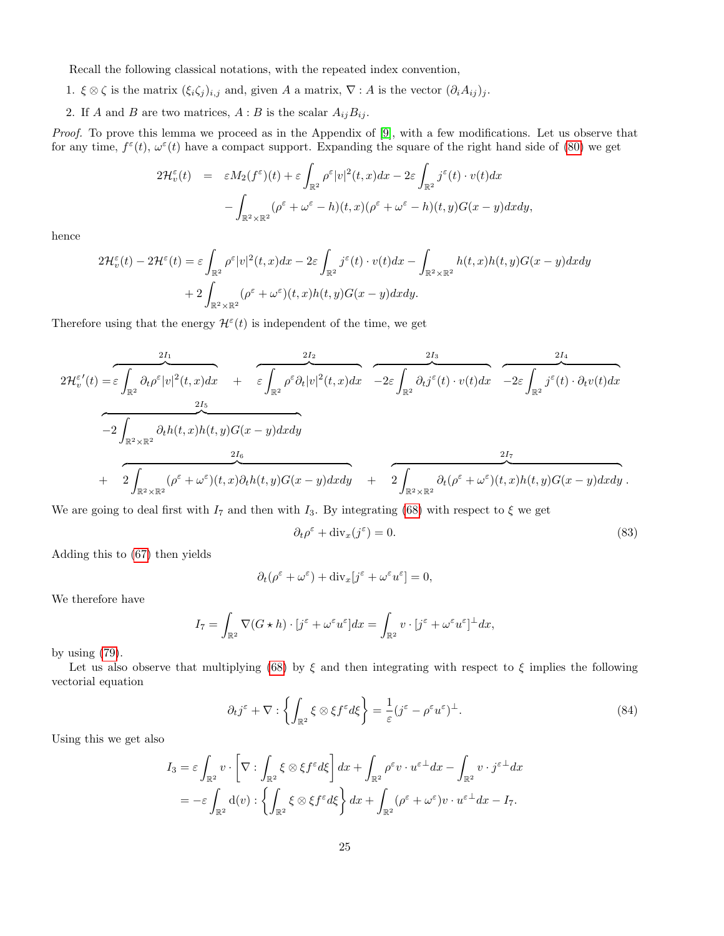Recall the following classical notations, with the repeated index convention,

- 1.  $\xi \otimes \zeta$  is the matrix  $(\xi_i \zeta_j)_{i,j}$  and, given A a matrix,  $\nabla : A$  is the vector  $(\partial_i A_{ij})_j$ .
- 2. If A and B are two matrices,  $A : B$  is the scalar  $A_{ij}B_{ij}$ .

Proof. To prove this lemma we proceed as in the Appendix of [\[9\]](#page-29-19), with a few modifications. Let us observe that for any time,  $f^{\varepsilon}(t)$ ,  $\omega^{\varepsilon}(t)$  have a compact support. Expanding the square of the right hand side of [\(80\)](#page-23-1) we get

$$
2\mathcal{H}_v^{\varepsilon}(t) = \varepsilon M_2(f^{\varepsilon})(t) + \varepsilon \int_{\mathbb{R}^2} \rho^{\varepsilon} |v|^2(t, x) dx - 2\varepsilon \int_{\mathbb{R}^2} j^{\varepsilon}(t) \cdot v(t) dx - \int_{\mathbb{R}^2 \times \mathbb{R}^2} (\rho^{\varepsilon} + \omega^{\varepsilon} - h)(t, x) (\rho^{\varepsilon} + \omega^{\varepsilon} - h)(t, y) G(x - y) dx dy,
$$

hence

$$
2\mathcal{H}_v^{\varepsilon}(t) - 2\mathcal{H}^{\varepsilon}(t) = \varepsilon \int_{\mathbb{R}^2} \rho^{\varepsilon} |v|^2(t, x) dx - 2\varepsilon \int_{\mathbb{R}^2} j^{\varepsilon}(t) \cdot v(t) dx - \int_{\mathbb{R}^2 \times \mathbb{R}^2} h(t, x) h(t, y) G(x - y) dx dy
$$

$$
+ 2 \int_{\mathbb{R}^2 \times \mathbb{R}^2} (\rho^{\varepsilon} + \omega^{\varepsilon}) (t, x) h(t, y) G(x - y) dx dy.
$$

Therefore using that the energy  $\mathcal{H}^{\varepsilon}(t)$  is independent of the time, we get

2H<sup>ε</sup> v 0 (t) = 2I<sup>1</sup> z }| { ε Z R2 ∂tρ ε |v| 2 (t, x)dx + 2I<sup>2</sup> z }| { ε Z R2 ρ ε ∂t|v| 2 (t, x)dx 2I<sup>3</sup> z }| { −2ε Z R2 ∂tj ε (t) · v(t)dx 2I<sup>4</sup> z }| { −2ε Z R2 j ε (t) · ∂tv(t)dx 2I<sup>5</sup> z }| { −2 Z R2×R<sup>2</sup> ∂th(t, x)h(t, y)G(x − y)dxdy + 2I<sup>6</sup> z }| { 2 Z R2×R<sup>2</sup> (ρ <sup>ε</sup> + ω ε )(t, x)∂th(t, y)G(x − y)dxdy + 2I<sup>7</sup> z }| { 2 Z R2×R<sup>2</sup> ∂t(ρ <sup>ε</sup> + ω ε )(t, x)h(t, y)G(x − y)dxdy .

We are going to deal first with  $I_7$  and then with  $I_3$ . By integrating [\(68\)](#page-21-1) with respect to  $\xi$  we get

<span id="page-24-1"></span><span id="page-24-0"></span>
$$
\partial_t \rho^\varepsilon + \text{div}_x(j^\varepsilon) = 0. \tag{83}
$$

Adding this to [\(67\)](#page-21-1) then yields

$$
\partial_t(\rho^\varepsilon + \omega^\varepsilon) + \text{div}_x[j^\varepsilon + \omega^\varepsilon u^\varepsilon] = 0,
$$

We therefore have

$$
I_7 = \int_{\mathbb{R}^2} \nabla (G \star h) \cdot [j^{\varepsilon} + \omega^{\varepsilon} u^{\varepsilon}] dx = \int_{\mathbb{R}^2} v \cdot [j^{\varepsilon} + \omega^{\varepsilon} u^{\varepsilon}]^{\perp} dx,
$$

by using  $(79)$ .

Let us also observe that multiplying [\(68\)](#page-21-1) by  $\xi$  and then integrating with respect to  $\xi$  implies the following vectorial equation

$$
\partial_t j^{\varepsilon} + \nabla : \left\{ \int_{\mathbb{R}^2} \xi \otimes \xi f^{\varepsilon} d\xi \right\} = \frac{1}{\varepsilon} (j^{\varepsilon} - \rho^{\varepsilon} u^{\varepsilon})^{\perp}.
$$
 (84)

Using this we get also

$$
I_3 = \varepsilon \int_{\mathbb{R}^2} v \cdot \left[ \nabla : \int_{\mathbb{R}^2} \xi \otimes \xi f^{\varepsilon} d\xi \right] dx + \int_{\mathbb{R}^2} \rho^{\varepsilon} v \cdot u^{\varepsilon \perp} dx - \int_{\mathbb{R}^2} v \cdot j^{\varepsilon \perp} dx
$$
  
= 
$$
-\varepsilon \int_{\mathbb{R}^2} d(v) : \left\{ \int_{\mathbb{R}^2} \xi \otimes \xi f^{\varepsilon} d\xi \right\} dx + \int_{\mathbb{R}^2} (\rho^{\varepsilon} + \omega^{\varepsilon}) v \cdot u^{\varepsilon \perp} dx - I_7.
$$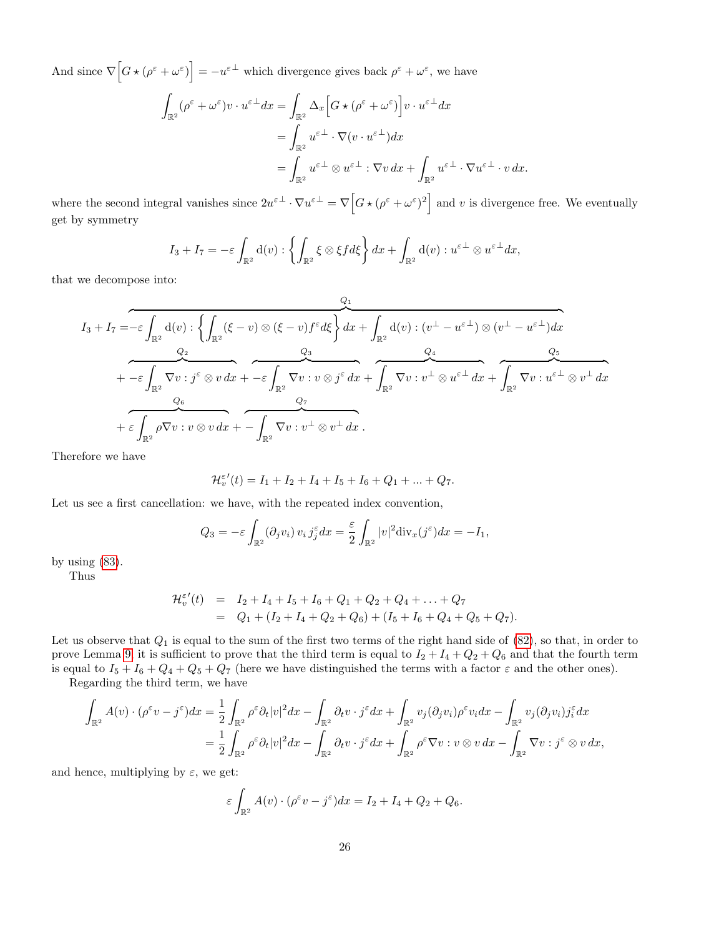And since  $\nabla \left[G \star (\rho^{\varepsilon} + \omega^{\varepsilon})\right] = -u^{\varepsilon \perp}$  which divergence gives back  $\rho^{\varepsilon} + \omega^{\varepsilon}$ , we have

$$
\int_{\mathbb{R}^2} (\rho^{\varepsilon} + \omega^{\varepsilon}) v \cdot u^{\varepsilon \perp} dx = \int_{\mathbb{R}^2} \Delta_x \Big[ G \star (\rho^{\varepsilon} + \omega^{\varepsilon}) \Big] v \cdot u^{\varepsilon \perp} dx
$$
  
\n
$$
= \int_{\mathbb{R}^2} u^{\varepsilon \perp} \cdot \nabla (v \cdot u^{\varepsilon \perp}) dx
$$
  
\n
$$
= \int_{\mathbb{R}^2} u^{\varepsilon \perp} \otimes u^{\varepsilon \perp} : \nabla v dx + \int_{\mathbb{R}^2} u^{\varepsilon \perp} \cdot \nabla u^{\varepsilon \perp} \cdot v dx.
$$

where the second integral vanishes since  $2u^{\varepsilon \perp} \cdot \nabla u^{\varepsilon \perp} = \nabla \left[ G \star (\rho^{\varepsilon} + \omega^{\varepsilon})^2 \right]$  and v is divergence free. We eventually get by symmetry

$$
I_3 + I_7 = -\varepsilon \int_{\mathbb{R}^2} d(v) : \left\{ \int_{\mathbb{R}^2} \xi \otimes \xi f d\xi \right\} dx + \int_{\mathbb{R}^2} d(v) : u^{\varepsilon \perp} \otimes u^{\varepsilon \perp} dx,
$$

that we decompose into:

$$
I_3 + I_7 = -\varepsilon \int_{\mathbb{R}^2} d(v) : \left\{ \int_{\mathbb{R}^2} (\xi - v) \otimes (\xi - v) f^{\varepsilon} d\xi \right\} dx + \int_{\mathbb{R}^2} d(v) : (v^{\perp} - u^{\varepsilon \perp}) \otimes (v^{\perp} - u^{\varepsilon \perp}) dx + -\varepsilon \int_{\mathbb{R}^2} \nabla v : j^{\varepsilon} \otimes v dx + -\varepsilon \int_{\mathbb{R}^2} \nabla v : v \otimes j^{\varepsilon} dx + \int_{\mathbb{R}^2} \nabla v : v^{\perp} \otimes u^{\varepsilon \perp} dx + \int_{\mathbb{R}^2} \nabla v : u^{\varepsilon \perp} \otimes v^{\perp} dx + \varepsilon \int_{\mathbb{R}^2} \rho \nabla v : v \otimes v dx + - \int_{\mathbb{R}^2} \nabla v : v^{\perp} \otimes v^{\perp} dx.
$$

Therefore we have

$$
\mathcal{H}_v^{\varepsilon'}(t) = I_1 + I_2 + I_4 + I_5 + I_6 + Q_1 + \dots + Q_7.
$$

Let us see a first cancellation: we have, with the repeated index convention,

$$
Q_3 = -\varepsilon \int_{\mathbb{R}^2} (\partial_j v_i) v_i j_j^{\varepsilon} dx = \frac{\varepsilon}{2} \int_{\mathbb{R}^2} |v|^2 \text{div}_x (j^{\varepsilon}) dx = -I_1,
$$

by using  $(83)$ .

Thus

$$
\mathcal{H}_v^{\varepsilon'}(t) = I_2 + I_4 + I_5 + I_6 + Q_1 + Q_2 + Q_4 + \dots + Q_7
$$
  
=  $Q_1 + (I_2 + I_4 + Q_2 + Q_6) + (I_5 + I_6 + Q_4 + Q_5 + Q_7).$ 

Let us observe that  $Q_1$  is equal to the sum of the first two terms of the right hand side of  $(82)$ , so that, in order to prove Lemma [9,](#page-23-4) it is sufficient to prove that the third term is equal to  $I_2 + I_4 + Q_2 + Q_6$  and that the fourth term is equal to  $I_5 + I_6 + Q_4 + Q_5 + Q_7$  (here we have distinguished the terms with a factor  $\varepsilon$  and the other ones).

Regarding the third term, we have

$$
\int_{\mathbb{R}^2} A(v) \cdot (\rho^{\varepsilon} v - j^{\varepsilon}) dx = \frac{1}{2} \int_{\mathbb{R}^2} \rho^{\varepsilon} \partial_t |v|^2 dx - \int_{\mathbb{R}^2} \partial_t v \cdot j^{\varepsilon} dx + \int_{\mathbb{R}^2} v_j (\partial_j v_i) \rho^{\varepsilon} v_i dx - \int_{\mathbb{R}^2} v_j (\partial_j v_i) j_i^{\varepsilon} dx \n= \frac{1}{2} \int_{\mathbb{R}^2} \rho^{\varepsilon} \partial_t |v|^2 dx - \int_{\mathbb{R}^2} \partial_t v \cdot j^{\varepsilon} dx + \int_{\mathbb{R}^2} \rho^{\varepsilon} \nabla v : v \otimes v dx - \int_{\mathbb{R}^2} \nabla v : j^{\varepsilon} \otimes v dx,
$$

and hence, multiplying by  $\varepsilon$ , we get:

$$
\varepsilon \int_{\mathbb{R}^2} A(v) \cdot (\rho^{\varepsilon} v - j^{\varepsilon}) dx = I_2 + I_4 + Q_2 + Q_6.
$$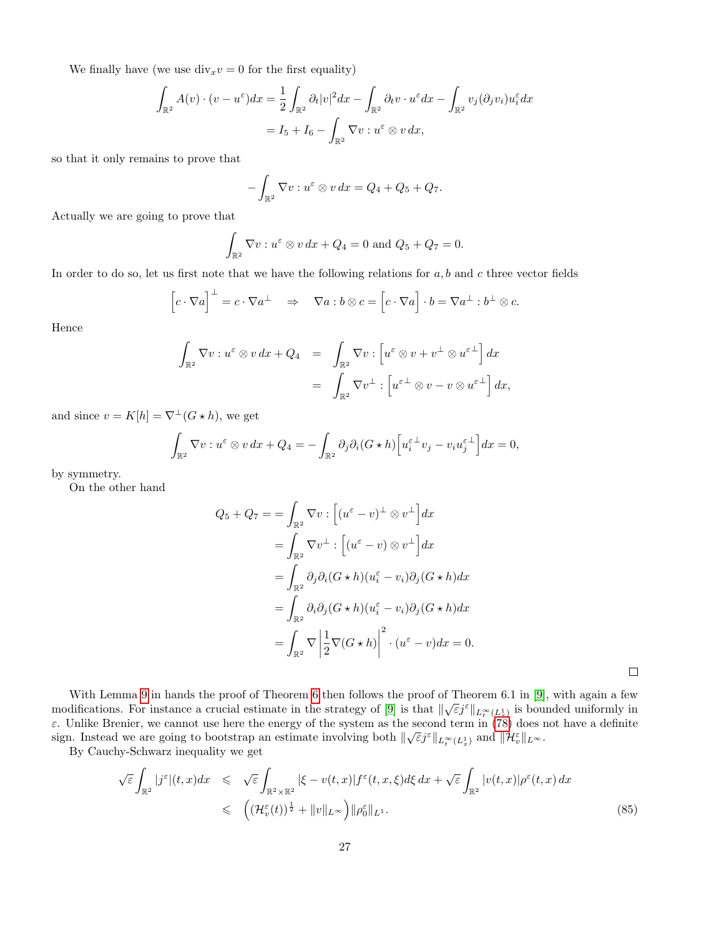We finally have (we use  $div_x v = 0$  for the first equality)

$$
\int_{\mathbb{R}^2} A(v) \cdot (v - u^{\varepsilon}) dx = \frac{1}{2} \int_{\mathbb{R}^2} \partial_t |v|^2 dx - \int_{\mathbb{R}^2} \partial_t v \cdot u^{\varepsilon} dx - \int_{\mathbb{R}^2} v_j(\partial_j v_i) u_i^{\varepsilon} dx
$$

$$
= I_5 + I_6 - \int_{\mathbb{R}^2} \nabla v : u^{\varepsilon} \otimes v dx,
$$

so that it only remains to prove that

$$
-\int_{\mathbb{R}^2} \nabla v : u^{\varepsilon} \otimes v \, dx = Q_4 + Q_5 + Q_7.
$$

Actually we are going to prove that

$$
\int_{\mathbb{R}^2} \nabla v : u^{\varepsilon} \otimes v \, dx + Q_4 = 0 \text{ and } Q_5 + Q_7 = 0.
$$

In order to do so, let us first note that we have the following relations for  $a, b$  and  $c$  three vector fields

$$
\[c \cdot \nabla a\]^\perp = c \cdot \nabla a^\perp \quad \Rightarrow \quad \nabla a : b \otimes c = \[c \cdot \nabla a\] \cdot b = \nabla a^\perp : b^\perp \otimes c.
$$

Hence

$$
\int_{\mathbb{R}^2} \nabla v : u^{\varepsilon} \otimes v \, dx + Q_4 = \int_{\mathbb{R}^2} \nabla v : \left[ u^{\varepsilon} \otimes v + v^{\perp} \otimes u^{\varepsilon \perp} \right] dx
$$

$$
= \int_{\mathbb{R}^2} \nabla v^{\perp} : \left[ u^{\varepsilon \perp} \otimes v - v \otimes u^{\varepsilon \perp} \right] dx,
$$

and since  $v = K[h] = \nabla^{\perp} (G \star h)$ , we get

$$
\int_{\mathbb{R}^2} \nabla v : u^{\varepsilon} \otimes v \, dx + Q_4 = - \int_{\mathbb{R}^2} \partial_j \partial_i (G \star h) \left[ u^{\varepsilon \perp}_i v_j - v_i u^{\varepsilon \perp}_j \right] dx = 0,
$$

by symmetry.

On the other hand

$$
Q_5 + Q_7 = \int_{\mathbb{R}^2} \nabla v : \left[ (u^{\varepsilon} - v)^{\perp} \otimes v^{\perp} \right] dx
$$
  
\n
$$
= \int_{\mathbb{R}^2} \nabla v^{\perp} : \left[ (u^{\varepsilon} - v) \otimes v^{\perp} \right] dx
$$
  
\n
$$
= \int_{\mathbb{R}^2} \partial_j \partial_i (G \star h) (u_i^{\varepsilon} - v_i) \partial_j (G \star h) dx
$$
  
\n
$$
= \int_{\mathbb{R}^2} \partial_i \partial_j (G \star h) (u_i^{\varepsilon} - v_i) \partial_j (G \star h) dx
$$
  
\n
$$
= \int_{\mathbb{R}^2} \nabla \left| \frac{1}{2} \nabla (G \star h) \right|^2 \cdot (u^{\varepsilon} - v) dx = 0.
$$

 $\Box$ 

With Lemma [9](#page-23-4) in hands the proof of Theorem [6](#page-22-3) then follows the proof of Theorem 6.1 in [\[9\]](#page-29-19), with again a few modifications. For instance a crucial estimate in the strategy of [\[9\]](#page-29-19) is that  $\|\sqrt{\varepsilon}j^{\varepsilon}\|_{L_t^{\infty}(L_x^1)}$  is bounded uniformly in  $\varepsilon$ . Unlike Brenier, we cannot use here the energy of the system as the second term in [\(78\)](#page-23-5) does not have a definite sign. Instead we are going to bootstrap an estimate involving both  $\|\sqrt{\varepsilon}j^{\varepsilon}\|_{L_t^{\infty}(L_x^1)}$  and  $\|\mathcal{H}_v^{\varepsilon}\|_{L^{\infty}}$ .

By Cauchy-Schwarz inequality we get

<span id="page-26-0"></span>
$$
\sqrt{\varepsilon} \int_{\mathbb{R}^2} |j^{\varepsilon}|(t,x) dx \leq \sqrt{\varepsilon} \int_{\mathbb{R}^2 \times \mathbb{R}^2} |\xi - v(t,x)| f^{\varepsilon}(t,x,\xi) d\xi dx + \sqrt{\varepsilon} \int_{\mathbb{R}^2} |v(t,x)| \rho^{\varepsilon}(t,x) dx
$$
  

$$
\leq (\mathcal{H}_v^{\varepsilon}(t))^{\frac{1}{2}} + \|v\|_{L^{\infty}}) \|\rho_0^{\varepsilon}\|_{L^1}.
$$
 (85)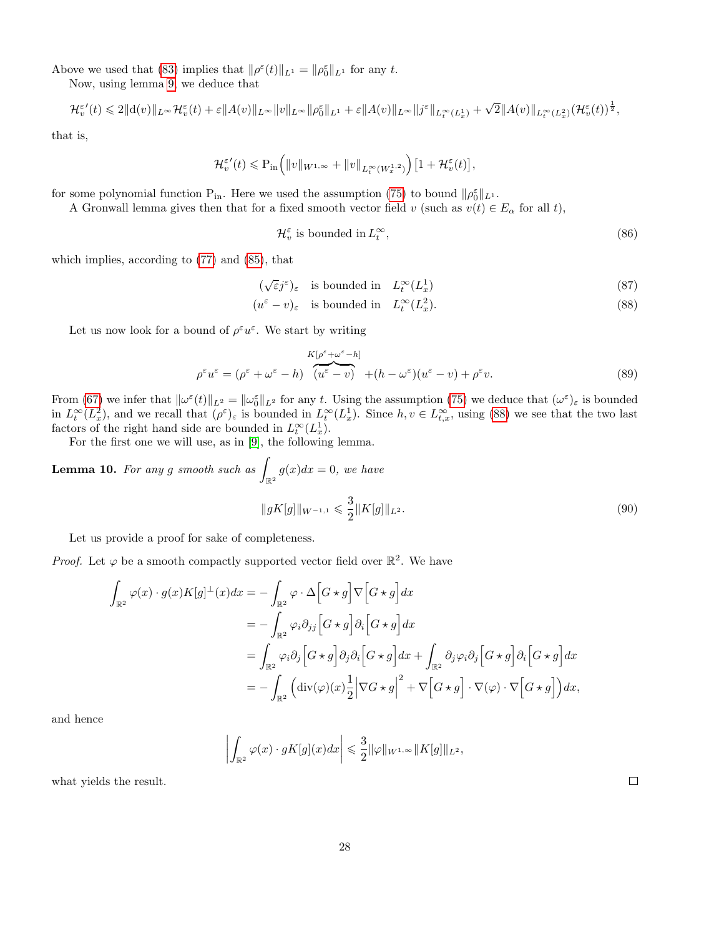Above we used that [\(83\)](#page-24-0) implies that  $\|\rho^{\varepsilon}(t)\|_{L^{1}} = \|\rho^{\varepsilon}_{0}\|_{L^{1}}$  for any t.

Now, using lemma [9,](#page-23-4) we deduce that

$$
\mathcal{H}^{\varepsilon\,\prime}_v(t)\leqslant 2\|{\rm d}(v)\|_{L^\infty}\mathcal{H}^{\varepsilon}_v(t)+\varepsilon\|A(v)\|_{L^\infty}\|v\|_{L^\infty}\|\rho^\varepsilon_0\|_{L^1}+\varepsilon\|A(v)\|_{L^\infty}\|j^\varepsilon\|_{L^\infty_t(L^1_x)}+\sqrt{2}\|A(v)\|_{L^\infty_t(L^2_x)}(\mathcal{H}^{\varepsilon}_v(t))^{\frac{1}{2}},
$$

that is,

$$
\mathcal{H}^{\varepsilon\,\prime}_v(t)\leqslant\mathbf{P}_{\mathrm{in}}\Big(\|v\|_{W^{1,\infty}}+\|v\|_{L_t^\infty(W^{1,2}_x)}\Big)\big[1+\mathcal{H}^\varepsilon_v(t)\big],
$$

for some polynomial function  $P_{in}$ . Here we used the assumption [\(75\)](#page-22-4) to bound  $\|\rho_0^{\varepsilon}\|_{L^1}$ .

A Gronwall lemma gives then that for a fixed smooth vector field v (such as  $v(t) \in E_{\alpha}$  for all t),

<span id="page-27-2"></span><span id="page-27-1"></span><span id="page-27-0"></span>
$$
\mathcal{H}_v^{\varepsilon} \text{ is bounded in } L_t^{\infty},\tag{86}
$$

which implies, according to [\(77\)](#page-23-6) and [\(85\)](#page-26-0), that

$$
(\sqrt{\varepsilon}j^{\varepsilon})_{\varepsilon} \quad \text{is bounded in} \quad L_t^{\infty}(L_x^1) \tag{87}
$$

$$
(u^{\varepsilon} - v)_{\varepsilon} \quad \text{is bounded in} \quad L_t^{\infty}(L_x^2). \tag{88}
$$

Let us now look for a bound of  $\rho^{\varepsilon}u^{\varepsilon}$ . We start by writing

$$
\rho^{\varepsilon} u^{\varepsilon} = (\rho^{\varepsilon} + \omega^{\varepsilon} - h) \frac{K[\rho^{\varepsilon} + \omega^{\varepsilon} - h]}{(u^{\varepsilon} - v)} + (h - \omega^{\varepsilon})(u^{\varepsilon} - v) + \rho^{\varepsilon} v.
$$
\n(89)

From [\(67\)](#page-21-1) we infer that  $\|\omega^{\varepsilon}(t)\|_{L^2} = \|\omega_0^{\varepsilon}\|_{L^2}$  for any t. Using the assumption [\(75\)](#page-22-4) we deduce that  $(\omega^{\varepsilon})_{\varepsilon}$  is bounded in  $L_t^{\infty}(L_x^2)$ , and we recall that  $(\rho^{\varepsilon})_{\varepsilon}$  is bounded in  $L_t^{\infty}(L_x^1)$ . Since  $h, v \in L_{t,x}^{\infty}$ , using [\(88\)](#page-27-0) we see that the two last factors of the right hand side are bounded in  $L_t^{\infty}(L_x)$ .

For the first one we will use, as in [\[9\]](#page-29-19), the following lemma.

**Lemma 10.** For any g smooth such as  $\int_{\mathbb{R}^2} g(x) dx = 0$ , we have  $||gK[g]||_{W^{-1,1}} \leqslant \frac{3}{2}$  $\frac{1}{2} \| K[g] \|_{L^2}$  (90)

Let us provide a proof for sake of completeness.

*Proof.* Let  $\varphi$  be a smooth compactly supported vector field over  $\mathbb{R}^2$ . We have

$$
\int_{\mathbb{R}^2} \varphi(x) \cdot g(x) K[g]^\perp(x) dx = - \int_{\mathbb{R}^2} \varphi \cdot \Delta \Big[G \star g\Big] \nabla \Big[G \star g\Big] dx \n= - \int_{\mathbb{R}^2} \varphi_i \partial_{jj} \Big[G \star g\Big] \partial_i \Big[G \star g\Big] dx \n= \int_{\mathbb{R}^2} \varphi_i \partial_j \Big[G \star g\Big] \partial_j \partial_i \Big[G \star g\Big] dx + \int_{\mathbb{R}^2} \partial_j \varphi_i \partial_j \Big[G \star g\Big] \partial_i \Big[G \star g\Big] dx \n= - \int_{\mathbb{R}^2} \Big( \text{div}(\varphi)(x) \frac{1}{2} \Big| \nabla G \star g\Big|^2 + \nabla \Big[G \star g\Big] \cdot \nabla(\varphi) \cdot \nabla \Big[G \star g\Big]\Big) dx,
$$

and hence

$$
\left| \int_{\mathbb{R}^2} \varphi(x) \cdot gK[g](x) dx \right| \leq \frac{3}{2} ||\varphi||_{W^{1,\infty}} ||K[g]||_{L^2},
$$

what yields the result.

 $\Box$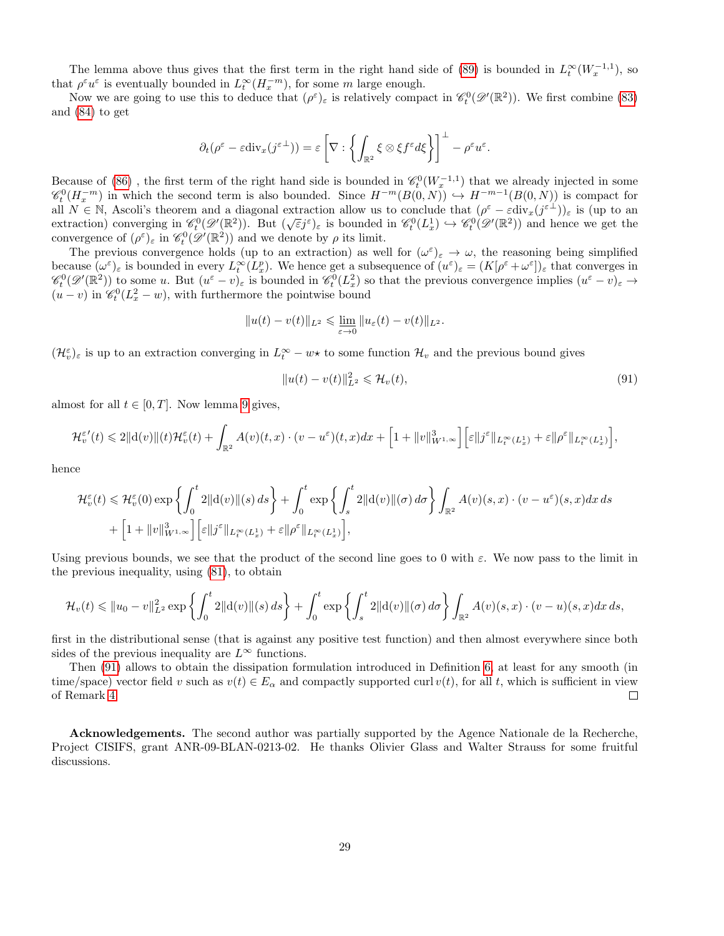The lemma above thus gives that the first term in the right hand side of [\(89\)](#page-27-1) is bounded in  $L_t^{\infty}(W_x^{-1,1})$ , so that  $\rho^{\varepsilon}u^{\varepsilon}$  is eventually bounded in  $L_t^{\infty}(H_x^{-m})$ , for some m large enough.

Now we are going to use this to deduce that  $(\rho^{\varepsilon})_{\varepsilon}$  is relatively compact in  $\mathscr{C}_t^0(\mathscr{D}'(\mathbb{R}^2))$ . We first combine [\(83\)](#page-24-0) and [\(84\)](#page-24-1) to get

$$
\partial_t(\rho^\varepsilon-\varepsilon \mathrm{div}_x(j^{\varepsilon\perp}))=\varepsilon\left[\nabla:\left\{\int_{\mathbb{R}^2}\xi\otimes \xi f^\varepsilon d\xi\right\}\right]^\perp-\rho^\varepsilon u^\varepsilon.
$$

Because of [\(86\)](#page-27-2), the first term of the right hand side is bounded in  $\mathscr{C}_t^0(W_x^{-1,1})$  that we already injected in some  $\mathscr{C}_t^0(H_x^{-m})$  in which the second term is also bounded. Since  $H^{-m}(B(0,N)) \hookrightarrow H^{-m-1}(B(0,N))$  is compact for all  $N \in \mathbb{N}$ , Ascoli's theorem and a diagonal extraction allow us to conclude that  $(\rho^{\varepsilon} - \varepsilon \text{div}_x(j^{\varepsilon \perp}))_{\varepsilon}$  is (up to an an  $N \in \mathbb{N}$ , Ascon's theorem and a diagonal extraction allow us to conclude that  $(p - \epsilon \text{div}_x(f))_{\epsilon}$  is (up to an extraction) converging in  $\mathcal{C}_t^0(\mathcal{D}'(\mathbb{R}^2))$ . But  $(\sqrt{\epsilon}j^{\epsilon})_{\epsilon}$  is bounded in  $\mathcal{C}_t^0(L_x^1) \$ convergence of  $(\rho^{\varepsilon})_{\varepsilon}$  in  $\mathscr{C}_t^0(\mathscr{D}'(\mathbb{R}^2))$  and we denote by  $\rho$  its limit.

The previous convergence holds (up to an extraction) as well for  $(\omega^{\varepsilon})_{\varepsilon} \to \omega$ , the reasoning being simplified because  $(\omega^{\varepsilon})_{\varepsilon}$  is bounded in every  $L_t^{\infty}(L_x^p)$ . We hence get a subsequence of  $(u^{\varepsilon})_{\varepsilon} = (K[\rho^{\varepsilon} + \omega^{\varepsilon}])_{\varepsilon}$  that converges in  $\mathscr{C}_t^0(\mathscr{D}'(\mathbb{R}^2))$  to some u. But  $(u^\varepsilon - v)_\varepsilon$  is bounded in  $\mathscr{C}_t^0(L_x^2)$  so that the previous convergence implies  $(u^\varepsilon - v)_\varepsilon \to$  $(u - v)$  in  $\mathcal{C}_t^0(L_x^2 - w)$ , with furthermore the pointwise bound

$$
||u(t) - v(t)||_{L^2} \leq \lim_{\varepsilon \to 0} ||u_{\varepsilon}(t) - v(t)||_{L^2}.
$$

 $(\mathcal{H}_v^{\varepsilon})_{\varepsilon}$  is up to an extraction converging in  $L_t^{\infty} - w \star$  to some function  $\mathcal{H}_v$  and the previous bound gives

<span id="page-28-0"></span>
$$
||u(t) - v(t)||_{L^2}^2 \leq \mathcal{H}_v(t),
$$
\n(91)

almost for all  $t \in [0, T]$ . Now lemma [9](#page-23-4) gives,

$$
\mathcal{H}^{\varepsilon\prime}_v(t)\leqslant 2\|\mathrm{d}(v)\|(t)\mathcal{H}^{\varepsilon}_v(t)+\int_{\mathbb{R}^2}A(v)(t,x)\cdot (v-u^{\varepsilon})(t,x)dx+\Big[1+\|v\|_{W^{1,\infty}}^3\Big]\Big[\varepsilon\|j^{\varepsilon}\|_{L^\infty_t(L^1_x)}+\varepsilon\|\rho^{\varepsilon}\|_{L^\infty_t(L^1_x)}\Big],
$$

hence

$$
\mathcal{H}^{\varepsilon}_v(t) \leq \mathcal{H}^{\varepsilon}_v(0) \exp\left\{ \int_0^t 2 \|d(v)\|(s) ds \right\} + \int_0^t \exp\left\{ \int_s^t 2 \|d(v)\|(\sigma) d\sigma \right\} \int_{\mathbb{R}^2} A(v)(s, x) \cdot (v - u^{\varepsilon})(s, x) dx ds
$$

$$
+ \left[ 1 + \|v\|_{W^{1,\infty}}^3 \right] \left[ \varepsilon \|j^{\varepsilon}\|_{L^\infty_t(L^1_x)} + \varepsilon \| \rho^{\varepsilon}\|_{L^\infty_t(L^1_x)} \right],
$$

Using previous bounds, we see that the product of the second line goes to 0 with  $\varepsilon$ . We now pass to the limit in the previous inequality, using [\(81\)](#page-23-7), to obtain

$$
\mathcal{H}_v(t) \le ||u_0 - v||_{L^2}^2 \exp \left\{ \int_0^t 2||\mathrm{d}(v)||(s) \, ds \right\} + \int_0^t \exp \left\{ \int_s^t 2||\mathrm{d}(v)||(\sigma) \, d\sigma \right\} \int_{\mathbb{R}^2} A(v)(s, x) \cdot (v - u)(s, x) \, dx \, ds,
$$

first in the distributional sense (that is against any positive test function) and then almost everywhere since both sides of the previous inequality are  $L^{\infty}$  functions.

Then [\(91\)](#page-28-0) allows to obtain the dissipation formulation introduced in Definition [6,](#page-22-5) at least for any smooth (in time/space) vector field v such as  $v(t) \in E_\alpha$  and compactly supported curl  $v(t)$ , for all t, which is sufficient in view of Remark [4.](#page-22-6)  $\Box$ 

Acknowledgements. The second author was partially supported by the Agence Nationale de la Recherche, Project CISIFS, grant ANR-09-BLAN-0213-02. He thanks Olivier Glass and Walter Strauss for some fruitful discussions.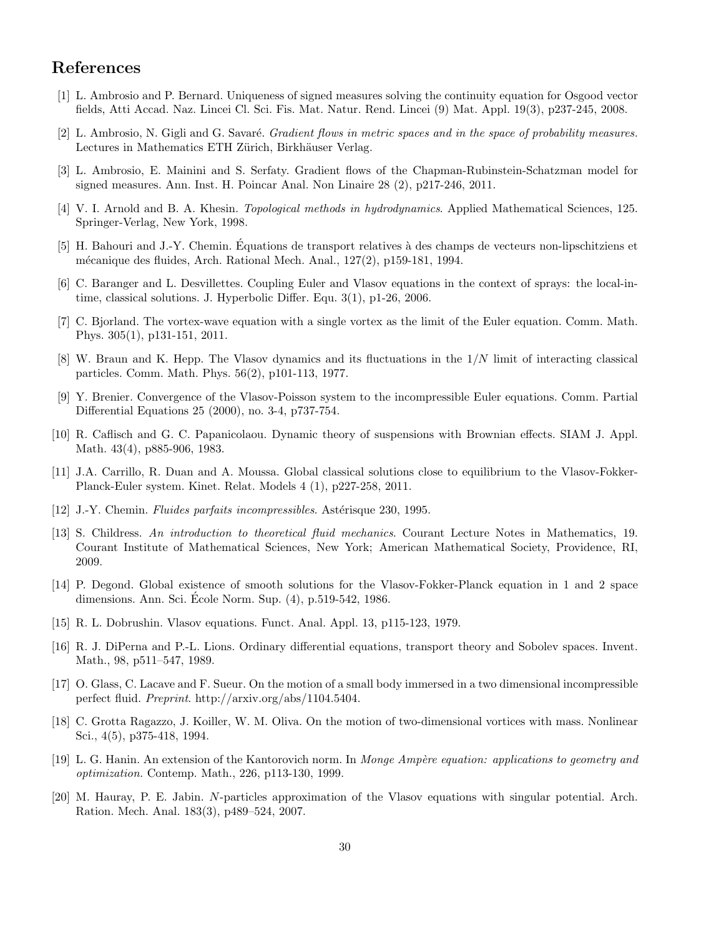# References

- <span id="page-29-17"></span>[1] L. Ambrosio and P. Bernard. Uniqueness of signed measures solving the continuity equation for Osgood vector fields, Atti Accad. Naz. Lincei Cl. Sci. Fis. Mat. Natur. Rend. Lincei (9) Mat. Appl. 19(3), p237-245, 2008.
- <span id="page-29-5"></span> $[2]$  L. Ambrosio, N. Gigli and G. Savaré. Gradient flows in metric spaces and in the space of probability measures. Lectures in Mathematics ETH Zürich, Birkhäuser Verlag.
- <span id="page-29-6"></span>[3] L. Ambrosio, E. Mainini and S. Serfaty. Gradient flows of the Chapman-Rubinstein-Schatzman model for signed measures. Ann. Inst. H. Poincar Anal. Non Linaire 28 (2), p217-246, 2011.
- <span id="page-29-18"></span>[4] V. I. Arnold and B. A. Khesin. Topological methods in hydrodynamics. Applied Mathematical Sciences, 125. Springer-Verlag, New York, 1998.
- <span id="page-29-16"></span>[5] H. Bahouri and J.-Y. Chemin. Equations de transport relatives `a des champs de vecteurs non-lipschitziens et ´ m´ecanique des fluides, Arch. Rational Mech. Anal., 127(2), p159-181, 1994.
- <span id="page-29-2"></span>[6] C. Baranger and L. Desvillettes. Coupling Euler and Vlasov equations in the context of sprays: the local-intime, classical solutions. J. Hyperbolic Differ. Equ. 3(1), p1-26, 2006.
- <span id="page-29-10"></span>[7] C. Bjorland. The vortex-wave equation with a single vortex as the limit of the Euler equation. Comm. Math. Phys. 305(1), p131-151, 2011.
- <span id="page-29-11"></span>[8] W. Braun and K. Hepp. The Vlasov dynamics and its fluctuations in the 1/N limit of interacting classical particles. Comm. Math. Phys. 56(2), p101-113, 1977.
- <span id="page-29-19"></span>[9] Y. Brenier. Convergence of the Vlasov-Poisson system to the incompressible Euler equations. Comm. Partial Differential Equations 25 (2000), no. 3-4, p737-754.
- <span id="page-29-1"></span>[10] R. Caflisch and G. C. Papanicolaou. Dynamic theory of suspensions with Brownian effects. SIAM J. Appl. Math. 43(4), p885-906, 1983.
- <span id="page-29-3"></span>[11] J.A. Carrillo, R. Duan and A. Moussa. Global classical solutions close to equilibrium to the Vlasov-Fokker-Planck-Euler system. Kinet. Relat. Models 4 (1), p227-258, 2011.
- <span id="page-29-15"></span>[12] J.-Y. Chemin. *Fluides parfaits incompressibles*. Astérisque 230, 1995.
- <span id="page-29-8"></span>[13] S. Childress. An introduction to theoretical fluid mechanics. Courant Lecture Notes in Mathematics, 19. Courant Institute of Mathematical Sciences, New York; American Mathematical Society, Providence, RI, 2009.
- <span id="page-29-14"></span>[14] P. Degond. Global existence of smooth solutions for the Vlasov-Fokker-Planck equation in 1 and 2 space dimensions. Ann. Sci. Ecole Norm. Sup. (4), p.519-542, 1986. ´
- <span id="page-29-4"></span>[15] R. L. Dobrushin. Vlasov equations. Funct. Anal. Appl. 13, p115-123, 1979.
- <span id="page-29-13"></span>[16] R. J. DiPerna and P.-L. Lions. Ordinary differential equations, transport theory and Sobolev spaces. Invent. Math., 98, p511–547, 1989.
- <span id="page-29-0"></span>[17] O. Glass, C. Lacave and F. Sueur. On the motion of a small body immersed in a two dimensional incompressible perfect fluid. Preprint. http://arxiv.org/abs/1104.5404.
- <span id="page-29-9"></span>[18] C. Grotta Ragazzo, J. Koiller, W. M. Oliva. On the motion of two-dimensional vortices with mass. Nonlinear Sci., 4(5), p375-418, 1994.
- <span id="page-29-7"></span>[19] L. G. Hanin. An extension of the Kantorovich norm. In Monge Ampère equation: applications to geometry and optimization. Contemp. Math., 226, p113-130, 1999.
- <span id="page-29-12"></span>[20] M. Hauray, P. E. Jabin. N-particles approximation of the Vlasov equations with singular potential. Arch. Ration. Mech. Anal. 183(3), p489–524, 2007.